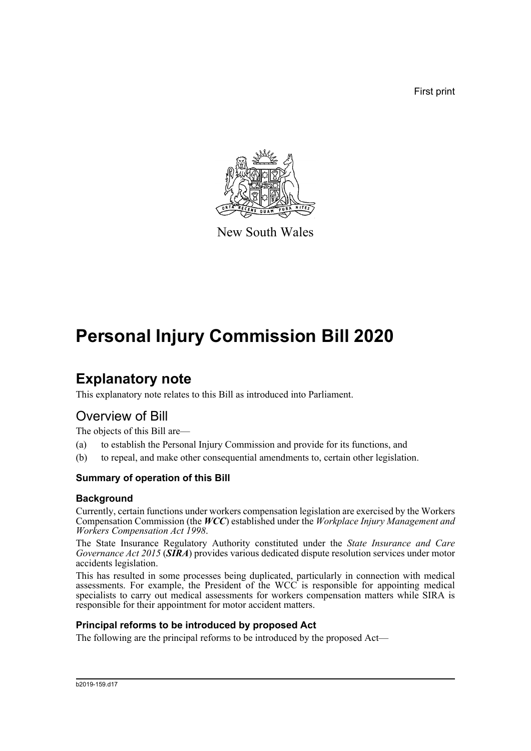First print



New South Wales

# **Personal Injury Commission Bill 2020**

# **Explanatory note**

This explanatory note relates to this Bill as introduced into Parliament.

# Overview of Bill

The objects of this Bill are—

- (a) to establish the Personal Injury Commission and provide for its functions, and
- (b) to repeal, and make other consequential amendments to, certain other legislation.

### **Summary of operation of this Bill**

#### **Background**

Currently, certain functions under workers compensation legislation are exercised by the Workers Compensation Commission (the *WCC*) established under the *Workplace Injury Management and Workers Compensation Act 1998*.

The State Insurance Regulatory Authority constituted under the *State Insurance and Care Governance Act 2015* (*SIRA*) provides various dedicated dispute resolution services under motor accidents legislation.

This has resulted in some processes being duplicated, particularly in connection with medical assessments. For example, the President of the WCC is responsible for appointing medical specialists to carry out medical assessments for workers compensation matters while SIRA is responsible for their appointment for motor accident matters.

#### **Principal reforms to be introduced by proposed Act**

The following are the principal reforms to be introduced by the proposed Act—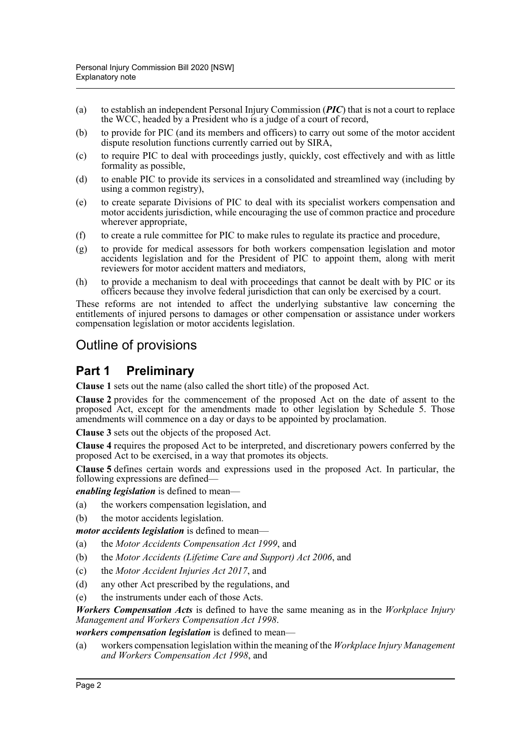- (a) to establish an independent Personal Injury Commission (*PIC*) that is not a court to replace the WCC, headed by a President who is a judge of a court of record,
- (b) to provide for PIC (and its members and officers) to carry out some of the motor accident dispute resolution functions currently carried out by SIRA,
- (c) to require PIC to deal with proceedings justly, quickly, cost effectively and with as little formality as possible,
- (d) to enable PIC to provide its services in a consolidated and streamlined way (including by using a common registry),
- (e) to create separate Divisions of PIC to deal with its specialist workers compensation and motor accidents jurisdiction, while encouraging the use of common practice and procedure wherever appropriate,
- (f) to create a rule committee for PIC to make rules to regulate its practice and procedure,
- (g) to provide for medical assessors for both workers compensation legislation and motor accidents legislation and for the President of PIC to appoint them, along with merit reviewers for motor accident matters and mediators,
- (h) to provide a mechanism to deal with proceedings that cannot be dealt with by PIC or its officers because they involve federal jurisdiction that can only be exercised by a court.

These reforms are not intended to affect the underlying substantive law concerning the entitlements of injured persons to damages or other compensation or assistance under workers compensation legislation or motor accidents legislation.

# Outline of provisions

# **Part 1 Preliminary**

**Clause 1** sets out the name (also called the short title) of the proposed Act.

**Clause 2** provides for the commencement of the proposed Act on the date of assent to the proposed Act, except for the amendments made to other legislation by Schedule 5. Those amendments will commence on a day or days to be appointed by proclamation.

**Clause 3** sets out the objects of the proposed Act.

**Clause 4** requires the proposed Act to be interpreted, and discretionary powers conferred by the proposed Act to be exercised, in a way that promotes its objects.

**Clause 5** defines certain words and expressions used in the proposed Act. In particular, the following expressions are defined—

*enabling legislation* is defined to mean—

(a) the workers compensation legislation, and

(b) the motor accidents legislation.

*motor accidents legislation* is defined to mean—

- (a) the *Motor Accidents Compensation Act 1999*, and
- (b) the *Motor Accidents (Lifetime Care and Support) Act 2006*, and
- (c) the *Motor Accident Injuries Act 2017*, and
- (d) any other Act prescribed by the regulations, and
- (e) the instruments under each of those Acts.

*Workers Compensation Acts* is defined to have the same meaning as in the *Workplace Injury Management and Workers Compensation Act 1998*.

*workers compensation legislation* is defined to mean—

(a) workers compensation legislation within the meaning of the *Workplace Injury Management and Workers Compensation Act 1998*, and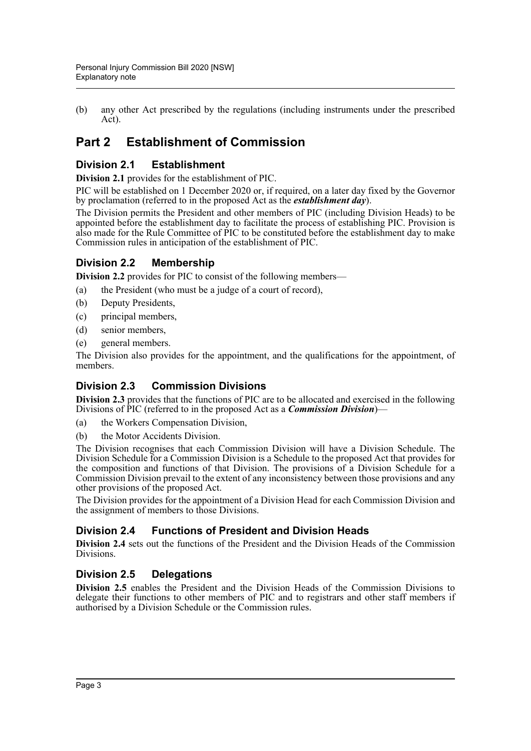(b) any other Act prescribed by the regulations (including instruments under the prescribed Act).

# **Part 2 Establishment of Commission**

# **Division 2.1 Establishment**

**Division 2.1** provides for the establishment of PIC.

PIC will be established on 1 December 2020 or, if required, on a later day fixed by the Governor by proclamation (referred to in the proposed Act as the *establishment day*).

The Division permits the President and other members of PIC (including Division Heads) to be appointed before the establishment day to facilitate the process of establishing PIC. Provision is also made for the Rule Committee of PIC to be constituted before the establishment day to make Commission rules in anticipation of the establishment of PIC.

### **Division 2.2 Membership**

**Division 2.2** provides for PIC to consist of the following members—

- (a) the President (who must be a judge of a court of record),
- (b) Deputy Presidents,
- (c) principal members,
- (d) senior members,
- (e) general members.

The Division also provides for the appointment, and the qualifications for the appointment, of members.

### **Division 2.3 Commission Divisions**

**Division 2.3** provides that the functions of PIC are to be allocated and exercised in the following Divisions of PIC (referred to in the proposed Act as a *Commission Division*)—

- (a) the Workers Compensation Division,
- (b) the Motor Accidents Division.

The Division recognises that each Commission Division will have a Division Schedule. The Division Schedule for a Commission Division is a Schedule to the proposed Act that provides for the composition and functions of that Division. The provisions of a Division Schedule for a Commission Division prevail to the extent of any inconsistency between those provisions and any other provisions of the proposed Act.

The Division provides for the appointment of a Division Head for each Commission Division and the assignment of members to those Divisions.

### **Division 2.4 Functions of President and Division Heads**

**Division 2.4** sets out the functions of the President and the Division Heads of the Commission Divisions.

### **Division 2.5 Delegations**

**Division 2.5** enables the President and the Division Heads of the Commission Divisions to delegate their functions to other members of PIC and to registrars and other staff members if authorised by a Division Schedule or the Commission rules.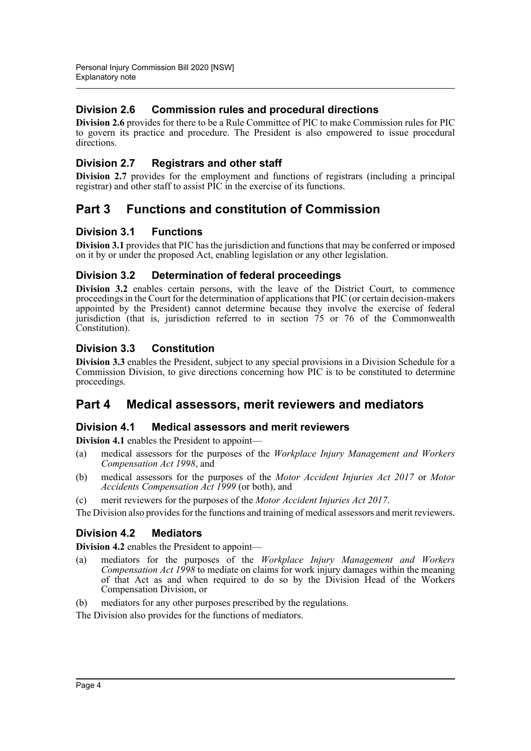# **Division 2.6 Commission rules and procedural directions**

**Division 2.6** provides for there to be a Rule Committee of PIC to make Commission rules for PIC to govern its practice and procedure. The President is also empowered to issue procedural directions.

# **Division 2.7 Registrars and other staff**

**Division 2.7** provides for the employment and functions of registrars (including a principal registrar) and other staff to assist PIC in the exercise of its functions.

# **Part 3 Functions and constitution of Commission**

### **Division 3.1 Functions**

**Division 3.1** provides that PIC has the jurisdiction and functions that may be conferred or imposed on it by or under the proposed Act, enabling legislation or any other legislation.

### **Division 3.2 Determination of federal proceedings**

**Division 3.2** enables certain persons, with the leave of the District Court, to commence proceedings in the Court for the determination of applications that PIC (or certain decision-makers appointed by the President) cannot determine because they involve the exercise of federal jurisdiction (that is, jurisdiction referred to in section 75 or 76 of the Commonwealth Constitution).

### **Division 3.3 Constitution**

**Division 3.3** enables the President, subject to any special provisions in a Division Schedule for a Commission Division, to give directions concerning how PIC is to be constituted to determine proceedings.

# **Part 4 Medical assessors, merit reviewers and mediators**

### **Division 4.1 Medical assessors and merit reviewers**

**Division 4.1** enables the President to appoint-

- (a) medical assessors for the purposes of the *Workplace Injury Management and Workers Compensation Act 1998*, and
- (b) medical assessors for the purposes of the *Motor Accident Injuries Act 2017* or *Motor Accidents Compensation Act 1999* (or both), and
- (c) merit reviewers for the purposes of the *Motor Accident Injuries Act 2017*.

The Division also provides for the functions and training of medical assessors and merit reviewers.

### **Division 4.2 Mediators**

**Division 4.2** enables the President to appoint—

- (a) mediators for the purposes of the *Workplace Injury Management and Workers Compensation Act 1998* to mediate on claims for work injury damages within the meaning of that Act as and when required to do so by the Division Head of the Workers Compensation Division, or
- (b) mediators for any other purposes prescribed by the regulations.

The Division also provides for the functions of mediators.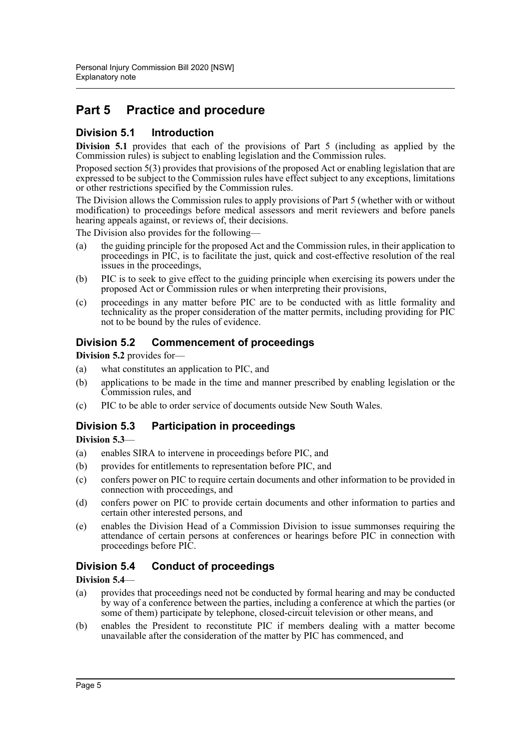# **Part 5 Practice and procedure**

## **Division 5.1 Introduction**

**Division 5.1** provides that each of the provisions of Part 5 (including as applied by the Commission rules) is subject to enabling legislation and the Commission rules.

Proposed section 5(3) provides that provisions of the proposed Act or enabling legislation that are expressed to be subject to the Commission rules have effect subject to any exceptions, limitations or other restrictions specified by the Commission rules.

The Division allows the Commission rules to apply provisions of Part 5 (whether with or without modification) to proceedings before medical assessors and merit reviewers and before panels hearing appeals against, or reviews of, their decisions.

The Division also provides for the following—

- (a) the guiding principle for the proposed Act and the Commission rules, in their application to proceedings in PIC, is to facilitate the just, quick and cost-effective resolution of the real issues in the proceedings,
- (b) PIC is to seek to give effect to the guiding principle when exercising its powers under the proposed Act or Commission rules or when interpreting their provisions,
- (c) proceedings in any matter before PIC are to be conducted with as little formality and technicality as the proper consideration of the matter permits, including providing for PIC not to be bound by the rules of evidence.

### **Division 5.2 Commencement of proceedings**

**Division 5.2** provides for—

- (a) what constitutes an application to PIC, and
- (b) applications to be made in the time and manner prescribed by enabling legislation or the Commission rules, and
- (c) PIC to be able to order service of documents outside New South Wales.

# **Division 5.3 Participation in proceedings**

**Division 5.3**—

- (a) enables SIRA to intervene in proceedings before PIC, and
- (b) provides for entitlements to representation before PIC, and
- (c) confers power on PIC to require certain documents and other information to be provided in connection with proceedings, and
- (d) confers power on PIC to provide certain documents and other information to parties and certain other interested persons, and
- (e) enables the Division Head of a Commission Division to issue summonses requiring the attendance of certain persons at conferences or hearings before PIC in connection with proceedings before PIC.

# **Division 5.4 Conduct of proceedings**

### **Division 5.4**—

- (a) provides that proceedings need not be conducted by formal hearing and may be conducted by way of a conference between the parties, including a conference at which the parties (or some of them) participate by telephone, closed-circuit television or other means, and
- (b) enables the President to reconstitute PIC if members dealing with a matter become unavailable after the consideration of the matter by PIC has commenced, and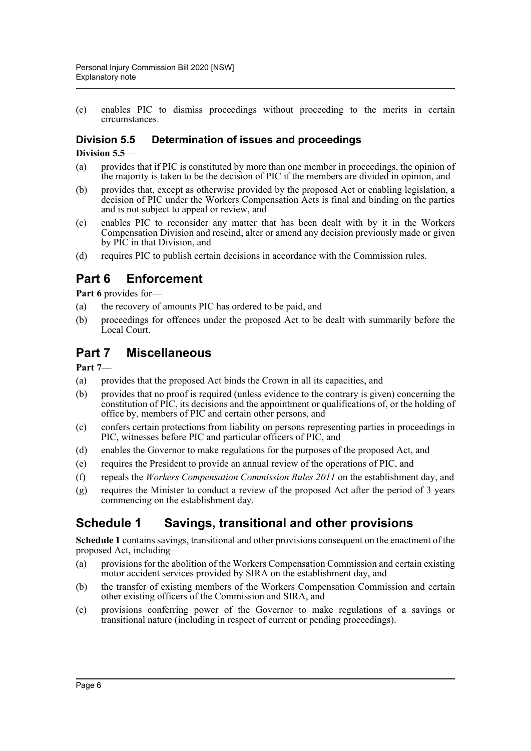(c) enables PIC to dismiss proceedings without proceeding to the merits in certain circumstances.

# **Division 5.5 Determination of issues and proceedings**

#### **Division 5.5**—

- (a) provides that if PIC is constituted by more than one member in proceedings, the opinion of the majority is taken to be the decision of PIC if the members are divided in opinion, and
- (b) provides that, except as otherwise provided by the proposed Act or enabling legislation, a decision of PIC under the Workers Compensation Acts is final and binding on the parties and is not subject to appeal or review, and
- (c) enables PIC to reconsider any matter that has been dealt with by it in the Workers Compensation Division and rescind, alter or amend any decision previously made or given by PIC in that Division, and
- (d) requires PIC to publish certain decisions in accordance with the Commission rules.

# **Part 6 Enforcement**

**Part 6** provides for—

- (a) the recovery of amounts PIC has ordered to be paid, and
- (b) proceedings for offences under the proposed Act to be dealt with summarily before the Local Court.

# **Part 7 Miscellaneous**

#### **Part 7**—

- (a) provides that the proposed Act binds the Crown in all its capacities, and
- (b) provides that no proof is required (unless evidence to the contrary is given) concerning the constitution of PIC, its decisions and the appointment or qualifications of, or the holding of office by, members of PIC and certain other persons, and
- (c) confers certain protections from liability on persons representing parties in proceedings in PIC, witnesses before PIC and particular officers of PIC, and
- (d) enables the Governor to make regulations for the purposes of the proposed Act, and
- (e) requires the President to provide an annual review of the operations of PIC, and
- (f) repeals the *Workers Compensation Commission Rules 2011* on the establishment day, and
- (g) requires the Minister to conduct a review of the proposed Act after the period of 3 years commencing on the establishment day.

# **Schedule 1 Savings, transitional and other provisions**

**Schedule 1** contains savings, transitional and other provisions consequent on the enactment of the proposed Act, including—

- (a) provisions for the abolition of the Workers Compensation Commission and certain existing motor accident services provided by SIRA on the establishment day, and
- (b) the transfer of existing members of the Workers Compensation Commission and certain other existing officers of the Commission and SIRA, and
- (c) provisions conferring power of the Governor to make regulations of a savings or transitional nature (including in respect of current or pending proceedings).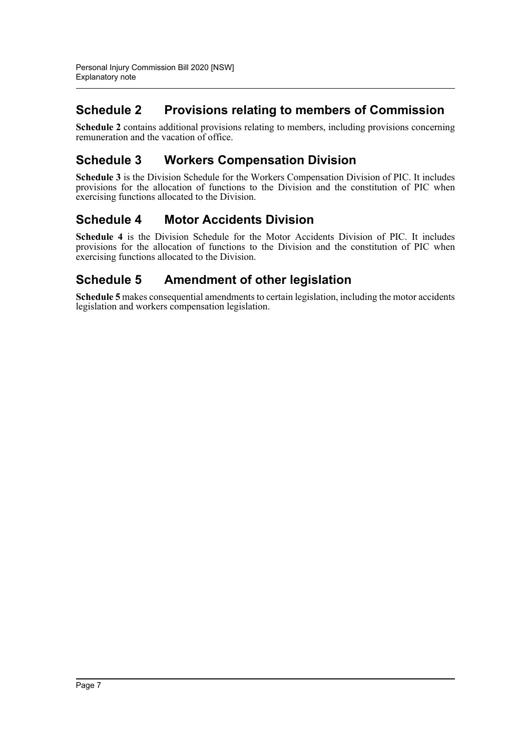# **Schedule 2 Provisions relating to members of Commission**

**Schedule 2** contains additional provisions relating to members, including provisions concerning remuneration and the vacation of office.

# **Schedule 3 Workers Compensation Division**

**Schedule 3** is the Division Schedule for the Workers Compensation Division of PIC. It includes provisions for the allocation of functions to the Division and the constitution of PIC when exercising functions allocated to the Division.

# **Schedule 4 Motor Accidents Division**

**Schedule 4** is the Division Schedule for the Motor Accidents Division of PIC. It includes provisions for the allocation of functions to the Division and the constitution of PIC when exercising functions allocated to the Division.

# **Schedule 5 Amendment of other legislation**

**Schedule 5** makes consequential amendments to certain legislation, including the motor accidents legislation and workers compensation legislation.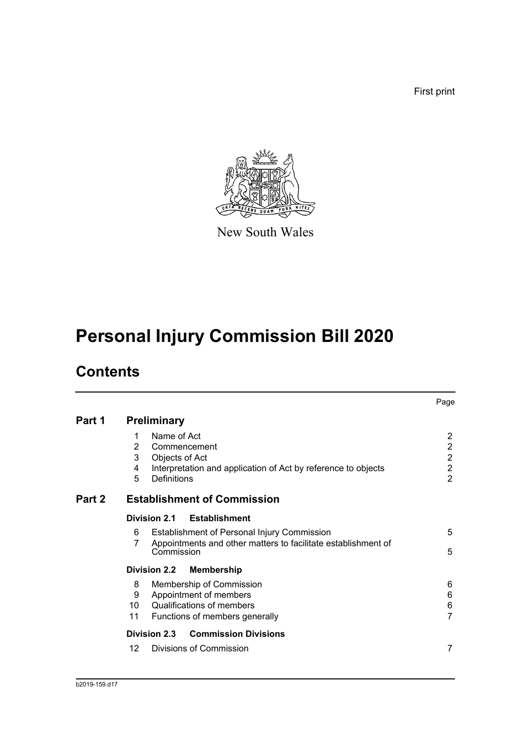First print



New South Wales

# **Personal Injury Commission Bill 2020**

# **Contents**

|        |                                                                                                                                                               | Page                                                                                   |
|--------|---------------------------------------------------------------------------------------------------------------------------------------------------------------|----------------------------------------------------------------------------------------|
| Part 1 | <b>Preliminary</b>                                                                                                                                            |                                                                                        |
|        | Name of Act<br>1<br>2<br>Commencement<br>3<br>Objects of Act<br>Interpretation and application of Act by reference to objects<br>4<br>5<br><b>Definitions</b> | $\overline{2}$<br>$\overline{2}$<br>$\overline{2}$<br>$\overline{2}$<br>$\overline{2}$ |
| Part 2 | <b>Establishment of Commission</b>                                                                                                                            |                                                                                        |
|        | Division 2.1<br><b>Establishment</b>                                                                                                                          |                                                                                        |
|        | Establishment of Personal Injury Commission<br>6<br>Appointments and other matters to facilitate establishment of<br>7<br>Commission                          | 5<br>5                                                                                 |
|        | <b>Division 2.2</b><br><b>Membership</b>                                                                                                                      |                                                                                        |
|        | Membership of Commission<br>8<br>Appointment of members<br>9<br>Qualifications of members<br>10<br>11<br>Functions of members generally                       | 6<br>6<br>6<br>$\overline{7}$                                                          |
|        | <b>Commission Divisions</b><br>Division 2.3                                                                                                                   |                                                                                        |
|        | Divisions of Commission<br>12                                                                                                                                 | 7                                                                                      |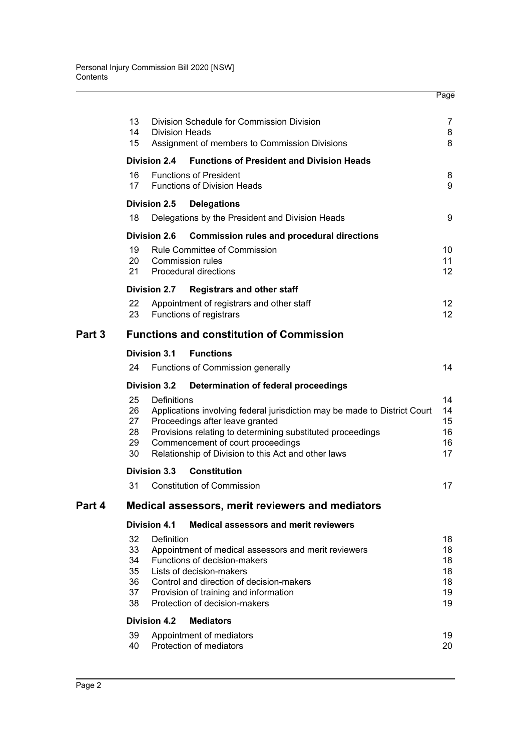|        | 13<br>14<br>15                         | <b>Division Heads</b> | Division Schedule for Commission Division<br>Assignment of members to Commission Divisions                                                                                                                                                                             | 7<br>8<br>8                            |
|--------|----------------------------------------|-----------------------|------------------------------------------------------------------------------------------------------------------------------------------------------------------------------------------------------------------------------------------------------------------------|----------------------------------------|
|        |                                        | <b>Division 2.4</b>   | <b>Functions of President and Division Heads</b>                                                                                                                                                                                                                       |                                        |
|        | 16<br>17                               |                       | <b>Functions of President</b><br><b>Functions of Division Heads</b>                                                                                                                                                                                                    | 8<br>9                                 |
|        |                                        | <b>Division 2.5</b>   | <b>Delegations</b>                                                                                                                                                                                                                                                     |                                        |
|        | 18                                     |                       | Delegations by the President and Division Heads                                                                                                                                                                                                                        | 9                                      |
|        |                                        | <b>Division 2.6</b>   | <b>Commission rules and procedural directions</b>                                                                                                                                                                                                                      |                                        |
|        | 19<br>20<br>21                         |                       | <b>Rule Committee of Commission</b><br><b>Commission rules</b><br><b>Procedural directions</b>                                                                                                                                                                         | 10<br>11<br>12 <sup>2</sup>            |
|        |                                        | <b>Division 2.7</b>   | <b>Registrars and other staff</b>                                                                                                                                                                                                                                      |                                        |
|        | 22<br>23                               |                       | Appointment of registrars and other staff<br>Functions of registrars                                                                                                                                                                                                   | 12 <sup>°</sup><br>12 <sup>°</sup>     |
| Part 3 |                                        |                       | <b>Functions and constitution of Commission</b>                                                                                                                                                                                                                        |                                        |
|        |                                        | <b>Division 3.1</b>   | <b>Functions</b>                                                                                                                                                                                                                                                       |                                        |
|        | 24                                     |                       | Functions of Commission generally                                                                                                                                                                                                                                      | 14                                     |
|        |                                        | <b>Division 3.2</b>   | Determination of federal proceedings                                                                                                                                                                                                                                   |                                        |
|        | 25<br>26<br>27<br>28<br>29<br>30       | Definitions           | Applications involving federal jurisdiction may be made to District Court<br>Proceedings after leave granted<br>Provisions relating to determining substituted proceedings<br>Commencement of court proceedings<br>Relationship of Division to this Act and other laws | 14<br>14<br>15<br>16<br>16<br>17       |
|        |                                        | <b>Division 3.3</b>   | <b>Constitution</b>                                                                                                                                                                                                                                                    |                                        |
|        | 31                                     |                       | <b>Constitution of Commission</b>                                                                                                                                                                                                                                      | 17                                     |
| Part 4 |                                        |                       | Medical assessors, merit reviewers and mediators                                                                                                                                                                                                                       |                                        |
|        |                                        | <b>Division 4.1</b>   | <b>Medical assessors and merit reviewers</b>                                                                                                                                                                                                                           |                                        |
|        | 32<br>33<br>34<br>35<br>36<br>37<br>38 | Definition            | Appointment of medical assessors and merit reviewers<br>Functions of decision-makers<br>Lists of decision-makers<br>Control and direction of decision-makers<br>Provision of training and information<br>Protection of decision-makers                                 | 18<br>18<br>18<br>18<br>18<br>19<br>19 |
|        |                                        | <b>Division 4.2</b>   | <b>Mediators</b>                                                                                                                                                                                                                                                       |                                        |
|        | 39<br>40                               |                       | Appointment of mediators<br>Protection of mediators                                                                                                                                                                                                                    | 19<br>20                               |

Page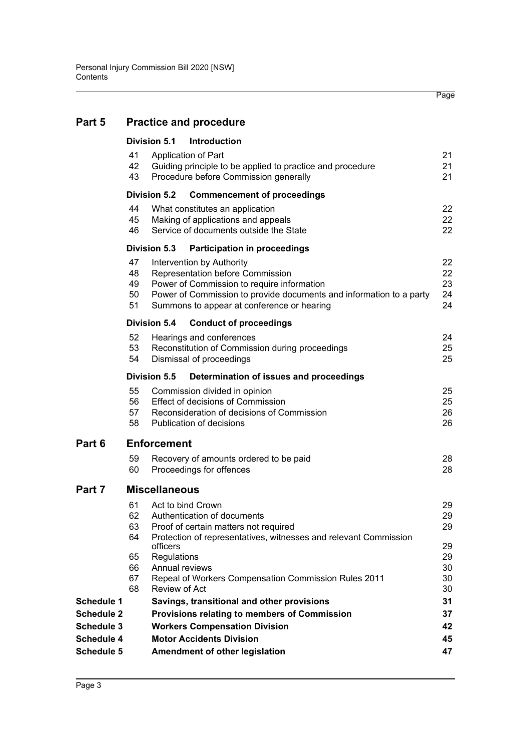# **[Part 5 Practice and procedure](#page-30-0)**

|                                 |                            | <b>Division 5.1</b>                       | Introduction                                                                                                                                                                                                                     |                            |
|---------------------------------|----------------------------|-------------------------------------------|----------------------------------------------------------------------------------------------------------------------------------------------------------------------------------------------------------------------------------|----------------------------|
|                                 | 41<br>42<br>43             |                                           | Application of Part<br>Guiding principle to be applied to practice and procedure<br>Procedure before Commission generally                                                                                                        | 21<br>21<br>21             |
|                                 |                            | Division 5.2                              | <b>Commencement of proceedings</b>                                                                                                                                                                                               |                            |
|                                 | 44<br>45<br>46             |                                           | What constitutes an application<br>Making of applications and appeals<br>Service of documents outside the State                                                                                                                  | 22<br>22<br>22             |
|                                 |                            | Division 5.3                              | <b>Participation in proceedings</b>                                                                                                                                                                                              |                            |
|                                 | 47<br>48<br>49<br>50<br>51 |                                           | Intervention by Authority<br>Representation before Commission<br>Power of Commission to require information<br>Power of Commission to provide documents and information to a party<br>Summons to appear at conference or hearing | 22<br>22<br>23<br>24<br>24 |
|                                 |                            | Division 5.4                              | <b>Conduct of proceedings</b>                                                                                                                                                                                                    |                            |
|                                 | 52<br>53<br>54             |                                           | Hearings and conferences<br>Reconstitution of Commission during proceedings<br>Dismissal of proceedings                                                                                                                          | 24<br>25<br>25             |
|                                 |                            | Division 5.5                              | Determination of issues and proceedings                                                                                                                                                                                          |                            |
|                                 | 55<br>56<br>57<br>58       |                                           | Commission divided in opinion<br>Effect of decisions of Commission<br>Reconsideration of decisions of Commission<br>Publication of decisions                                                                                     | 25<br>25<br>26<br>26       |
| Part 6                          |                            | <b>Enforcement</b>                        |                                                                                                                                                                                                                                  |                            |
|                                 | 59<br>60                   |                                           | Recovery of amounts ordered to be paid<br>Proceedings for offences                                                                                                                                                               | 28<br>28                   |
| Part 7                          |                            | <b>Miscellaneous</b>                      |                                                                                                                                                                                                                                  |                            |
|                                 | 61<br>62<br>63<br>64       |                                           | Act to bind Crown<br>Authentication of documents<br>Proof of certain matters not required<br>Protection of representatives, witnesses and relevant Commission                                                                    | 29<br>29<br>29             |
|                                 | 65<br>66                   | officers<br>Regulations<br>Annual reviews |                                                                                                                                                                                                                                  | 29<br>29<br>30             |
|                                 | 67<br>68                   | Review of Act                             | Repeal of Workers Compensation Commission Rules 2011                                                                                                                                                                             | 30<br>30                   |
| <b>Schedule 1</b>               |                            |                                           | Savings, transitional and other provisions                                                                                                                                                                                       | 31                         |
| <b>Schedule 2</b>               |                            |                                           | Provisions relating to members of Commission                                                                                                                                                                                     | 37                         |
| <b>Schedule 3</b>               |                            |                                           | <b>Workers Compensation Division</b><br><b>Motor Accidents Division</b>                                                                                                                                                          | 42                         |
| <b>Schedule 4</b><br>Schedule 5 |                            |                                           | Amendment of other legislation                                                                                                                                                                                                   | 45<br>47                   |
|                                 |                            |                                           |                                                                                                                                                                                                                                  |                            |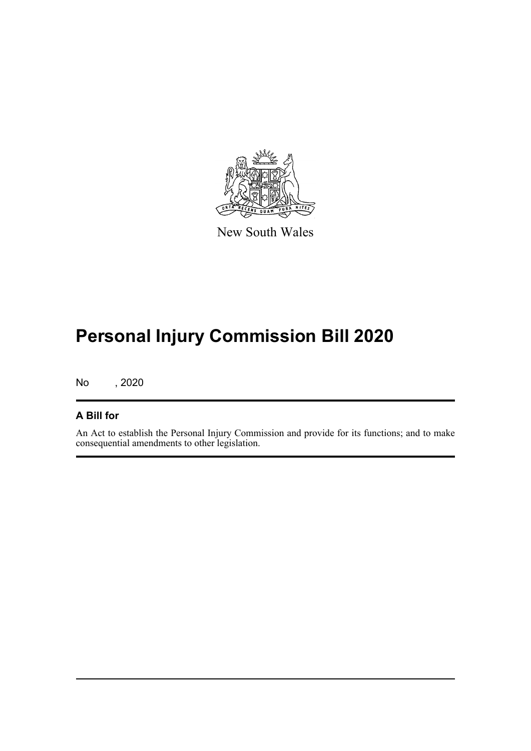

New South Wales

# **Personal Injury Commission Bill 2020**

No , 2020

# **A Bill for**

An Act to establish the Personal Injury Commission and provide for its functions; and to make consequential amendments to other legislation.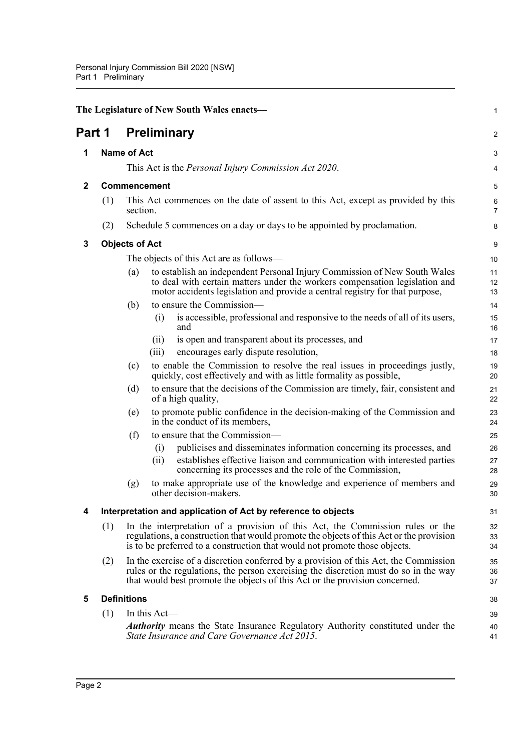<span id="page-11-5"></span><span id="page-11-4"></span><span id="page-11-3"></span><span id="page-11-2"></span><span id="page-11-1"></span><span id="page-11-0"></span>

|             |     |                       |                     | The Legislature of New South Wales enacts-                                                                                                                                                                                                                  | 1              |
|-------------|-----|-----------------------|---------------------|-------------------------------------------------------------------------------------------------------------------------------------------------------------------------------------------------------------------------------------------------------------|----------------|
| Part 1      |     |                       |                     | <b>Preliminary</b>                                                                                                                                                                                                                                          | $\overline{a}$ |
| 1           |     | <b>Name of Act</b>    |                     |                                                                                                                                                                                                                                                             | 3              |
|             |     |                       |                     | This Act is the <i>Personal Injury Commission Act 2020</i> .                                                                                                                                                                                                | 4              |
| $\mathbf 2$ |     |                       | <b>Commencement</b> |                                                                                                                                                                                                                                                             | 5              |
|             | (1) | section.              |                     | This Act commences on the date of assent to this Act, except as provided by this                                                                                                                                                                            | 6<br>7         |
|             | (2) |                       |                     | Schedule 5 commences on a day or days to be appointed by proclamation.                                                                                                                                                                                      | 8              |
| 3           |     | <b>Objects of Act</b> |                     |                                                                                                                                                                                                                                                             | 9              |
|             |     |                       |                     | The objects of this Act are as follows—                                                                                                                                                                                                                     | 10             |
|             |     | (a)                   |                     | to establish an independent Personal Injury Commission of New South Wales<br>to deal with certain matters under the workers compensation legislation and<br>motor accidents legislation and provide a central registry for that purpose,                    | 11<br>12<br>13 |
|             |     | (b)                   |                     | to ensure the Commission-                                                                                                                                                                                                                                   | 14             |
|             |     |                       | (i)                 | is accessible, professional and responsive to the needs of all of its users,<br>and                                                                                                                                                                         | 15<br>16       |
|             |     |                       | (11)                | is open and transparent about its processes, and                                                                                                                                                                                                            | 17             |
|             |     |                       | (iii)               | encourages early dispute resolution,                                                                                                                                                                                                                        | 18             |
|             |     | (c)                   |                     | to enable the Commission to resolve the real issues in proceedings justly,<br>quickly, cost effectively and with as little formality as possible,                                                                                                           | 19<br>20       |
|             |     | (d)                   |                     | to ensure that the decisions of the Commission are timely, fair, consistent and<br>of a high quality,                                                                                                                                                       | 21<br>22       |
|             |     | (e)                   |                     | to promote public confidence in the decision-making of the Commission and<br>in the conduct of its members,                                                                                                                                                 | 23<br>24       |
|             |     | (f)                   |                     | to ensure that the Commission-                                                                                                                                                                                                                              | 25             |
|             |     |                       | (i)                 | publicises and disseminates information concerning its processes, and                                                                                                                                                                                       | 26             |
|             |     |                       | (ii)                | establishes effective liaison and communication with interested parties<br>concerning its processes and the role of the Commission,                                                                                                                         | 27<br>28       |
|             |     | (g)                   |                     | to make appropriate use of the knowledge and experience of members and<br>other decision-makers.                                                                                                                                                            | 29<br>30       |
| 4           |     |                       |                     | Interpretation and application of Act by reference to objects                                                                                                                                                                                               | 31             |
|             | (1) |                       |                     | In the interpretation of a provision of this Act, the Commission rules or the<br>regulations, a construction that would promote the objects of this Act or the provision<br>is to be preferred to a construction that would not promote those objects.      | 32<br>33<br>34 |
|             | (2) |                       |                     | In the exercise of a discretion conferred by a provision of this Act, the Commission<br>rules or the regulations, the person exercising the discretion must do so in the way<br>that would best promote the objects of this Act or the provision concerned. | 35<br>36<br>37 |
| 5           |     | <b>Definitions</b>    |                     |                                                                                                                                                                                                                                                             | 38             |
|             | (1) |                       | In this Act-        |                                                                                                                                                                                                                                                             | 39             |
|             |     |                       |                     | <b>Authority</b> means the State Insurance Regulatory Authority constituted under the<br>State Insurance and Care Governance Act 2015.                                                                                                                      | 40<br>41       |
|             |     |                       |                     |                                                                                                                                                                                                                                                             |                |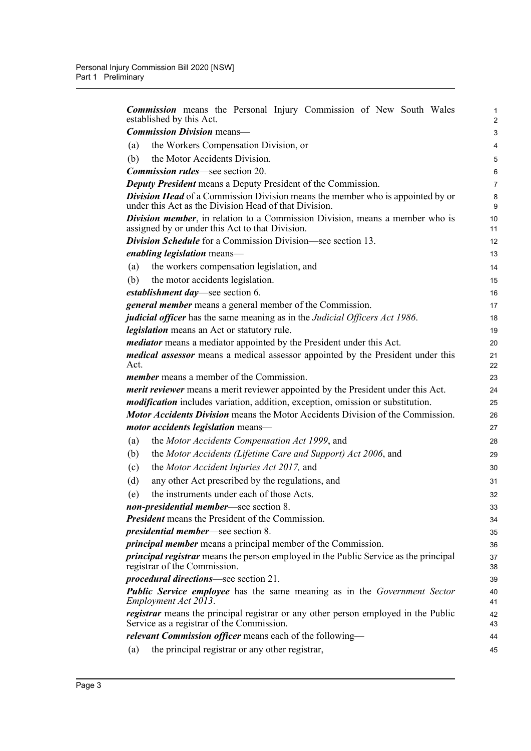| <b>Commission</b> means the Personal Injury Commission of New South Wales<br>established by this Act.                                          | 1<br>$\overline{2}$ |
|------------------------------------------------------------------------------------------------------------------------------------------------|---------------------|
| <b>Commission Division means-</b>                                                                                                              | 3                   |
| the Workers Compensation Division, or<br>(a)                                                                                                   | 4                   |
| the Motor Accidents Division.<br>(b)                                                                                                           | 5                   |
| <b>Commission rules—see section 20.</b>                                                                                                        | 6                   |
| <b>Deputy President</b> means a Deputy President of the Commission.                                                                            | 7                   |
| <b>Division Head</b> of a Commission Division means the member who is appointed by or<br>under this Act as the Division Head of that Division. | 8<br>9              |
| <b>Division member</b> , in relation to a Commission Division, means a member who is<br>assigned by or under this Act to that Division.        | 10<br>11            |
| <b>Division Schedule</b> for a Commission Division—see section 13.                                                                             | 12                  |
| <i>enabling legislation</i> means—                                                                                                             | 13                  |
| the workers compensation legislation, and<br>(a)                                                                                               | 14                  |
| the motor accidents legislation.<br>(b)                                                                                                        | 15                  |
| establishment day—see section 6.                                                                                                               | 16                  |
| <i>general member</i> means a general member of the Commission.                                                                                | 17                  |
| <i>judicial officer</i> has the same meaning as in the <i>Judicial Officers Act 1986</i> .                                                     | 18                  |
| legislation means an Act or statutory rule.                                                                                                    | 19                  |
| <i>mediator</i> means a mediator appointed by the President under this Act.                                                                    | 20                  |
| <i>medical assessor</i> means a medical assessor appointed by the President under this<br>Act.                                                 | 21<br>22            |
| <i>member</i> means a member of the Commission.                                                                                                | 23                  |
| <i>merit reviewer</i> means a merit reviewer appointed by the President under this Act.                                                        | 24                  |
| <i>modification</i> includes variation, addition, exception, omission or substitution.                                                         | 25                  |
| <b>Motor Accidents Division</b> means the Motor Accidents Division of the Commission.                                                          | 26                  |
| <i>motor accidents legislation</i> means—                                                                                                      | 27                  |
| the Motor Accidents Compensation Act 1999, and<br>(a)                                                                                          | 28                  |
| the Motor Accidents (Lifetime Care and Support) Act 2006, and<br>(b)                                                                           | 29                  |
| the Motor Accident Injuries Act 2017, and<br>(c)                                                                                               | 30                  |
| any other Act prescribed by the regulations, and<br>(d)                                                                                        | 31                  |
| the instruments under each of those Acts.<br>(e)                                                                                               | 32                  |
| non-presidential member—see section 8.                                                                                                         | 33                  |
| <b>President</b> means the President of the Commission.                                                                                        | 34                  |
| <i>presidential member</i> —see section 8.                                                                                                     | 35                  |
| <i>principal member</i> means a principal member of the Commission.                                                                            | 36                  |
| <i>principal registrar</i> means the person employed in the Public Service as the principal<br>registrar of the Commission.                    | 37<br>38            |
| <i>procedural directions</i> —see section 21.                                                                                                  | 39                  |
| <b>Public Service employee</b> has the same meaning as in the Government Sector<br>Employment Act 2013.                                        | 40<br>41            |
| <i>registrar</i> means the principal registrar or any other person employed in the Public<br>Service as a registrar of the Commission.         | 42<br>43            |
| <i>relevant Commission officer</i> means each of the following—                                                                                | 44                  |
| the principal registrar or any other registrar,<br>(a)                                                                                         | 45                  |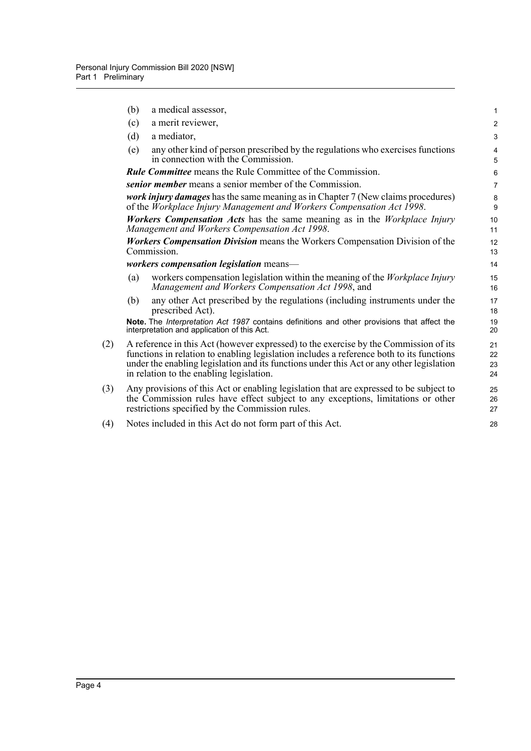|     | (b) | a medical assessor,                                                                                                                                                                                                                                                                                                      | $\mathbf{1}$         |
|-----|-----|--------------------------------------------------------------------------------------------------------------------------------------------------------------------------------------------------------------------------------------------------------------------------------------------------------------------------|----------------------|
|     | (c) | a merit reviewer,                                                                                                                                                                                                                                                                                                        | $\overline{2}$       |
|     | (d) | a mediator,                                                                                                                                                                                                                                                                                                              | 3                    |
|     | (e) | any other kind of person prescribed by the regulations who exercises functions<br>in connection with the Commission.                                                                                                                                                                                                     | 4<br>5               |
|     |     | <b>Rule Committee</b> means the Rule Committee of the Commission.                                                                                                                                                                                                                                                        | 6                    |
|     |     | senior member means a senior member of the Commission.                                                                                                                                                                                                                                                                   | $\overline{7}$       |
|     |     | <i>work injury damages</i> has the same meaning as in Chapter 7 (New claims procedures)<br>of the Workplace Injury Management and Workers Compensation Act 1998.                                                                                                                                                         | 8<br>9               |
|     |     | <b>Workers Compensation Acts</b> has the same meaning as in the Workplace Injury<br>Management and Workers Compensation Act 1998.                                                                                                                                                                                        | 10<br>11             |
|     |     | <b>Workers Compensation Division</b> means the Workers Compensation Division of the<br>Commission.                                                                                                                                                                                                                       | 12<br>13             |
|     |     | workers compensation legislation means-                                                                                                                                                                                                                                                                                  | 14                   |
|     | (a) | workers compensation legislation within the meaning of the <i>Workplace Injury</i><br>Management and Workers Compensation Act 1998, and                                                                                                                                                                                  | 15<br>16             |
|     | (b) | any other Act prescribed by the regulations (including instruments under the<br>prescribed Act).                                                                                                                                                                                                                         | 17<br>18             |
|     |     | Note. The Interpretation Act 1987 contains definitions and other provisions that affect the<br>interpretation and application of this Act.                                                                                                                                                                               | 19<br>20             |
| (2) |     | A reference in this Act (however expressed) to the exercise by the Commission of its<br>functions in relation to enabling legislation includes a reference both to its functions<br>under the enabling legislation and its functions under this Act or any other legislation<br>in relation to the enabling legislation. | 21<br>22<br>23<br>24 |
| (3) |     | Any provisions of this Act or enabling legislation that are expressed to be subject to<br>the Commission rules have effect subject to any exceptions, limitations or other<br>restrictions specified by the Commission rules.                                                                                            | 25<br>26<br>27       |
| (4) |     | Notes included in this Act do not form part of this Act.                                                                                                                                                                                                                                                                 | 28                   |
|     |     |                                                                                                                                                                                                                                                                                                                          |                      |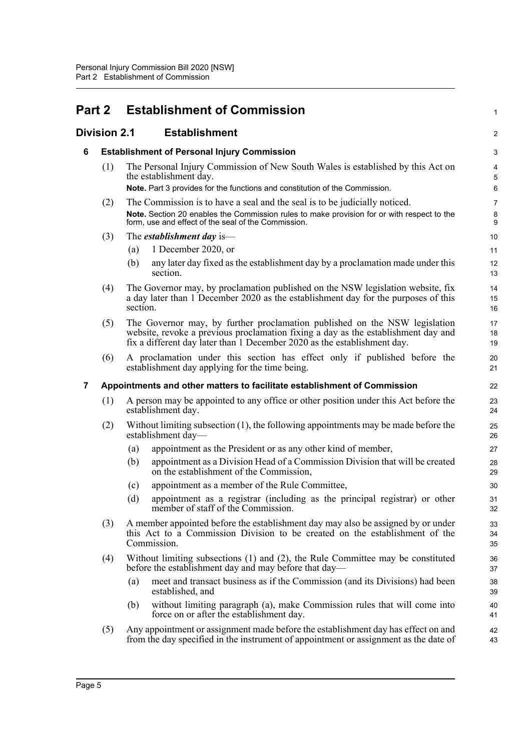<span id="page-14-3"></span><span id="page-14-2"></span><span id="page-14-1"></span><span id="page-14-0"></span>

| <b>Part 2</b> |              |             | <b>Establishment of Commission</b>                                                                                                                                                                                                          | 1              |
|---------------|--------------|-------------|---------------------------------------------------------------------------------------------------------------------------------------------------------------------------------------------------------------------------------------------|----------------|
|               | Division 2.1 |             | <b>Establishment</b>                                                                                                                                                                                                                        | $\overline{a}$ |
| 6             |              |             | <b>Establishment of Personal Injury Commission</b>                                                                                                                                                                                          | 3              |
|               | (1)          |             | The Personal Injury Commission of New South Wales is established by this Act on<br>the establishment day.                                                                                                                                   | 4<br>5         |
|               |              |             | Note. Part 3 provides for the functions and constitution of the Commission.                                                                                                                                                                 | 6              |
|               | (2)          |             | The Commission is to have a seal and the seal is to be judicially noticed.<br>Note. Section 20 enables the Commission rules to make provision for or with respect to the<br>form, use and effect of the seal of the Commission.             | 7<br>8<br>9    |
|               | (3)          |             | The <i>establishment day</i> is—                                                                                                                                                                                                            | 10             |
|               |              | (a)         | 1 December 2020, or                                                                                                                                                                                                                         | 11             |
|               |              | (b)         | any later day fixed as the establishment day by a proclamation made under this<br>section.                                                                                                                                                  | 12<br>13       |
|               | (4)          | section.    | The Governor may, by proclamation published on the NSW legislation website, fix<br>a day later than 1 December 2020 as the establishment day for the purposes of this                                                                       | 14<br>15<br>16 |
|               | (5)          |             | The Governor may, by further proclamation published on the NSW legislation<br>website, revoke a previous proclamation fixing a day as the establishment day and<br>fix a different day later than 1 December 2020 as the establishment day. | 17<br>18<br>19 |
|               | (6)          |             | A proclamation under this section has effect only if published before the<br>establishment day applying for the time being.                                                                                                                 | 20<br>21       |
| 7             |              |             | Appointments and other matters to facilitate establishment of Commission                                                                                                                                                                    | 22             |
|               | (1)          |             | A person may be appointed to any office or other position under this Act before the<br>establishment day.                                                                                                                                   | 23<br>24       |
|               | (2)          |             | Without limiting subsection (1), the following appointments may be made before the<br>establishment day-                                                                                                                                    | 25<br>26       |
|               |              | (a)         | appointment as the President or as any other kind of member,                                                                                                                                                                                | 27             |
|               |              | (b)         | appointment as a Division Head of a Commission Division that will be created<br>on the establishment of the Commission,                                                                                                                     | 28<br>29       |
|               |              | (c)         | appointment as a member of the Rule Committee,                                                                                                                                                                                              | 30             |
|               |              | (d)         | appointment as a registrar (including as the principal registrar) or other<br>member of staff of the Commission.                                                                                                                            | 31<br>32       |
|               | (3)          | Commission. | A member appointed before the establishment day may also be assigned by or under<br>this Act to a Commission Division to be created on the establishment of the                                                                             | 33<br>34<br>35 |
|               | (4)          |             | Without limiting subsections (1) and (2), the Rule Committee may be constituted<br>before the establishment day and may before that day—                                                                                                    | 36<br>37       |
|               |              | (a)         | meet and transact business as if the Commission (and its Divisions) had been<br>established, and                                                                                                                                            | 38<br>39       |
|               |              | (b)         | without limiting paragraph (a), make Commission rules that will come into<br>force on or after the establishment day.                                                                                                                       | 40<br>41       |
|               | (5)          |             | Any appointment or assignment made before the establishment day has effect on and<br>from the day specified in the instrument of appointment or assignment as the date of                                                                   | 42<br>43       |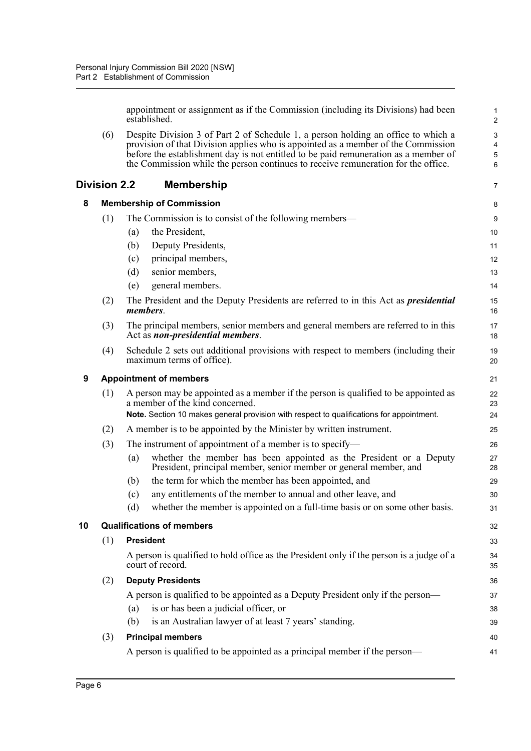appointment or assignment as if the Commission (including its Divisions) had been established.

(6) Despite Division 3 of Part 2 of Schedule 1, a person holding an office to which a provision of that Division applies who is appointed as a member of the Commission before the establishment day is not entitled to be paid remuneration as a member of the Commission while the person continues to receive remuneration for the office.

### <span id="page-15-3"></span><span id="page-15-2"></span><span id="page-15-1"></span><span id="page-15-0"></span>**Division 2.2 Membership**

|    | <b>Division 2.2</b> | <b>Membership</b>                                                                                                                                                                                                  | 7        |  |  |  |  |
|----|---------------------|--------------------------------------------------------------------------------------------------------------------------------------------------------------------------------------------------------------------|----------|--|--|--|--|
| 8  |                     | <b>Membership of Commission</b>                                                                                                                                                                                    | 8        |  |  |  |  |
|    | (1)                 | The Commission is to consist of the following members—                                                                                                                                                             | 9        |  |  |  |  |
|    |                     | the President,<br>(a)                                                                                                                                                                                              | 10       |  |  |  |  |
|    |                     | Deputy Presidents,<br>(b)                                                                                                                                                                                          | 11       |  |  |  |  |
|    |                     | principal members,<br>(c)                                                                                                                                                                                          | 12       |  |  |  |  |
|    |                     | senior members,<br>(d)                                                                                                                                                                                             | 13       |  |  |  |  |
|    |                     | general members.<br>(e)                                                                                                                                                                                            | 14       |  |  |  |  |
|    | (2)                 | The President and the Deputy Presidents are referred to in this Act as <i>presidential</i><br>members.                                                                                                             | 15<br>16 |  |  |  |  |
|    | (3)                 | The principal members, senior members and general members are referred to in this<br>Act as non-presidential members.                                                                                              | 17<br>18 |  |  |  |  |
|    | (4)                 | Schedule 2 sets out additional provisions with respect to members (including their<br>maximum terms of office).                                                                                                    | 19<br>20 |  |  |  |  |
| 9  |                     | <b>Appointment of members</b>                                                                                                                                                                                      |          |  |  |  |  |
|    | (1)                 | A person may be appointed as a member if the person is qualified to be appointed as<br>a member of the kind concerned.<br>Note. Section 10 makes general provision with respect to qualifications for appointment. |          |  |  |  |  |
|    | (2)                 | A member is to be appointed by the Minister by written instrument.                                                                                                                                                 |          |  |  |  |  |
|    | (3)                 | The instrument of appointment of a member is to specify—                                                                                                                                                           | 25<br>26 |  |  |  |  |
|    |                     | whether the member has been appointed as the President or a Deputy<br>(a)<br>President, principal member, senior member or general member, and                                                                     | 27<br>28 |  |  |  |  |
|    |                     | the term for which the member has been appointed, and<br>(b)                                                                                                                                                       | 29       |  |  |  |  |
|    |                     | any entitlements of the member to annual and other leave, and<br>(c)                                                                                                                                               | 30       |  |  |  |  |
|    |                     | whether the member is appointed on a full-time basis or on some other basis.<br>(d)                                                                                                                                | 31       |  |  |  |  |
| 10 |                     | <b>Qualifications of members</b>                                                                                                                                                                                   | 32       |  |  |  |  |
|    | (1)                 | <b>President</b>                                                                                                                                                                                                   | 33       |  |  |  |  |
|    |                     | A person is qualified to hold office as the President only if the person is a judge of a<br>court of record.                                                                                                       | 34<br>35 |  |  |  |  |
|    | (2)                 | <b>Deputy Presidents</b>                                                                                                                                                                                           | 36       |  |  |  |  |
|    |                     | A person is qualified to be appointed as a Deputy President only if the person—                                                                                                                                    | 37       |  |  |  |  |
|    |                     | is or has been a judicial officer, or<br>(a)                                                                                                                                                                       | 38       |  |  |  |  |
|    |                     | is an Australian lawyer of at least 7 years' standing.<br>(b)                                                                                                                                                      | 39       |  |  |  |  |
|    | (3)                 | <b>Principal members</b>                                                                                                                                                                                           | 40       |  |  |  |  |
|    |                     | A person is qualified to be appointed as a principal member if the person—                                                                                                                                         | 41       |  |  |  |  |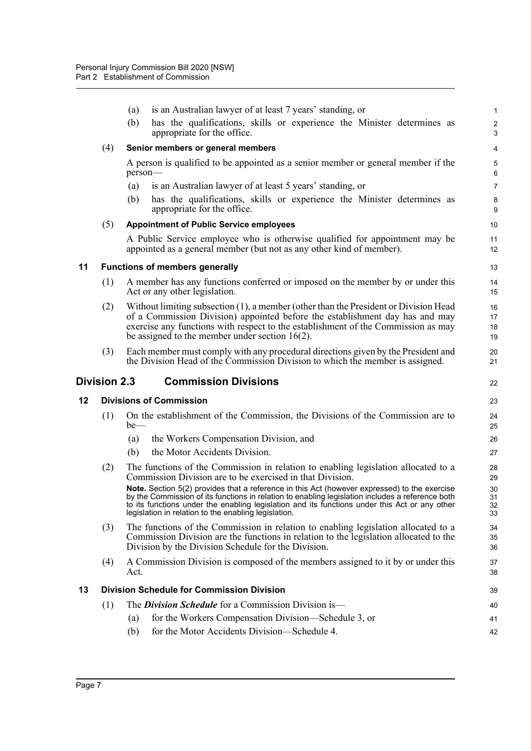<span id="page-16-3"></span><span id="page-16-2"></span><span id="page-16-1"></span><span id="page-16-0"></span>

|    |                     | is an Australian lawyer of at least 7 years' standing, or<br>(a)                                                                                                                                                                                                                                                                                          | 1                            |
|----|---------------------|-----------------------------------------------------------------------------------------------------------------------------------------------------------------------------------------------------------------------------------------------------------------------------------------------------------------------------------------------------------|------------------------------|
|    |                     | has the qualifications, skills or experience the Minister determines as<br>(b)<br>appropriate for the office.                                                                                                                                                                                                                                             | $\overline{\mathbf{c}}$<br>3 |
|    | (4)                 | Senior members or general members                                                                                                                                                                                                                                                                                                                         | 4                            |
|    |                     | A person is qualified to be appointed as a senior member or general member if the<br>person-                                                                                                                                                                                                                                                              | 5<br>6                       |
|    |                     | is an Australian lawyer of at least 5 years' standing, or<br>(a)                                                                                                                                                                                                                                                                                          | $\overline{7}$               |
|    |                     | has the qualifications, skills or experience the Minister determines as<br>(b)<br>appropriate for the office.                                                                                                                                                                                                                                             | 8<br>9                       |
|    | (5)                 | <b>Appointment of Public Service employees</b>                                                                                                                                                                                                                                                                                                            | 10                           |
|    |                     | A Public Service employee who is otherwise qualified for appointment may be<br>appointed as a general member (but not as any other kind of member).                                                                                                                                                                                                       | 11<br>12                     |
| 11 |                     | <b>Functions of members generally</b>                                                                                                                                                                                                                                                                                                                     | 13                           |
|    | (1)                 | A member has any functions conferred or imposed on the member by or under this<br>Act or any other legislation.                                                                                                                                                                                                                                           | 14<br>15                     |
|    | (2)                 | Without limiting subsection (1), a member (other than the President or Division Head<br>of a Commission Division) appointed before the establishment day has and may<br>exercise any functions with respect to the establishment of the Commission as may<br>be assigned to the member under section $16(2)$ .                                            | 16<br>17<br>18<br>19         |
|    | (3)                 | Each member must comply with any procedural directions given by the President and<br>the Division Head of the Commission Division to which the member is assigned.                                                                                                                                                                                        | 20<br>21                     |
|    | <b>Division 2.3</b> | <b>Commission Divisions</b>                                                                                                                                                                                                                                                                                                                               | 22                           |
| 12 |                     | <b>Divisions of Commission</b>                                                                                                                                                                                                                                                                                                                            | 23                           |
|    | (1)                 | On the establishment of the Commission, the Divisions of the Commission are to<br>$be$ —                                                                                                                                                                                                                                                                  | 24<br>25                     |
|    |                     | the Workers Compensation Division, and<br>(a)                                                                                                                                                                                                                                                                                                             | 26                           |
|    |                     | the Motor Accidents Division.<br>(b)                                                                                                                                                                                                                                                                                                                      | 27                           |
|    | (2)                 | The functions of the Commission in relation to enabling legislation allocated to a<br>Commission Division are to be exercised in that Division.                                                                                                                                                                                                           | 28<br>29                     |
|    |                     | Note. Section 5(2) provides that a reference in this Act (however expressed) to the exercise<br>by the Commission of its functions in relation to enabling legislation includes a reference both<br>to its functions under the enabling legislation and its functions under this Act or any other<br>legislation in relation to the enabling legislation. | 30<br>31<br>32<br>33         |
|    | (3)                 | The functions of the Commission in relation to enabling legislation allocated to a<br>Commission Division are the functions in relation to the legislation allocated to the<br>Division by the Division Schedule for the Division.                                                                                                                        | 34<br>35<br>36               |
|    | (4)                 | A Commission Division is composed of the members assigned to it by or under this                                                                                                                                                                                                                                                                          | 37                           |
| 13 |                     | Act.                                                                                                                                                                                                                                                                                                                                                      | 38                           |
|    |                     | <b>Division Schedule for Commission Division</b>                                                                                                                                                                                                                                                                                                          | 39                           |
|    | (1)                 | The <i>Division Schedule</i> for a Commission Division is—                                                                                                                                                                                                                                                                                                | 40                           |
|    |                     | for the Workers Compensation Division—Schedule 3, or<br>(a)                                                                                                                                                                                                                                                                                               | 41                           |
|    |                     | for the Motor Accidents Division—Schedule 4.<br>(b)                                                                                                                                                                                                                                                                                                       | 42                           |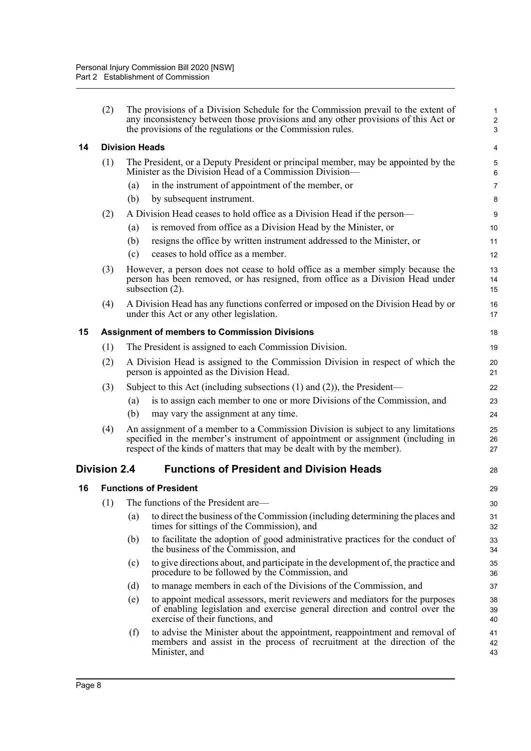<span id="page-17-3"></span><span id="page-17-2"></span><span id="page-17-1"></span><span id="page-17-0"></span>

|    | (2)                                                  | The provisions of a Division Schedule for the Commission prevail to the extent of<br>any inconsistency between those provisions and any other provisions of this Act or<br>the provisions of the regulations or the Commission rules.         | $\mathbf{1}$<br>$\overline{c}$<br>3 |  |  |
|----|------------------------------------------------------|-----------------------------------------------------------------------------------------------------------------------------------------------------------------------------------------------------------------------------------------------|-------------------------------------|--|--|
| 14 |                                                      | <b>Division Heads</b>                                                                                                                                                                                                                         | 4                                   |  |  |
|    | (1)                                                  | The President, or a Deputy President or principal member, may be appointed by the<br>Minister as the Division Head of a Commission Division-                                                                                                  | 5<br>$\,6$                          |  |  |
|    |                                                      | in the instrument of appointment of the member, or<br>(a)                                                                                                                                                                                     | $\overline{7}$                      |  |  |
|    |                                                      | by subsequent instrument.<br>(b)                                                                                                                                                                                                              | 8                                   |  |  |
|    | (2)                                                  | A Division Head ceases to hold office as a Division Head if the person—                                                                                                                                                                       | 9                                   |  |  |
|    |                                                      | is removed from office as a Division Head by the Minister, or<br>(a)                                                                                                                                                                          | 10                                  |  |  |
|    |                                                      | resigns the office by written instrument addressed to the Minister, or<br>(b)                                                                                                                                                                 | 11                                  |  |  |
|    |                                                      | ceases to hold office as a member.<br>(c)                                                                                                                                                                                                     | 12                                  |  |  |
|    | (3)                                                  | However, a person does not cease to hold office as a member simply because the<br>person has been removed, or has resigned, from office as a Division Head under<br>subsection $(2)$ .                                                        | 13<br>14<br>15                      |  |  |
|    | (4)                                                  | A Division Head has any functions conferred or imposed on the Division Head by or<br>under this Act or any other legislation.                                                                                                                 | 16<br>17                            |  |  |
| 15 | <b>Assignment of members to Commission Divisions</b> |                                                                                                                                                                                                                                               |                                     |  |  |
|    | (1)                                                  | The President is assigned to each Commission Division.                                                                                                                                                                                        | 19                                  |  |  |
|    | (2)                                                  | A Division Head is assigned to the Commission Division in respect of which the<br>person is appointed as the Division Head.                                                                                                                   | 20<br>21                            |  |  |
|    | (3)                                                  | Subject to this Act (including subsections $(1)$ and $(2)$ ), the President—                                                                                                                                                                  | 22                                  |  |  |
|    |                                                      | is to assign each member to one or more Divisions of the Commission, and<br>(a)                                                                                                                                                               | 23                                  |  |  |
|    |                                                      | (b)<br>may vary the assignment at any time.                                                                                                                                                                                                   | 24                                  |  |  |
|    | (4)                                                  | An assignment of a member to a Commission Division is subject to any limitations<br>specified in the member's instrument of appointment or assignment (including in<br>respect of the kinds of matters that may be dealt with by the member). | 25<br>26<br>27                      |  |  |
|    | <b>Division 2.4</b>                                  | <b>Functions of President and Division Heads</b>                                                                                                                                                                                              | 28                                  |  |  |
| 16 |                                                      | <b>Functions of President</b>                                                                                                                                                                                                                 | 29                                  |  |  |
|    |                                                      | (1) The functions of the President are-                                                                                                                                                                                                       | 30                                  |  |  |
|    |                                                      | to direct the business of the Commission (including determining the places and<br>(a)<br>times for sittings of the Commission), and                                                                                                           | 31<br>32                            |  |  |
|    |                                                      | to facilitate the adoption of good administrative practices for the conduct of<br>(b)<br>the business of the Commission, and                                                                                                                  | 33<br>34                            |  |  |
|    |                                                      | to give directions about, and participate in the development of, the practice and<br>(c)<br>procedure to be followed by the Commission, and                                                                                                   | 35<br>36                            |  |  |
|    |                                                      | to manage members in each of the Divisions of the Commission, and<br>(d)                                                                                                                                                                      | 37                                  |  |  |
|    |                                                      | to appoint medical assessors, merit reviewers and mediators for the purposes<br>(e)<br>of enabling legislation and exercise general direction and control over the<br>exercise of their functions, and                                        | 38<br>39<br>40                      |  |  |
|    |                                                      | to advise the Minister about the appointment, reappointment and removal of<br>(f)<br>members and assist in the process of recruitment at the direction of the<br>Minister, and                                                                | 41<br>42<br>43                      |  |  |
|    |                                                      |                                                                                                                                                                                                                                               |                                     |  |  |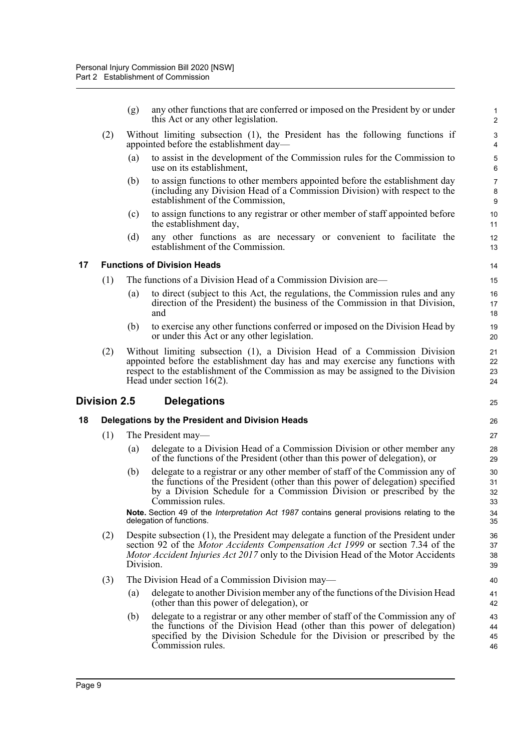(g) any other functions that are conferred or imposed on the President by or under this Act or any other legislation.

25

- (2) Without limiting subsection (1), the President has the following functions if appointed before the establishment day—
	- (a) to assist in the development of the Commission rules for the Commission to use on its establishment,
	- (b) to assign functions to other members appointed before the establishment day (including any Division Head of a Commission Division) with respect to the establishment of the Commission,
	- (c) to assign functions to any registrar or other member of staff appointed before the establishment day,
	- (d) any other functions as are necessary or convenient to facilitate the establishment of the Commission.

#### <span id="page-18-0"></span>**17 Functions of Division Heads**

- (1) The functions of a Division Head of a Commission Division are—
	- (a) to direct (subject to this Act, the regulations, the Commission rules and any direction of the President) the business of the Commission in that Division, and
	- (b) to exercise any other functions conferred or imposed on the Division Head by or under this Act or any other legislation.
- (2) Without limiting subsection (1), a Division Head of a Commission Division appointed before the establishment day has and may exercise any functions with respect to the establishment of the Commission as may be assigned to the Division Head under section 16(2).

#### <span id="page-18-1"></span>**Division 2.5 Delegations**

#### <span id="page-18-2"></span>**18 Delegations by the President and Division Heads**

- (1) The President may—
	- (a) delegate to a Division Head of a Commission Division or other member any of the functions of the President (other than this power of delegation), or
	- (b) delegate to a registrar or any other member of staff of the Commission any of the functions of the President (other than this power of delegation) specified by a Division Schedule for a Commission Division or prescribed by the Commission rules.

**Note.** Section 49 of the *Interpretation Act 1987* contains general provisions relating to the delegation of functions.

- (2) Despite subsection (1), the President may delegate a function of the President under section 92 of the *Motor Accidents Compensation Act 1999* or section 7.34 of the *Motor Accident Injuries Act 2017* only to the Division Head of the Motor Accidents Division.
- (3) The Division Head of a Commission Division may—
	- (a) delegate to another Division member any of the functions of the Division Head (other than this power of delegation), or
	- (b) delegate to a registrar or any other member of staff of the Commission any of the functions of the Division Head (other than this power of delegation) specified by the Division Schedule for the Division or prescribed by the Commission rules.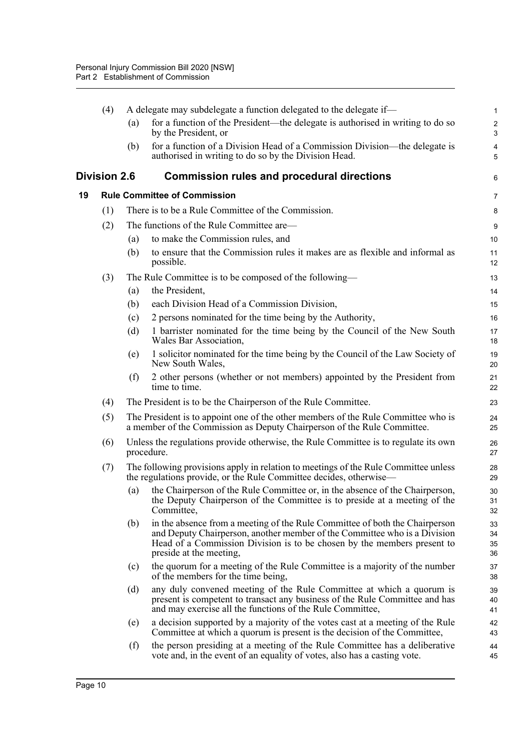<span id="page-19-1"></span><span id="page-19-0"></span>

|    | (4)          |     | A delegate may subdelegate a function delegated to the delegate if-                                                                                                                                                                                            | $\mathbf{1}$             |
|----|--------------|-----|----------------------------------------------------------------------------------------------------------------------------------------------------------------------------------------------------------------------------------------------------------------|--------------------------|
|    |              | (a) | for a function of the President—the delegate is authorised in writing to do so<br>by the President, or                                                                                                                                                         | $\sqrt{2}$<br>$\sqrt{3}$ |
|    |              | (b) | for a function of a Division Head of a Commission Division—the delegate is<br>authorised in writing to do so by the Division Head.                                                                                                                             | 4<br>5                   |
|    | Division 2.6 |     | <b>Commission rules and procedural directions</b>                                                                                                                                                                                                              | 6                        |
| 19 |              |     | <b>Rule Committee of Commission</b>                                                                                                                                                                                                                            | 7                        |
|    | (1)          |     | There is to be a Rule Committee of the Commission.                                                                                                                                                                                                             | 8                        |
|    | (2)          |     | The functions of the Rule Committee are—                                                                                                                                                                                                                       | 9                        |
|    |              | (a) | to make the Commission rules, and                                                                                                                                                                                                                              | 10                       |
|    |              | (b) | to ensure that the Commission rules it makes are as flexible and informal as<br>possible.                                                                                                                                                                      | 11<br>12                 |
|    | (3)          |     | The Rule Committee is to be composed of the following—                                                                                                                                                                                                         | 13                       |
|    |              | (a) | the President,                                                                                                                                                                                                                                                 | 14                       |
|    |              | (b) | each Division Head of a Commission Division,                                                                                                                                                                                                                   | 15                       |
|    |              | (c) | 2 persons nominated for the time being by the Authority,                                                                                                                                                                                                       | 16                       |
|    |              | (d) | 1 barrister nominated for the time being by the Council of the New South<br>Wales Bar Association,                                                                                                                                                             | 17<br>18                 |
|    |              | (e) | 1 solicitor nominated for the time being by the Council of the Law Society of<br>New South Wales,                                                                                                                                                              | 19<br>20                 |
|    |              | (f) | 2 other persons (whether or not members) appointed by the President from<br>time to time.                                                                                                                                                                      | 21<br>22                 |
|    | (4)          |     | The President is to be the Chairperson of the Rule Committee.                                                                                                                                                                                                  | 23                       |
|    | (5)          |     | The President is to appoint one of the other members of the Rule Committee who is<br>a member of the Commission as Deputy Chairperson of the Rule Committee.                                                                                                   | 24<br>25                 |
|    | (6)          |     | Unless the regulations provide otherwise, the Rule Committee is to regulate its own<br>procedure.                                                                                                                                                              | 26<br>27                 |
|    | (7)          |     | The following provisions apply in relation to meetings of the Rule Committee unless<br>the regulations provide, or the Rule Committee decides, otherwise—                                                                                                      | 28<br>29                 |
|    |              | (a) | the Chairperson of the Rule Committee or, in the absence of the Chairperson,<br>the Deputy Chairperson of the Committee is to preside at a meeting of the<br>Committee,                                                                                        | 30<br>31<br>32           |
|    |              | (b) | in the absence from a meeting of the Rule Committee of both the Chairperson<br>and Deputy Chairperson, another member of the Committee who is a Division<br>Head of a Commission Division is to be chosen by the members present to<br>preside at the meeting, | 33<br>34<br>35<br>36     |
|    |              | (c) | the quorum for a meeting of the Rule Committee is a majority of the number<br>of the members for the time being,                                                                                                                                               | 37<br>38                 |
|    |              | (d) | any duly convened meeting of the Rule Committee at which a quorum is<br>present is competent to transact any business of the Rule Committee and has<br>and may exercise all the functions of the Rule Committee,                                               | 39<br>40<br>41           |
|    |              | (e) | a decision supported by a majority of the votes cast at a meeting of the Rule<br>Committee at which a quorum is present is the decision of the Committee,                                                                                                      | 42<br>43                 |
|    |              | (f) | the person presiding at a meeting of the Rule Committee has a deliberative<br>vote and, in the event of an equality of votes, also has a casting vote.                                                                                                         | 44<br>45                 |
|    |              |     |                                                                                                                                                                                                                                                                |                          |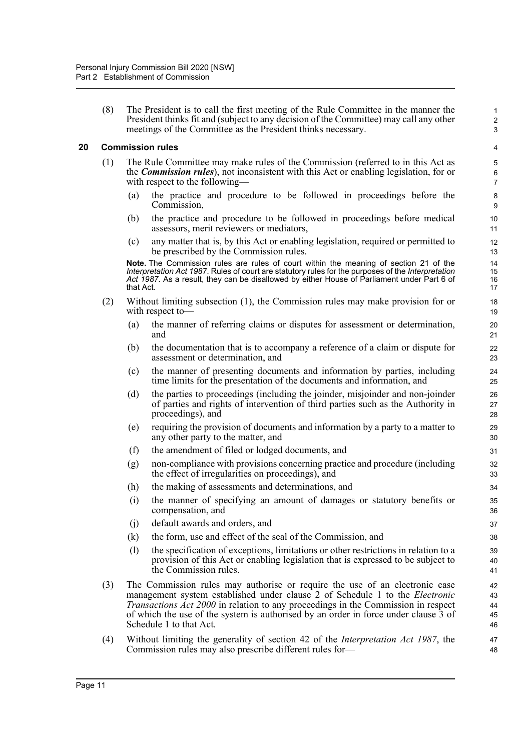(8) The President is to call the first meeting of the Rule Committee in the manner the President thinks fit and (subject to any decision of the Committee) may call any other meetings of the Committee as the President thinks necessary.

#### <span id="page-20-0"></span>**20 Commission rules**

- (1) The Rule Committee may make rules of the Commission (referred to in this Act as the *Commission rules*), not inconsistent with this Act or enabling legislation, for or with respect to the following—
	- (a) the practice and procedure to be followed in proceedings before the Commission,
	- (b) the practice and procedure to be followed in proceedings before medical assessors, merit reviewers or mediators,
	- (c) any matter that is, by this Act or enabling legislation, required or permitted to be prescribed by the Commission rules.

**Note.** The Commission rules are rules of court within the meaning of section 21 of the *Interpretation Act 1987*. Rules of court are statutory rules for the purposes of the *Interpretation Act 1987*. As a result, they can be disallowed by either House of Parliament under Part 6 of that Act.

- (2) Without limiting subsection (1), the Commission rules may make provision for or with respect to-
	- (a) the manner of referring claims or disputes for assessment or determination, and
	- (b) the documentation that is to accompany a reference of a claim or dispute for assessment or determination, and
	- (c) the manner of presenting documents and information by parties, including time limits for the presentation of the documents and information, and
	- (d) the parties to proceedings (including the joinder, misjoinder and non-joinder of parties and rights of intervention of third parties such as the Authority in proceedings), and
	- (e) requiring the provision of documents and information by a party to a matter to any other party to the matter, and
	- (f) the amendment of filed or lodged documents, and
	- (g) non-compliance with provisions concerning practice and procedure (including the effect of irregularities on proceedings), and
	- (h) the making of assessments and determinations, and
	- (i) the manner of specifying an amount of damages or statutory benefits or compensation, and
	- (j) default awards and orders, and
	- (k) the form, use and effect of the seal of the Commission, and
	- (l) the specification of exceptions, limitations or other restrictions in relation to a provision of this Act or enabling legislation that is expressed to be subject to the Commission rules.
- (3) The Commission rules may authorise or require the use of an electronic case management system established under clause 2 of Schedule 1 to the *Electronic Transactions Act 2000* in relation to any proceedings in the Commission in respect of which the use of the system is authorised by an order in force under clause 3 of Schedule 1 to that Act.
- (4) Without limiting the generality of section 42 of the *Interpretation Act 1987*, the Commission rules may also prescribe different rules for—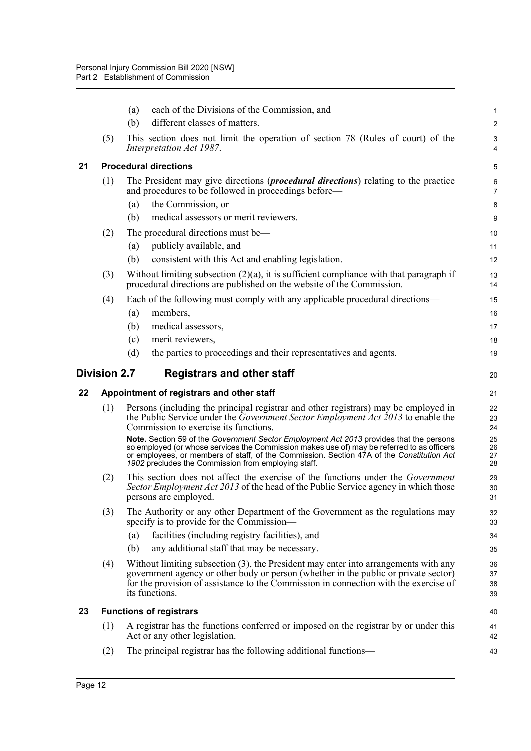<span id="page-21-3"></span><span id="page-21-2"></span><span id="page-21-1"></span><span id="page-21-0"></span>

|    |                     | (a) | each of the Divisions of the Commission, and                                                                                                                                                                                                                                                                                              | 1                       |
|----|---------------------|-----|-------------------------------------------------------------------------------------------------------------------------------------------------------------------------------------------------------------------------------------------------------------------------------------------------------------------------------------------|-------------------------|
|    |                     | (b) | different classes of matters.                                                                                                                                                                                                                                                                                                             | $\overline{\mathbf{c}}$ |
|    | (5)                 |     | This section does not limit the operation of section 78 (Rules of court) of the<br>Interpretation Act 1987.                                                                                                                                                                                                                               | 3<br>4                  |
| 21 |                     |     | <b>Procedural directions</b>                                                                                                                                                                                                                                                                                                              | 5                       |
|    | (1)                 |     | The President may give directions ( <i>procedural directions</i> ) relating to the practice<br>and procedures to be followed in proceedings before—                                                                                                                                                                                       | 6<br>7                  |
|    |                     | (a) | the Commission, or                                                                                                                                                                                                                                                                                                                        | 8                       |
|    |                     | (b) | medical assessors or merit reviewers.                                                                                                                                                                                                                                                                                                     | 9                       |
|    | (2)                 |     | The procedural directions must be—                                                                                                                                                                                                                                                                                                        | 10                      |
|    |                     | (a) | publicly available, and                                                                                                                                                                                                                                                                                                                   | 11                      |
|    |                     | (b) | consistent with this Act and enabling legislation.                                                                                                                                                                                                                                                                                        | 12                      |
|    | (3)                 |     | Without limiting subsection $(2)(a)$ , it is sufficient compliance with that paragraph if<br>procedural directions are published on the website of the Commission.                                                                                                                                                                        | 13<br>14                |
|    | (4)                 |     | Each of the following must comply with any applicable procedural directions—                                                                                                                                                                                                                                                              | 15                      |
|    |                     | (a) | members,                                                                                                                                                                                                                                                                                                                                  | 16                      |
|    |                     | (b) | medical assessors,                                                                                                                                                                                                                                                                                                                        | 17                      |
|    |                     | (c) | merit reviewers,                                                                                                                                                                                                                                                                                                                          | 18                      |
|    |                     | (d) | the parties to proceedings and their representatives and agents.                                                                                                                                                                                                                                                                          | 19                      |
|    | <b>Division 2.7</b> |     | <b>Registrars and other staff</b>                                                                                                                                                                                                                                                                                                         | 20                      |
|    |                     |     |                                                                                                                                                                                                                                                                                                                                           |                         |
| 22 |                     |     | Appointment of registrars and other staff                                                                                                                                                                                                                                                                                                 | 21                      |
|    | (1)                 |     | Persons (including the principal registrar and other registrars) may be employed in<br>the Public Service under the <i>Government Sector Employment Act 2013</i> to enable the<br>Commission to exercise its functions.                                                                                                                   | 22<br>23<br>24          |
|    |                     |     | Note. Section 59 of the Government Sector Employment Act 2013 provides that the persons<br>so employed (or whose services the Commission makes use of) may be referred to as officers<br>or employees, or members of staff, of the Commission. Section 47A of the Constitution Act<br>1902 precludes the Commission from employing staff. | 25<br>26<br>27<br>28    |
|    | (2)                 |     | This section does not affect the exercise of the functions under the <i>Government</i><br>Sector Employment Act 2013 of the head of the Public Service agency in which those<br>persons are employed.                                                                                                                                     | 29<br>30<br>31          |
|    | (3)                 |     | The Authority or any other Department of the Government as the regulations may<br>specify is to provide for the Commission—                                                                                                                                                                                                               | 32<br>33                |
|    |                     | (a) | facilities (including registry facilities), and                                                                                                                                                                                                                                                                                           | 34                      |
|    |                     | (b) | any additional staff that may be necessary.                                                                                                                                                                                                                                                                                               | 35                      |
|    | (4)                 |     | Without limiting subsection (3), the President may enter into arrangements with any<br>government agency or other body or person (whether in the public or private sector)<br>for the provision of assistance to the Commission in connection with the exercise of<br>its functions.                                                      | 36<br>37<br>38<br>39    |
| 23 |                     |     | <b>Functions of registrars</b>                                                                                                                                                                                                                                                                                                            | 40                      |
|    | (1)                 |     | A registrar has the functions conferred or imposed on the registrar by or under this<br>Act or any other legislation.                                                                                                                                                                                                                     | 41<br>42                |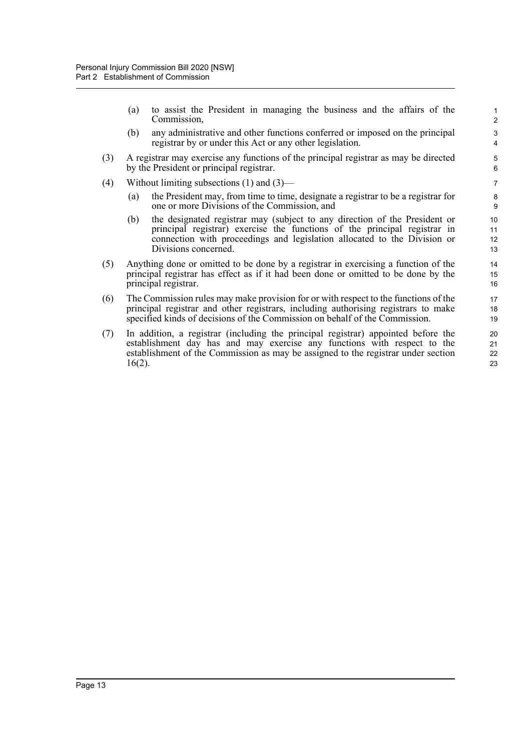(a) to assist the President in managing the business and the affairs of the Commission,

- (b) any administrative and other functions conferred or imposed on the principal registrar by or under this Act or any other legislation.
- (3) A registrar may exercise any functions of the principal registrar as may be directed by the President or principal registrar.
- (4) Without limiting subsections (1) and (3)—
	- (a) the President may, from time to time, designate a registrar to be a registrar for one or more Divisions of the Commission, and
	- (b) the designated registrar may (subject to any direction of the President or principal registrar) exercise the functions of the principal registrar in connection with proceedings and legislation allocated to the Division or Divisions concerned.
- (5) Anything done or omitted to be done by a registrar in exercising a function of the principal registrar has effect as if it had been done or omitted to be done by the principal registrar.
- (6) The Commission rules may make provision for or with respect to the functions of the principal registrar and other registrars, including authorising registrars to make specified kinds of decisions of the Commission on behalf of the Commission.
- (7) In addition, a registrar (including the principal registrar) appointed before the establishment day has and may exercise any functions with respect to the establishment of the Commission as may be assigned to the registrar under section 16(2).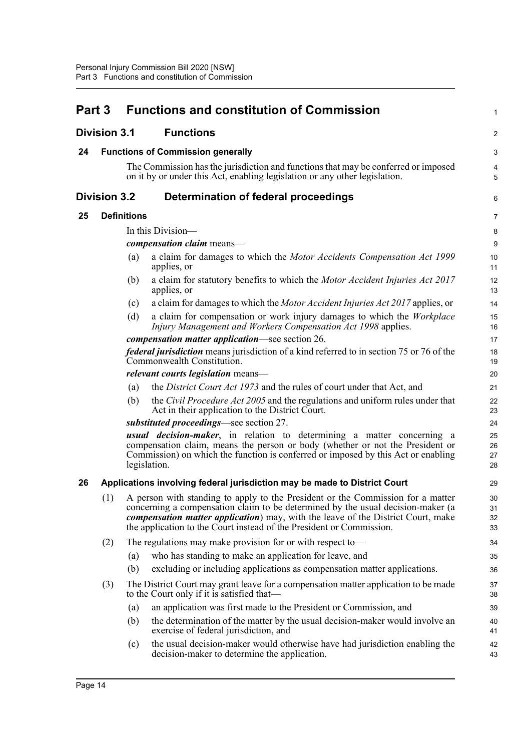<span id="page-23-5"></span><span id="page-23-4"></span><span id="page-23-3"></span><span id="page-23-2"></span><span id="page-23-1"></span><span id="page-23-0"></span>

| Part 3              |                     |                    | <b>Functions and constitution of Commission</b>                                                                                                                                                                                                                                                                                        | 1                    |
|---------------------|---------------------|--------------------|----------------------------------------------------------------------------------------------------------------------------------------------------------------------------------------------------------------------------------------------------------------------------------------------------------------------------------------|----------------------|
| <b>Division 3.1</b> |                     |                    | <b>Functions</b>                                                                                                                                                                                                                                                                                                                       | $\overline{a}$       |
| 24                  |                     |                    | <b>Functions of Commission generally</b>                                                                                                                                                                                                                                                                                               | 3                    |
|                     |                     |                    | The Commission has the jurisdiction and functions that may be conferred or imposed<br>on it by or under this Act, enabling legislation or any other legislation.                                                                                                                                                                       | 4<br>5               |
|                     | <b>Division 3.2</b> |                    | Determination of federal proceedings                                                                                                                                                                                                                                                                                                   | 6                    |
| 25                  |                     | <b>Definitions</b> |                                                                                                                                                                                                                                                                                                                                        | 7                    |
|                     |                     |                    | In this Division-                                                                                                                                                                                                                                                                                                                      | 8                    |
|                     |                     |                    | <i>compensation claim</i> means-                                                                                                                                                                                                                                                                                                       | 9                    |
|                     |                     | $\left( a\right)$  | a claim for damages to which the Motor Accidents Compensation Act 1999<br>applies, or                                                                                                                                                                                                                                                  | 10<br>11             |
|                     |                     | (b)                | a claim for statutory benefits to which the Motor Accident Injuries Act 2017<br>applies, or                                                                                                                                                                                                                                            | 12<br>13             |
|                     |                     | (c)                | a claim for damages to which the Motor Accident Injuries Act 2017 applies, or                                                                                                                                                                                                                                                          | 14                   |
|                     |                     | (d)                | a claim for compensation or work injury damages to which the Workplace<br>Injury Management and Workers Compensation Act 1998 applies.                                                                                                                                                                                                 | 15<br>16             |
|                     |                     |                    | <i>compensation matter application—see section 26.</i>                                                                                                                                                                                                                                                                                 | 17                   |
|                     |                     |                    | <i>federal jurisdiction</i> means jurisdiction of a kind referred to in section 75 or 76 of the<br>Commonwealth Constitution.                                                                                                                                                                                                          | 18<br>19             |
|                     |                     |                    | <i>relevant courts legislation</i> means—                                                                                                                                                                                                                                                                                              | 20                   |
|                     |                     | (a)                | the District Court Act 1973 and the rules of court under that Act, and                                                                                                                                                                                                                                                                 | 21                   |
|                     |                     | (b)                | the Civil Procedure Act 2005 and the regulations and uniform rules under that<br>Act in their application to the District Court.                                                                                                                                                                                                       | 22<br>23             |
|                     |                     |                    | substituted proceedings—see section 27.                                                                                                                                                                                                                                                                                                | 24                   |
|                     |                     |                    | <b>usual decision-maker</b> , in relation to determining a matter concerning a<br>compensation claim, means the person or body (whether or not the President or<br>Commission) on which the function is conferred or imposed by this Act or enabling<br>legislation.                                                                   | 25<br>26<br>27<br>28 |
| 26                  |                     |                    | Applications involving federal jurisdiction may be made to District Court                                                                                                                                                                                                                                                              | 29                   |
|                     | (1)                 |                    | A person with standing to apply to the President or the Commission for a matter<br>concerning a compensation claim to be determined by the usual decision-maker (a<br><i>compensation matter application</i> ) may, with the leave of the District Court, make<br>the application to the Court instead of the President or Commission. | 30<br>31<br>32<br>33 |
|                     | (2)                 |                    | The regulations may make provision for or with respect to-                                                                                                                                                                                                                                                                             | 34                   |
|                     |                     | (a)                | who has standing to make an application for leave, and                                                                                                                                                                                                                                                                                 | 35                   |
|                     |                     | (b)                | excluding or including applications as compensation matter applications.                                                                                                                                                                                                                                                               | 36                   |
|                     | (3)                 |                    | The District Court may grant leave for a compensation matter application to be made<br>to the Court only if it is satisfied that—                                                                                                                                                                                                      | 37<br>38             |
|                     |                     | (a)                | an application was first made to the President or Commission, and                                                                                                                                                                                                                                                                      | 39                   |
|                     |                     | (b)                | the determination of the matter by the usual decision-maker would involve an<br>exercise of federal jurisdiction, and                                                                                                                                                                                                                  | 40<br>41             |
|                     |                     | (c)                | the usual decision-maker would otherwise have had jurisdiction enabling the<br>decision-maker to determine the application.                                                                                                                                                                                                            | 42<br>43             |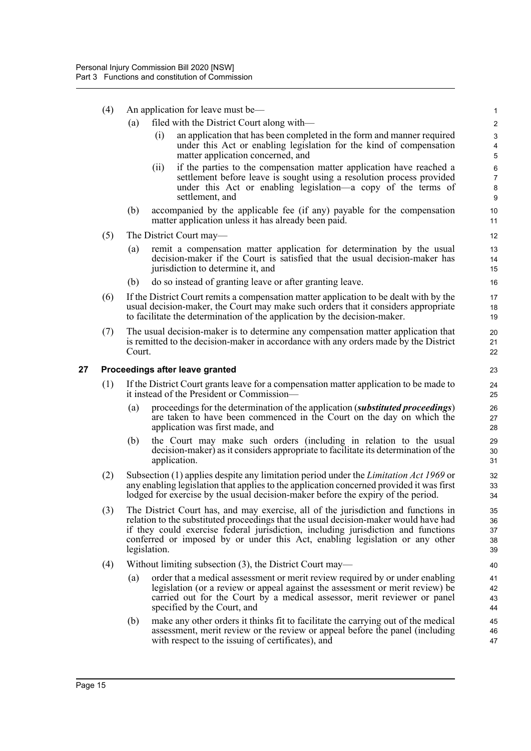- (4) An application for leave must be—
	- (a) filed with the District Court along with—
		- (i) an application that has been completed in the form and manner required under this Act or enabling legislation for the kind of compensation matter application concerned, and

- (ii) if the parties to the compensation matter application have reached a settlement before leave is sought using a resolution process provided under this Act or enabling legislation—a copy of the terms of settlement, and
- (b) accompanied by the applicable fee (if any) payable for the compensation matter application unless it has already been paid.
- (5) The District Court may—
	- (a) remit a compensation matter application for determination by the usual decision-maker if the Court is satisfied that the usual decision-maker has jurisdiction to determine it, and
	- (b) do so instead of granting leave or after granting leave.
- (6) If the District Court remits a compensation matter application to be dealt with by the usual decision-maker, the Court may make such orders that it considers appropriate to facilitate the determination of the application by the decision-maker.
- (7) The usual decision-maker is to determine any compensation matter application that is remitted to the decision-maker in accordance with any orders made by the District Court.

#### <span id="page-24-0"></span>**27 Proceedings after leave granted**

- (1) If the District Court grants leave for a compensation matter application to be made to it instead of the President or Commission—
	- (a) proceedings for the determination of the application (*substituted proceedings*) are taken to have been commenced in the Court on the day on which the application was first made, and
	- (b) the Court may make such orders (including in relation to the usual decision-maker) as it considers appropriate to facilitate its determination of the application.
- (2) Subsection (1) applies despite any limitation period under the *Limitation Act 1969* or any enabling legislation that applies to the application concerned provided it was first lodged for exercise by the usual decision-maker before the expiry of the period.
- (3) The District Court has, and may exercise, all of the jurisdiction and functions in relation to the substituted proceedings that the usual decision-maker would have had if they could exercise federal jurisdiction, including jurisdiction and functions conferred or imposed by or under this Act, enabling legislation or any other legislation.
- (4) Without limiting subsection (3), the District Court may—
	- (a) order that a medical assessment or merit review required by or under enabling legislation (or a review or appeal against the assessment or merit review) be carried out for the Court by a medical assessor, merit reviewer or panel specified by the Court, and
	- (b) make any other orders it thinks fit to facilitate the carrying out of the medical assessment, merit review or the review or appeal before the panel (including with respect to the issuing of certificates), and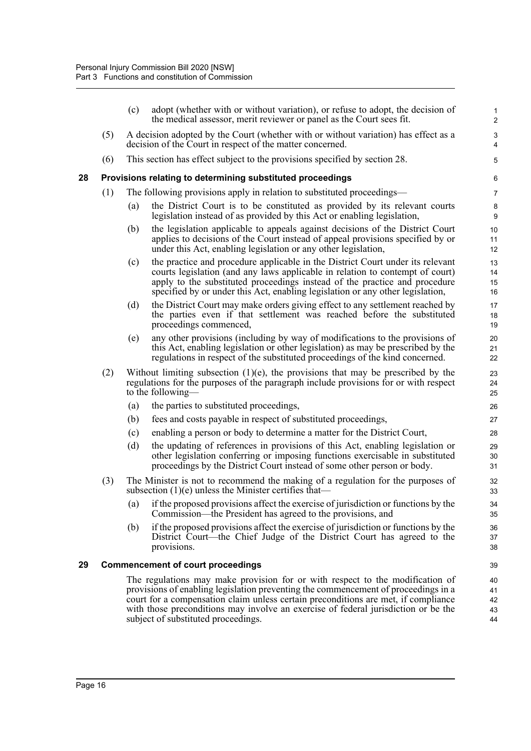<span id="page-25-1"></span><span id="page-25-0"></span>

|    |     | (c) | adopt (whether with or without variation), or refuse to adopt, the decision of<br>the medical assessor, merit reviewer or panel as the Court sees fit.                                                                                                                                                                                                                                 | 1<br>$\overline{2}$            |
|----|-----|-----|----------------------------------------------------------------------------------------------------------------------------------------------------------------------------------------------------------------------------------------------------------------------------------------------------------------------------------------------------------------------------------------|--------------------------------|
|    | (5) |     | A decision adopted by the Court (whether with or without variation) has effect as a<br>decision of the Court in respect of the matter concerned.                                                                                                                                                                                                                                       | $\ensuremath{\mathsf{3}}$<br>4 |
|    | (6) |     | This section has effect subject to the provisions specified by section 28.                                                                                                                                                                                                                                                                                                             | 5                              |
| 28 |     |     | Provisions relating to determining substituted proceedings                                                                                                                                                                                                                                                                                                                             | 6                              |
|    | (1) |     | The following provisions apply in relation to substituted proceedings—                                                                                                                                                                                                                                                                                                                 | $\overline{7}$                 |
|    |     | (a) | the District Court is to be constituted as provided by its relevant courts<br>legislation instead of as provided by this Act or enabling legislation,                                                                                                                                                                                                                                  | $\bf 8$<br>9                   |
|    |     | (b) | the legislation applicable to appeals against decisions of the District Court<br>applies to decisions of the Court instead of appeal provisions specified by or<br>under this Act, enabling legislation or any other legislation,                                                                                                                                                      | 10<br>11<br>12                 |
|    |     | (c) | the practice and procedure applicable in the District Court under its relevant<br>courts legislation (and any laws applicable in relation to contempt of court)<br>apply to the substituted proceedings instead of the practice and procedure<br>specified by or under this Act, enabling legislation or any other legislation,                                                        | 13<br>14<br>15<br>16           |
|    |     | (d) | the District Court may make orders giving effect to any settlement reached by<br>the parties even if that settlement was reached before the substituted<br>proceedings commenced,                                                                                                                                                                                                      | 17<br>18<br>19                 |
|    |     | (e) | any other provisions (including by way of modifications to the provisions of<br>this Act, enabling legislation or other legislation) as may be prescribed by the<br>regulations in respect of the substituted proceedings of the kind concerned.                                                                                                                                       | 20<br>21<br>22                 |
|    | (2) |     | Without limiting subsection $(1)(e)$ , the provisions that may be prescribed by the<br>regulations for the purposes of the paragraph include provisions for or with respect<br>to the following—                                                                                                                                                                                       | 23<br>24<br>25                 |
|    |     | (a) | the parties to substituted proceedings,                                                                                                                                                                                                                                                                                                                                                | 26                             |
|    |     | (b) | fees and costs payable in respect of substituted proceedings,                                                                                                                                                                                                                                                                                                                          | 27                             |
|    |     | (c) | enabling a person or body to determine a matter for the District Court,                                                                                                                                                                                                                                                                                                                | 28                             |
|    |     | (d) | the updating of references in provisions of this Act, enabling legislation or<br>other legislation conferring or imposing functions exercisable in substituted<br>proceedings by the District Court instead of some other person or body.                                                                                                                                              | 29<br>30<br>31                 |
|    | (3) |     | The Minister is not to recommend the making of a regulation for the purposes of<br>subsection $(1)(e)$ unless the Minister certifies that—                                                                                                                                                                                                                                             | 32<br>33                       |
|    |     | (a) | if the proposed provisions affect the exercise of jurisdiction or functions by the<br>Commission—the President has agreed to the provisions, and                                                                                                                                                                                                                                       | 34<br>35                       |
|    |     | (b) | if the proposed provisions affect the exercise of jurisdiction or functions by the<br>District Court—the Chief Judge of the District Court has agreed to the<br>provisions.                                                                                                                                                                                                            | 36<br>37<br>38                 |
| 29 |     |     | <b>Commencement of court proceedings</b>                                                                                                                                                                                                                                                                                                                                               | 39                             |
|    |     |     | The regulations may make provision for or with respect to the modification of<br>provisions of enabling legislation preventing the commencement of proceedings in a<br>court for a compensation claim unless certain preconditions are met, if compliance<br>with those preconditions may involve an exercise of federal jurisdiction or be the<br>subject of substituted proceedings. | 40<br>41<br>42<br>43<br>44     |
|    |     |     |                                                                                                                                                                                                                                                                                                                                                                                        |                                |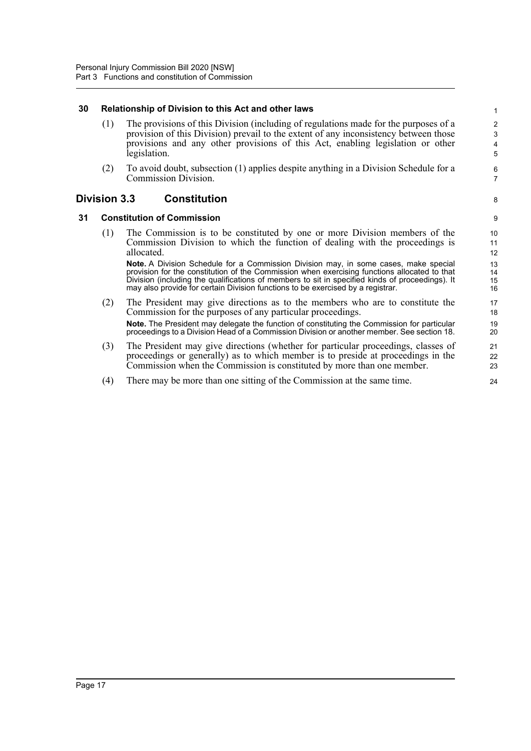#### <span id="page-26-0"></span>**30 Relationship of Division to this Act and other laws**

(1) The provisions of this Division (including of regulations made for the purposes of a provision of this Division) prevail to the extent of any inconsistency between those provisions and any other provisions of this Act, enabling legislation or other legislation.

8

(2) To avoid doubt, subsection (1) applies despite anything in a Division Schedule for a Commission Division.

#### <span id="page-26-1"></span>**Division 3.3 Constitution**

#### <span id="page-26-2"></span>**31 Constitution of Commission**

(1) The Commission is to be constituted by one or more Division members of the Commission Division to which the function of dealing with the proceedings is allocated.

**Note.** A Division Schedule for a Commission Division may, in some cases, make special provision for the constitution of the Commission when exercising functions allocated to that Division (including the qualifications of members to sit in specified kinds of proceedings). It may also provide for certain Division functions to be exercised by a registrar.

- (2) The President may give directions as to the members who are to constitute the Commission for the purposes of any particular proceedings. **Note.** The President may delegate the function of constituting the Commission for particular proceedings to a Division Head of a Commission Division or another member. See section 18.
- (3) The President may give directions (whether for particular proceedings, classes of proceedings or generally) as to which member is to preside at proceedings in the Commission when the Commission is constituted by more than one member.
- (4) There may be more than one sitting of the Commission at the same time.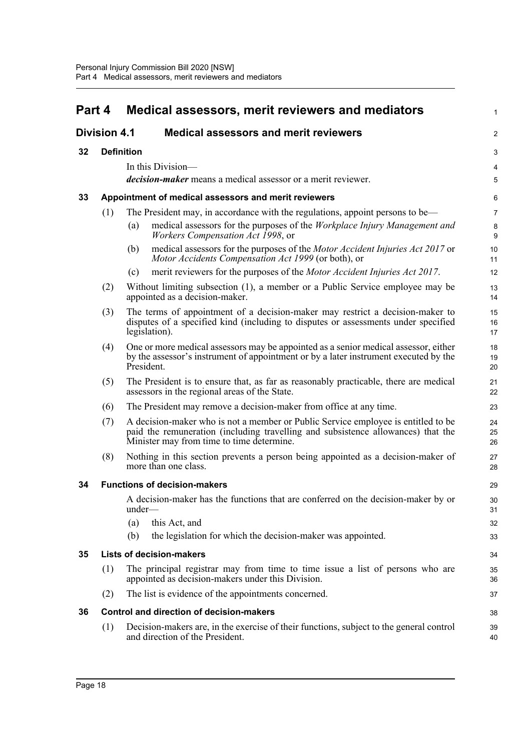<span id="page-27-6"></span><span id="page-27-5"></span><span id="page-27-4"></span><span id="page-27-3"></span><span id="page-27-2"></span><span id="page-27-1"></span><span id="page-27-0"></span>

| Part 4<br><b>Division 4.1</b> |                                     | Medical assessors, merit reviewers and mediators                                                                                                                                                                   |                |  |
|-------------------------------|-------------------------------------|--------------------------------------------------------------------------------------------------------------------------------------------------------------------------------------------------------------------|----------------|--|
|                               |                                     | <b>Medical assessors and merit reviewers</b>                                                                                                                                                                       | $\overline{2}$ |  |
| 32                            |                                     | <b>Definition</b>                                                                                                                                                                                                  |                |  |
|                               |                                     | In this Division-                                                                                                                                                                                                  | 4              |  |
|                               |                                     | <i>decision-maker</i> means a medical assessor or a merit reviewer.                                                                                                                                                | 5              |  |
| 33                            |                                     | Appointment of medical assessors and merit reviewers                                                                                                                                                               | 6              |  |
|                               | (1)                                 | The President may, in accordance with the regulations, appoint persons to be—                                                                                                                                      | $\overline{7}$ |  |
|                               |                                     | medical assessors for the purposes of the Workplace Injury Management and<br>$\left( a\right)$<br><i>Workers Compensation Act 1998, or</i>                                                                         | 8<br>9         |  |
|                               |                                     | medical assessors for the purposes of the Motor Accident Injuries Act 2017 or<br>(b)<br>Motor Accidents Compensation Act 1999 (or both), or                                                                        | 10<br>11       |  |
|                               |                                     | merit reviewers for the purposes of the <i>Motor Accident Injuries Act 2017</i> .<br>(c)                                                                                                                           | 12             |  |
|                               | (2)                                 | Without limiting subsection (1), a member or a Public Service employee may be<br>appointed as a decision-maker.                                                                                                    | 13<br>14       |  |
|                               | (3)                                 | The terms of appointment of a decision-maker may restrict a decision-maker to<br>disputes of a specified kind (including to disputes or assessments under specified<br>legislation).                               | 15<br>16<br>17 |  |
|                               | (4)                                 | One or more medical assessors may be appointed as a senior medical assessor, either<br>by the assessor's instrument of appointment or by a later instrument executed by the<br>President.                          | 18<br>19<br>20 |  |
|                               | (5)                                 | The President is to ensure that, as far as reasonably practicable, there are medical<br>assessors in the regional areas of the State.                                                                              | 21<br>22       |  |
|                               | (6)                                 | The President may remove a decision-maker from office at any time.                                                                                                                                                 | 23             |  |
|                               | (7)                                 | A decision-maker who is not a member or Public Service employee is entitled to be<br>paid the remuneration (including travelling and subsistence allowances) that the<br>Minister may from time to time determine. | 24<br>25<br>26 |  |
|                               | (8)                                 | Nothing in this section prevents a person being appointed as a decision-maker of<br>more than one class.                                                                                                           | 27<br>28       |  |
| 34                            | <b>Functions of decision-makers</b> |                                                                                                                                                                                                                    | 29             |  |
|                               |                                     | A decision-maker has the functions that are conferred on the decision-maker by or<br>under—                                                                                                                        | 30<br>31       |  |
|                               |                                     | (a)<br>this Act, and                                                                                                                                                                                               | 32             |  |
|                               |                                     | (b)<br>the legislation for which the decision-maker was appointed.                                                                                                                                                 | 33             |  |
| 35                            |                                     | <b>Lists of decision-makers</b>                                                                                                                                                                                    | 34             |  |
|                               | (1)                                 | The principal registrar may from time to time issue a list of persons who are<br>appointed as decision-makers under this Division.                                                                                 | 35<br>36       |  |
|                               | (2)                                 | The list is evidence of the appointments concerned.                                                                                                                                                                | 37             |  |
| 36                            |                                     | <b>Control and direction of decision-makers</b>                                                                                                                                                                    | 38             |  |
|                               | (1)                                 | Decision-makers are, in the exercise of their functions, subject to the general control<br>and direction of the President.                                                                                         | 39<br>40       |  |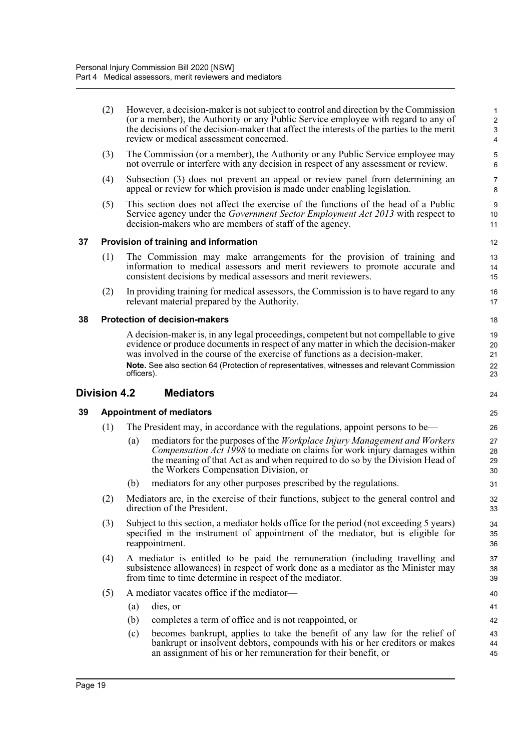<span id="page-28-3"></span><span id="page-28-2"></span><span id="page-28-1"></span><span id="page-28-0"></span>

|    | (2)                 | However, a decision-maker is not subject to control and direction by the Commission<br>(or a member), the Authority or any Public Service employee with regard to any of<br>the decisions of the decision-maker that affect the interests of the parties to the merit<br>review or medical assessment concerned. | $\mathbf{1}$<br>$\sqrt{2}$<br>$\sqrt{3}$<br>4 |
|----|---------------------|------------------------------------------------------------------------------------------------------------------------------------------------------------------------------------------------------------------------------------------------------------------------------------------------------------------|-----------------------------------------------|
|    | (3)                 | The Commission (or a member), the Authority or any Public Service employee may<br>not overrule or interfere with any decision in respect of any assessment or review.                                                                                                                                            | 5<br>6                                        |
|    | (4)                 | Subsection (3) does not prevent an appeal or review panel from determining an<br>appeal or review for which provision is made under enabling legislation.                                                                                                                                                        | $\overline{7}$<br>8                           |
|    | (5)                 | This section does not affect the exercise of the functions of the head of a Public<br>Service agency under the Government Sector Employment Act 2013 with respect to<br>decision-makers who are members of staff of the agency.                                                                                  | 9<br>10<br>11                                 |
| 37 |                     | Provision of training and information                                                                                                                                                                                                                                                                            | 12                                            |
|    | (1)                 | The Commission may make arrangements for the provision of training and<br>information to medical assessors and merit reviewers to promote accurate and<br>consistent decisions by medical assessors and merit reviewers.                                                                                         | 13<br>14<br>15                                |
|    | (2)                 | In providing training for medical assessors, the Commission is to have regard to any<br>relevant material prepared by the Authority.                                                                                                                                                                             | 16<br>17                                      |
| 38 |                     | <b>Protection of decision-makers</b>                                                                                                                                                                                                                                                                             | 18                                            |
|    |                     | A decision-maker is, in any legal proceedings, competent but not compellable to give<br>evidence or produce documents in respect of any matter in which the decision-maker<br>was involved in the course of the exercise of functions as a decision-maker.                                                       | 19<br>20<br>21                                |
|    |                     | Note. See also section 64 (Protection of representatives, witnesses and relevant Commission<br>officers).                                                                                                                                                                                                        | 22<br>23                                      |
|    | <b>Division 4.2</b> | <b>Mediators</b>                                                                                                                                                                                                                                                                                                 | 24                                            |
| 39 |                     | <b>Appointment of mediators</b>                                                                                                                                                                                                                                                                                  | 25                                            |
|    | (1)                 | The President may, in accordance with the regulations, appoint persons to be—                                                                                                                                                                                                                                    | 26                                            |
|    |                     | mediators for the purposes of the Workplace Injury Management and Workers<br>(a)<br><i>Compensation Act 1998</i> to mediate on claims for work injury damages within<br>the meaning of that Act as and when required to do so by the Division Head of<br>the Workers Compensation Division, or                   | 27<br>28<br>29<br>30                          |
|    |                     | mediators for any other purposes prescribed by the regulations.<br>(b)                                                                                                                                                                                                                                           | 31                                            |
|    | (2)                 | Mediators are, in the exercise of their functions, subject to the general control and<br>direction of the President.                                                                                                                                                                                             | 32<br>33                                      |
|    | (3)                 | Subject to this section, a mediator holds office for the period (not exceeding 5 years)<br>specified in the instrument of appointment of the mediator, but is eligible for<br>reappointment.                                                                                                                     | 34<br>35<br>36                                |
|    | (4)                 | A mediator is entitled to be paid the remuneration (including travelling and<br>subsistence allowances) in respect of work done as a mediator as the Minister may<br>from time to time determine in respect of the mediator.                                                                                     | 37<br>38<br>39                                |
|    | (5)                 | A mediator vacates office if the mediator-                                                                                                                                                                                                                                                                       | 40                                            |
|    |                     | (a)<br>dies, or                                                                                                                                                                                                                                                                                                  | 41                                            |
|    |                     | completes a term of office and is not reappointed, or<br>(b)                                                                                                                                                                                                                                                     | 42                                            |
|    |                     | becomes bankrupt, applies to take the benefit of any law for the relief of<br>(c)                                                                                                                                                                                                                                | 43                                            |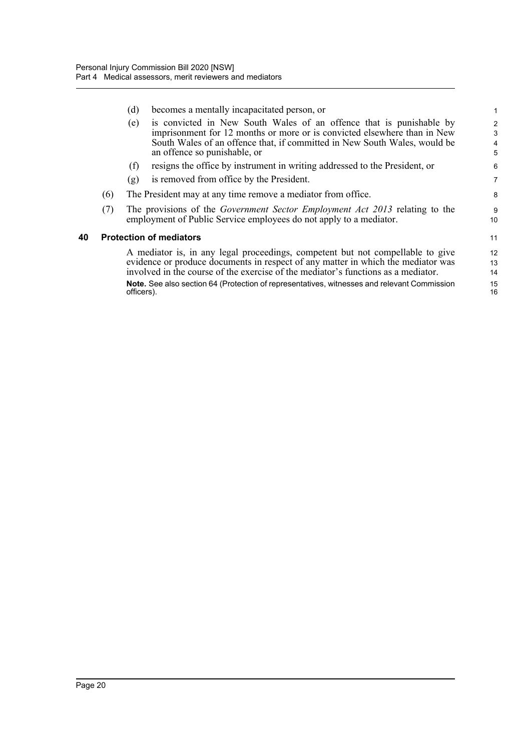<span id="page-29-0"></span>

|     | (d) | becomes a mentally incapacitated person, or                                                                                                                                                                                                                  | 1                                                                                                                                                                                                                                                                                                                                                                                                                                                                                                                                                                                                                           |
|-----|-----|--------------------------------------------------------------------------------------------------------------------------------------------------------------------------------------------------------------------------------------------------------------|-----------------------------------------------------------------------------------------------------------------------------------------------------------------------------------------------------------------------------------------------------------------------------------------------------------------------------------------------------------------------------------------------------------------------------------------------------------------------------------------------------------------------------------------------------------------------------------------------------------------------------|
|     | (e) | is convicted in New South Wales of an offence that is punishable by<br>imprisonment for 12 months or more or is convicted elsewhere than in New<br>South Wales of an offence that, if committed in New South Wales, would be<br>an offence so punishable, or | 2<br>3<br>4<br>5                                                                                                                                                                                                                                                                                                                                                                                                                                                                                                                                                                                                            |
|     | (f) | resigns the office by instrument in writing addressed to the President, or                                                                                                                                                                                   | 6                                                                                                                                                                                                                                                                                                                                                                                                                                                                                                                                                                                                                           |
|     | (g) | is removed from office by the President.                                                                                                                                                                                                                     | $\overline{7}$                                                                                                                                                                                                                                                                                                                                                                                                                                                                                                                                                                                                              |
| (6) |     |                                                                                                                                                                                                                                                              | 8                                                                                                                                                                                                                                                                                                                                                                                                                                                                                                                                                                                                                           |
| (7) |     |                                                                                                                                                                                                                                                              | 9<br>10                                                                                                                                                                                                                                                                                                                                                                                                                                                                                                                                                                                                                     |
|     |     |                                                                                                                                                                                                                                                              | 11                                                                                                                                                                                                                                                                                                                                                                                                                                                                                                                                                                                                                          |
|     |     |                                                                                                                                                                                                                                                              | 12<br>13<br>14<br>15<br>16                                                                                                                                                                                                                                                                                                                                                                                                                                                                                                                                                                                                  |
|     |     |                                                                                                                                                                                                                                                              | The President may at any time remove a mediator from office.<br>The provisions of the Government Sector Employment Act 2013 relating to the<br>employment of Public Service employees do not apply to a mediator.<br><b>Protection of mediators</b><br>A mediator is, in any legal proceedings, competent but not compellable to give<br>evidence or produce documents in respect of any matter in which the mediator was<br>involved in the course of the exercise of the mediator's functions as a mediator.<br>Note. See also section 64 (Protection of representatives, witnesses and relevant Commission<br>officers). |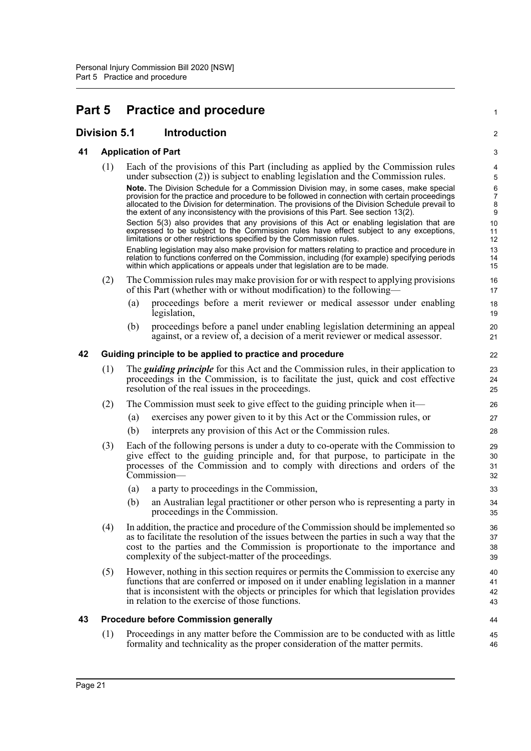# <span id="page-30-0"></span>**Part 5 Practice and procedure**

### <span id="page-30-1"></span>**Division 5.1 Introduction**

# <span id="page-30-2"></span>**41 Application of Part**

<span id="page-30-4"></span><span id="page-30-3"></span>

| 41 |     | <b>Application of Part</b>                                                                                                                                                                                                                                                                                                | 3                        |
|----|-----|---------------------------------------------------------------------------------------------------------------------------------------------------------------------------------------------------------------------------------------------------------------------------------------------------------------------------|--------------------------|
|    | (1) | Each of the provisions of this Part (including as applied by the Commission rules<br>under subsection $(2)$ ) is subject to enabling legislation and the Commission rules.<br>Note. The Division Schedule for a Commission Division may, in some cases, make special                                                      | 4<br>5<br>6              |
|    |     | provision for the practice and procedure to be followed in connection with certain proceedings<br>allocated to the Division for determination. The provisions of the Division Schedule prevail to<br>the extent of any inconsistency with the provisions of this Part. See section 13(2).                                 | $\overline{7}$<br>8<br>9 |
|    |     | Section 5(3) also provides that any provisions of this Act or enabling legislation that are<br>expressed to be subject to the Commission rules have effect subject to any exceptions,<br>limitations or other restrictions specified by the Commission rules.                                                             | 10<br>11<br>12           |
|    |     | Enabling legislation may also make provision for matters relating to practice and procedure in<br>relation to functions conferred on the Commission, including (for example) specifying periods<br>within which applications or appeals under that legislation are to be made.                                            | 13<br>14<br>15           |
|    | (2) | The Commission rules may make provision for or with respect to applying provisions<br>of this Part (whether with or without modification) to the following—                                                                                                                                                               | 16<br>17                 |
|    |     | proceedings before a merit reviewer or medical assessor under enabling<br>(a)<br>legislation,                                                                                                                                                                                                                             | 18<br>19                 |
|    |     | proceedings before a panel under enabling legislation determining an appeal<br>(b)<br>against, or a review of, a decision of a merit reviewer or medical assessor.                                                                                                                                                        | 20<br>21                 |
| 42 |     | Guiding principle to be applied to practice and procedure                                                                                                                                                                                                                                                                 | 22                       |
|    | (1) | The <i>guiding principle</i> for this Act and the Commission rules, in their application to<br>proceedings in the Commission, is to facilitate the just, quick and cost effective<br>resolution of the real issues in the proceedings.                                                                                    | 23<br>24<br>25           |
|    | (2) | The Commission must seek to give effect to the guiding principle when it—                                                                                                                                                                                                                                                 | 26                       |
|    |     | exercises any power given to it by this Act or the Commission rules, or<br>(a)                                                                                                                                                                                                                                            | 27                       |
|    |     | (b)<br>interprets any provision of this Act or the Commission rules.                                                                                                                                                                                                                                                      | 28                       |
|    | (3) | Each of the following persons is under a duty to co-operate with the Commission to<br>give effect to the guiding principle and, for that purpose, to participate in the<br>processes of the Commission and to comply with directions and orders of the<br>Commission-                                                     | 29<br>30<br>31<br>32     |
|    |     | a party to proceedings in the Commission,<br>(a)                                                                                                                                                                                                                                                                          | 33                       |
|    |     | (b)<br>an Australian legal practitioner or other person who is representing a party in<br>proceedings in the Commission.                                                                                                                                                                                                  | 34<br>35                 |
|    | (4) | In addition, the practice and procedure of the Commission should be implemented so<br>as to facilitate the resolution of the issues between the parties in such a way that the<br>cost to the parties and the Commission is proportionate to the importance and<br>complexity of the subject-matter of the proceedings.   | 36<br>37<br>38<br>39     |
|    | (5) | However, nothing in this section requires or permits the Commission to exercise any<br>functions that are conferred or imposed on it under enabling legislation in a manner<br>that is inconsistent with the objects or principles for which that legislation provides<br>in relation to the exercise of those functions. | 40<br>41<br>42<br>43     |
| 43 |     | <b>Procedure before Commission generally</b>                                                                                                                                                                                                                                                                              | 44                       |
|    | (1) | Proceedings in any matter before the Commission are to be conducted with as little<br>formality and technicality as the proper consideration of the matter permits.                                                                                                                                                       | 45<br>46                 |
|    |     |                                                                                                                                                                                                                                                                                                                           |                          |

1

2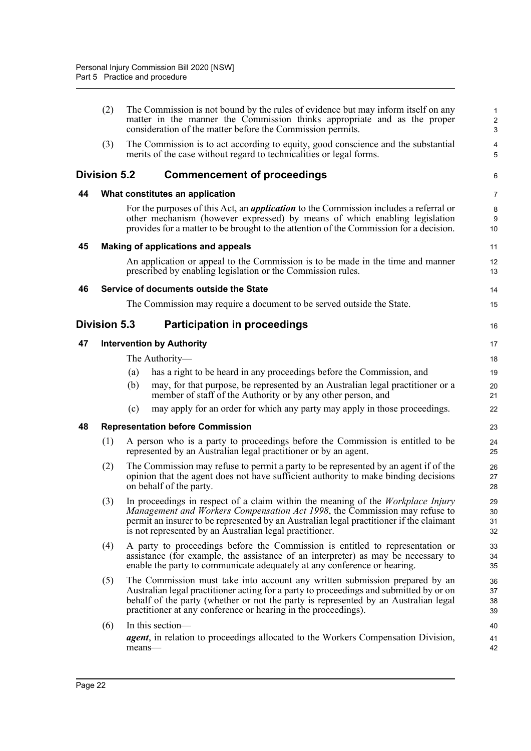<span id="page-31-6"></span><span id="page-31-5"></span><span id="page-31-4"></span><span id="page-31-3"></span><span id="page-31-2"></span><span id="page-31-1"></span><span id="page-31-0"></span>

|    | (2)                 | The Commission is not bound by the rules of evidence but may inform itself on any<br>matter in the manner the Commission thinks appropriate and as the proper<br>consideration of the matter before the Commission permits.                                                                                                    | 1<br>$\overline{\mathbf{c}}$<br>3 |
|----|---------------------|--------------------------------------------------------------------------------------------------------------------------------------------------------------------------------------------------------------------------------------------------------------------------------------------------------------------------------|-----------------------------------|
|    | (3)                 | The Commission is to act according to equity, good conscience and the substantial<br>merits of the case without regard to technicalities or legal forms.                                                                                                                                                                       | 4<br>5                            |
|    | <b>Division 5.2</b> | <b>Commencement of proceedings</b>                                                                                                                                                                                                                                                                                             | 6                                 |
| 44 |                     | What constitutes an application                                                                                                                                                                                                                                                                                                | 7                                 |
|    |                     | For the purposes of this Act, an <i>application</i> to the Commission includes a referral or<br>other mechanism (however expressed) by means of which enabling legislation<br>provides for a matter to be brought to the attention of the Commission for a decision.                                                           | 8<br>9<br>10                      |
| 45 |                     | Making of applications and appeals                                                                                                                                                                                                                                                                                             | 11                                |
|    |                     | An application or appeal to the Commission is to be made in the time and manner<br>prescribed by enabling legislation or the Commission rules.                                                                                                                                                                                 | 12<br>13                          |
| 46 |                     | Service of documents outside the State                                                                                                                                                                                                                                                                                         | 14                                |
|    |                     | The Commission may require a document to be served outside the State.                                                                                                                                                                                                                                                          | 15                                |
|    | Division 5.3        | <b>Participation in proceedings</b>                                                                                                                                                                                                                                                                                            | 16                                |
| 47 |                     | <b>Intervention by Authority</b>                                                                                                                                                                                                                                                                                               | 17                                |
|    |                     | The Authority-                                                                                                                                                                                                                                                                                                                 | 18                                |
|    |                     | has a right to be heard in any proceedings before the Commission, and<br>(a)                                                                                                                                                                                                                                                   | 19                                |
|    |                     | (b)<br>may, for that purpose, be represented by an Australian legal practitioner or a<br>member of staff of the Authority or by any other person, and                                                                                                                                                                          | 20<br>21                          |
|    |                     | may apply for an order for which any party may apply in those proceedings.<br>(c)                                                                                                                                                                                                                                              | 22                                |
| 48 |                     | <b>Representation before Commission</b>                                                                                                                                                                                                                                                                                        | 23                                |
|    | (1)                 | A person who is a party to proceedings before the Commission is entitled to be<br>represented by an Australian legal practitioner or by an agent.                                                                                                                                                                              | 24<br>25                          |
|    | (2)                 | The Commission may refuse to permit a party to be represented by an agent if of the<br>opinion that the agent does not have sufficient authority to make binding decisions<br>on behalf of the party.                                                                                                                          | 26<br>27<br>28                    |
|    | (3)                 | In proceedings in respect of a claim within the meaning of the Workplace Injury<br><i>Management and Workers Compensation Act 1998</i> , the Commission may refuse to<br>permit an insurer to be represented by an Australian legal practitioner if the claimant<br>is not represented by an Australian legal practitioner.    | 29<br>30<br>31<br>32              |
|    | (4)                 | A party to proceedings before the Commission is entitled to representation or<br>assistance (for example, the assistance of an interpreter) as may be necessary to<br>enable the party to communicate adequately at any conference or hearing.                                                                                 | 33<br>34<br>35                    |
|    | (5)                 | The Commission must take into account any written submission prepared by an<br>Australian legal practitioner acting for a party to proceedings and submitted by or on<br>behalf of the party (whether or not the party is represented by an Australian legal<br>practitioner at any conference or hearing in the proceedings). | 36<br>37<br>38<br>39              |
|    | (6)                 | In this section-                                                                                                                                                                                                                                                                                                               | 40                                |
|    |                     | <i>agent</i> , in relation to proceedings allocated to the Workers Compensation Division,<br>means-                                                                                                                                                                                                                            | 41<br>42                          |
|    |                     |                                                                                                                                                                                                                                                                                                                                |                                   |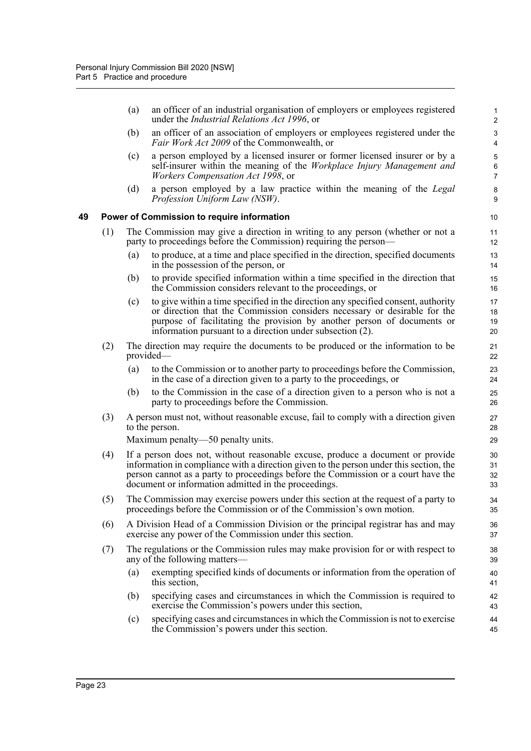<span id="page-32-0"></span>

|    |     | (a) | an officer of an industrial organisation of employers or employees registered<br>under the <i>Industrial Relations Act 1996</i> , or                                                                                                                                                                                  | $\mathbf{1}$<br>$\overline{c}$ |
|----|-----|-----|-----------------------------------------------------------------------------------------------------------------------------------------------------------------------------------------------------------------------------------------------------------------------------------------------------------------------|--------------------------------|
|    |     | (b) | an officer of an association of employers or employees registered under the<br><i>Fair Work Act 2009</i> of the Commonwealth, or                                                                                                                                                                                      | 3<br>4                         |
|    |     | (c) | a person employed by a licensed insurer or former licensed insurer or by a<br>self-insurer within the meaning of the Workplace Injury Management and<br><i>Workers Compensation Act 1998, or</i>                                                                                                                      | 5<br>6<br>$\overline{7}$       |
|    |     | (d) | a person employed by a law practice within the meaning of the Legal<br>Profession Uniform Law (NSW).                                                                                                                                                                                                                  | 8<br>9                         |
| 49 |     |     | <b>Power of Commission to require information</b>                                                                                                                                                                                                                                                                     | 10                             |
|    | (1) |     | The Commission may give a direction in writing to any person (whether or not a<br>party to proceedings before the Commission) requiring the person—                                                                                                                                                                   | 11<br>12                       |
|    |     | (a) | to produce, at a time and place specified in the direction, specified documents<br>in the possession of the person, or                                                                                                                                                                                                | 13<br>14                       |
|    |     | (b) | to provide specified information within a time specified in the direction that<br>the Commission considers relevant to the proceedings, or                                                                                                                                                                            | 15<br>16                       |
|    |     | (c) | to give within a time specified in the direction any specified consent, authority<br>or direction that the Commission considers necessary or desirable for the<br>purpose of facilitating the provision by another person of documents or<br>information pursuant to a direction under subsection (2).                | 17<br>18<br>19<br>20           |
|    | (2) |     | The direction may require the documents to be produced or the information to be<br>provided—                                                                                                                                                                                                                          | 21<br>22                       |
|    |     | (a) | to the Commission or to another party to proceedings before the Commission,<br>in the case of a direction given to a party to the proceedings, or                                                                                                                                                                     | 23<br>24                       |
|    |     | (b) | to the Commission in the case of a direction given to a person who is not a<br>party to proceedings before the Commission.                                                                                                                                                                                            | 25<br>26                       |
|    | (3) |     | A person must not, without reasonable excuse, fail to comply with a direction given<br>to the person.                                                                                                                                                                                                                 | 27<br>28                       |
|    |     |     | Maximum penalty—50 penalty units.                                                                                                                                                                                                                                                                                     | 29                             |
|    | (4) |     | If a person does not, without reasonable excuse, produce a document or provide<br>information in compliance with a direction given to the person under this section, the<br>person cannot as a party to proceedings before the Commission or a court have the<br>document or information admitted in the proceedings. | 30<br>31<br>32<br>33           |
|    | (5) |     | The Commission may exercise powers under this section at the request of a party to<br>proceedings before the Commission or of the Commission's own motion.                                                                                                                                                            | 34<br>35                       |
|    | (6) |     | A Division Head of a Commission Division or the principal registrar has and may<br>exercise any power of the Commission under this section.                                                                                                                                                                           | 36<br>37                       |
|    | (7) |     | The regulations or the Commission rules may make provision for or with respect to<br>any of the following matters—                                                                                                                                                                                                    | 38<br>39                       |
|    |     | (a) | exempting specified kinds of documents or information from the operation of<br>this section,                                                                                                                                                                                                                          | 40<br>41                       |
|    |     | (b) | specifying cases and circumstances in which the Commission is required to<br>exercise the Commission's powers under this section,                                                                                                                                                                                     | 42<br>43                       |
|    |     | (c) | specifying cases and circumstances in which the Commission is not to exercise<br>the Commission's powers under this section.                                                                                                                                                                                          | 44<br>45                       |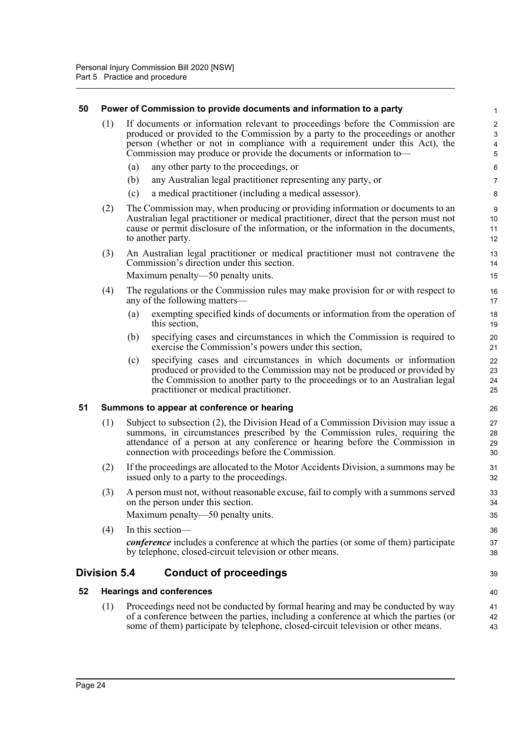#### <span id="page-33-0"></span>**50 Power of Commission to provide documents and information to a party**

| (1) If documents or information relevant to proceedings before the Commission are |
|-----------------------------------------------------------------------------------|
| produced or provided to the Commission by a party to the proceedings or another   |
| person (whether or not in compliance with a requirement under this Act), the      |
| Commission may produce or provide the documents or information to—                |
| $(a)$ any other neutrite the measuratings on                                      |

39

- (a) any other party to the proceedings, or
- (b) any Australian legal practitioner representing any party, or
- (c) a medical practitioner (including a medical assessor).
- (2) The Commission may, when producing or providing information or documents to an Australian legal practitioner or medical practitioner, direct that the person must not cause or permit disclosure of the information, or the information in the documents, to another party.
- (3) An Australian legal practitioner or medical practitioner must not contravene the Commission's direction under this section.

Maximum penalty—50 penalty units.

- (4) The regulations or the Commission rules may make provision for or with respect to any of the following matters—
	- (a) exempting specified kinds of documents or information from the operation of this section,
	- (b) specifying cases and circumstances in which the Commission is required to exercise the Commission's powers under this section,
	- (c) specifying cases and circumstances in which documents or information produced or provided to the Commission may not be produced or provided by the Commission to another party to the proceedings or to an Australian legal practitioner or medical practitioner.

#### <span id="page-33-1"></span>**51 Summons to appear at conference or hearing**

- (1) Subject to subsection (2), the Division Head of a Commission Division may issue a summons, in circumstances prescribed by the Commission rules, requiring the attendance of a person at any conference or hearing before the Commission in connection with proceedings before the Commission.
- (2) If the proceedings are allocated to the Motor Accidents Division, a summons may be issued only to a party to the proceedings.
- (3) A person must not, without reasonable excuse, fail to comply with a summons served on the person under this section.

Maximum penalty—50 penalty units.

(4) In this section *conference* includes a conference at which the parties (or some of them) participate by telephone, closed-circuit television or other means.

### <span id="page-33-2"></span>**Division 5.4 Conduct of proceedings**

#### <span id="page-33-3"></span>**52 Hearings and conferences**

(1) Proceedings need not be conducted by formal hearing and may be conducted by way of a conference between the parties, including a conference at which the parties (or some of them) participate by telephone, closed-circuit television or other means.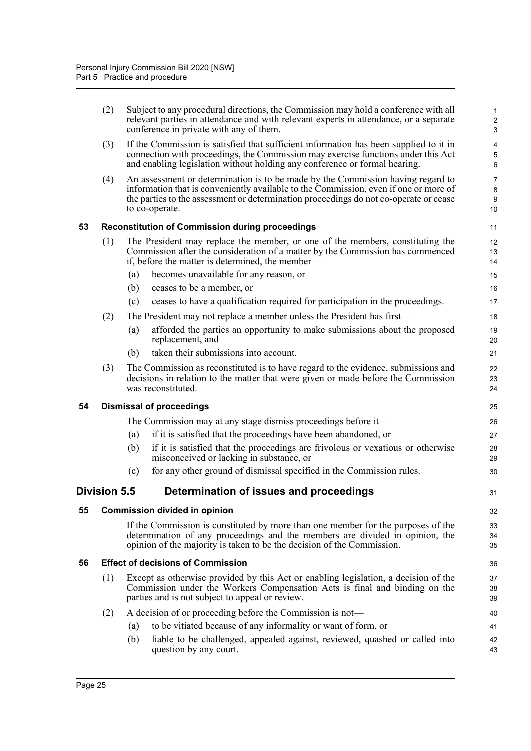<span id="page-34-4"></span><span id="page-34-3"></span><span id="page-34-2"></span><span id="page-34-1"></span><span id="page-34-0"></span>

|    | (2)                                  |     | Subject to any procedural directions, the Commission may hold a conference with all<br>relevant parties in attendance and with relevant experts in attendance, or a separate<br>conference in private with any of them.                                                            | $\mathbf{1}$<br>$\sqrt{2}$<br>3          |  |  |
|----|--------------------------------------|-----|------------------------------------------------------------------------------------------------------------------------------------------------------------------------------------------------------------------------------------------------------------------------------------|------------------------------------------|--|--|
|    | (3)                                  |     | If the Commission is satisfied that sufficient information has been supplied to it in<br>connection with proceedings, the Commission may exercise functions under this Act<br>and enabling legislation without holding any conference or formal hearing.                           | 4<br>$\mathbf 5$<br>$\,6\,$              |  |  |
|    | (4)                                  |     | An assessment or determination is to be made by the Commission having regard to<br>information that is conveniently available to the Commission, even if one or more of<br>the parties to the assessment or determination proceedings do not co-operate or cease<br>to co-operate. | $\overline{7}$<br>$\bf 8$<br>$9\,$<br>10 |  |  |
| 53 |                                      |     | <b>Reconstitution of Commission during proceedings</b>                                                                                                                                                                                                                             | 11                                       |  |  |
|    | (1)                                  |     | The President may replace the member, or one of the members, constituting the<br>Commission after the consideration of a matter by the Commission has commenced<br>if, before the matter is determined, the member—                                                                | 12<br>13<br>14                           |  |  |
|    |                                      | (a) | becomes unavailable for any reason, or                                                                                                                                                                                                                                             | 15                                       |  |  |
|    |                                      | (b) | ceases to be a member, or                                                                                                                                                                                                                                                          | 16                                       |  |  |
|    |                                      | (c) | ceases to have a qualification required for participation in the proceedings.                                                                                                                                                                                                      | 17                                       |  |  |
|    | (2)                                  |     | The President may not replace a member unless the President has first—                                                                                                                                                                                                             | 18                                       |  |  |
|    |                                      | (a) | afforded the parties an opportunity to make submissions about the proposed<br>replacement, and                                                                                                                                                                                     | 19<br>20                                 |  |  |
|    |                                      | (b) | taken their submissions into account.                                                                                                                                                                                                                                              | 21                                       |  |  |
|    | (3)                                  |     | The Commission as reconstituted is to have regard to the evidence, submissions and<br>decisions in relation to the matter that were given or made before the Commission<br>was reconstituted.                                                                                      | 22<br>23<br>24                           |  |  |
| 54 |                                      |     | <b>Dismissal of proceedings</b>                                                                                                                                                                                                                                                    | 25                                       |  |  |
|    |                                      |     | The Commission may at any stage dismiss proceedings before it—                                                                                                                                                                                                                     | 26                                       |  |  |
|    |                                      | (a) | if it is satisfied that the proceedings have been abandoned, or                                                                                                                                                                                                                    | 27                                       |  |  |
|    |                                      | (b) | if it is satisfied that the proceedings are frivolous or vexatious or otherwise<br>misconceived or lacking in substance, or                                                                                                                                                        | 28<br>29                                 |  |  |
|    |                                      | (c) | for any other ground of dismissal specified in the Commission rules.                                                                                                                                                                                                               | 30                                       |  |  |
|    | <b>Division 5.5</b>                  |     | Determination of issues and proceedings                                                                                                                                                                                                                                            | 31                                       |  |  |
| 55 | <b>Commission divided in opinion</b> |     |                                                                                                                                                                                                                                                                                    |                                          |  |  |
|    |                                      |     | If the Commission is constituted by more than one member for the purposes of the<br>determination of any proceedings and the members are divided in opinion, the<br>opinion of the majority is taken to be the decision of the Commission.                                         | 33<br>34<br>35                           |  |  |
| 56 |                                      |     | <b>Effect of decisions of Commission</b>                                                                                                                                                                                                                                           | 36                                       |  |  |
|    | (1)                                  |     | Except as otherwise provided by this Act or enabling legislation, a decision of the<br>Commission under the Workers Compensation Acts is final and binding on the<br>parties and is not subject to appeal or review.                                                               | 37<br>38<br>39                           |  |  |
|    | (2)                                  |     | A decision of or proceeding before the Commission is not—                                                                                                                                                                                                                          | 40                                       |  |  |
|    |                                      | (a) | to be vitiated because of any informality or want of form, or                                                                                                                                                                                                                      | 41                                       |  |  |
|    |                                      | (b) | liable to be challenged, appealed against, reviewed, quashed or called into<br>question by any court.                                                                                                                                                                              | 42<br>43                                 |  |  |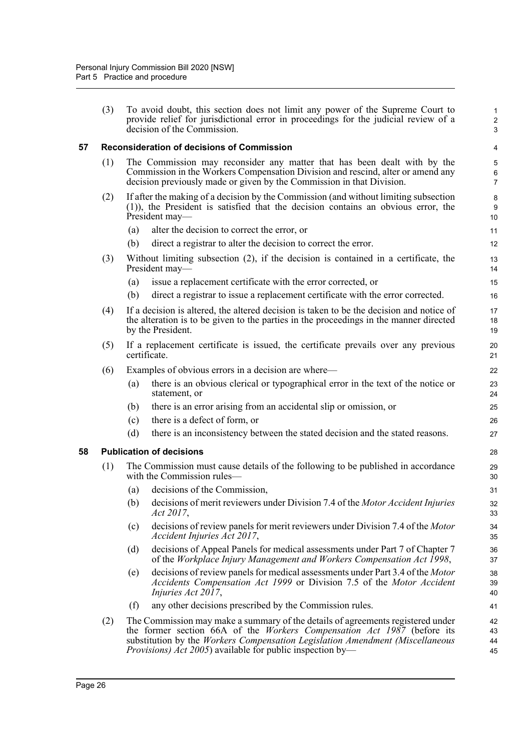(3) To avoid doubt, this section does not limit any power of the Supreme Court to provide relief for jurisdictional error in proceedings for the judicial review of a decision of the Commission.

#### <span id="page-35-0"></span>**57 Reconsideration of decisions of Commission**

- (1) The Commission may reconsider any matter that has been dealt with by the Commission in the Workers Compensation Division and rescind, alter or amend any decision previously made or given by the Commission in that Division.
- (2) If after the making of a decision by the Commission (and without limiting subsection (1)), the President is satisfied that the decision contains an obvious error, the President may—
	- (a) alter the decision to correct the error, or
	- (b) direct a registrar to alter the decision to correct the error.
- (3) Without limiting subsection (2), if the decision is contained in a certificate, the President may—
	- (a) issue a replacement certificate with the error corrected, or
	- (b) direct a registrar to issue a replacement certificate with the error corrected.
- (4) If a decision is altered, the altered decision is taken to be the decision and notice of the alteration is to be given to the parties in the proceedings in the manner directed by the President.
- (5) If a replacement certificate is issued, the certificate prevails over any previous certificate.
- (6) Examples of obvious errors in a decision are where—
	- (a) there is an obvious clerical or typographical error in the text of the notice or statement, or
	- (b) there is an error arising from an accidental slip or omission, or
	- (c) there is a defect of form, or
	- (d) there is an inconsistency between the stated decision and the stated reasons.

#### <span id="page-35-1"></span>**58 Publication of decisions**

- (1) The Commission must cause details of the following to be published in accordance with the Commission rules—
	- (a) decisions of the Commission,
	- (b) decisions of merit reviewers under Division 7.4 of the *Motor Accident Injuries Act 2017*,
	- (c) decisions of review panels for merit reviewers under Division 7.4 of the *Motor Accident Injuries Act 2017*,
	- (d) decisions of Appeal Panels for medical assessments under Part 7 of Chapter 7 of the *Workplace Injury Management and Workers Compensation Act 1998*,
	- (e) decisions of review panels for medical assessments under Part 3.4 of the *Motor Accidents Compensation Act 1999* or Division 7.5 of the *Motor Accident Injuries Act 2017*,
	- (f) any other decisions prescribed by the Commission rules.
- (2) The Commission may make a summary of the details of agreements registered under the former section 66A of the *Workers Compensation Act 1987* (before its substitution by the *Workers Compensation Legislation Amendment (Miscellaneous Provisions) Act 2005*) available for public inspection by— 42 43 44 45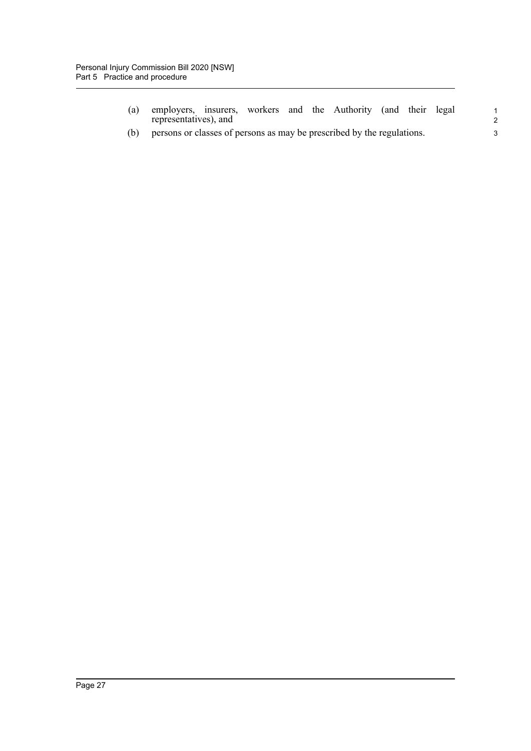- (a) employers, insurers, workers and the Authority (and their legal representatives), and
- (b) persons or classes of persons as may be prescribed by the regulations.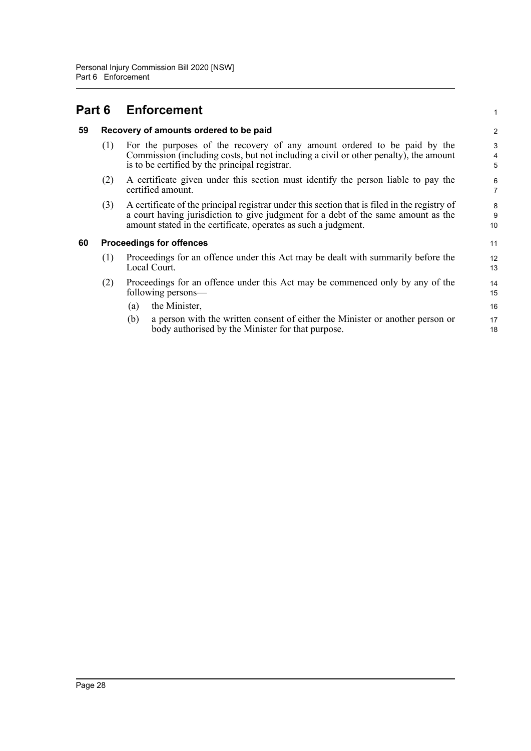|    |                                        | <b>Part 6 Enforcement</b>                                                                                                                                                                                                                           | 1                   |  |  |
|----|----------------------------------------|-----------------------------------------------------------------------------------------------------------------------------------------------------------------------------------------------------------------------------------------------------|---------------------|--|--|
| 59 | Recovery of amounts ordered to be paid |                                                                                                                                                                                                                                                     |                     |  |  |
|    | (1)                                    | For the purposes of the recovery of any amount ordered to be paid by the<br>Commission (including costs, but not including a civil or other penalty), the amount<br>is to be certified by the principal registrar.                                  | 3<br>4<br>5         |  |  |
|    | (2)                                    | A certificate given under this section must identify the person liable to pay the<br>certified amount.                                                                                                                                              | 6<br>$\overline{7}$ |  |  |
|    | (3)                                    | A certificate of the principal registrar under this section that is filed in the registry of<br>a court having jurisdiction to give judgment for a debt of the same amount as the<br>amount stated in the certificate, operates as such a judgment. | 8<br>9<br>10        |  |  |
| 60 |                                        | <b>Proceedings for offences</b>                                                                                                                                                                                                                     | 11                  |  |  |
|    | (1)                                    | Proceedings for an offence under this Act may be dealt with summarily before the<br>Local Court.                                                                                                                                                    | 12<br>13            |  |  |
|    | (2)                                    | Proceedings for an offence under this Act may be commenced only by any of the<br>following persons—                                                                                                                                                 | 14<br>15            |  |  |
|    |                                        | the Minister,<br>(a)                                                                                                                                                                                                                                | 16                  |  |  |
|    |                                        | a person with the written consent of either the Minister or another person or<br>(b)<br>body authorised by the Minister for that purpose.                                                                                                           | 17<br>18            |  |  |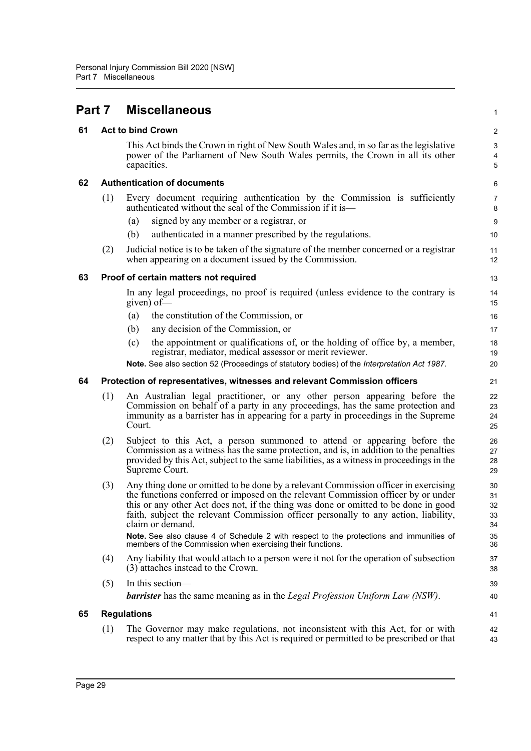| Part 7 |     | <b>Miscellaneous</b>                                                                                                                                                                                                                                                                                                                                                                                                                                                  | $\mathbf{1}$                     |
|--------|-----|-----------------------------------------------------------------------------------------------------------------------------------------------------------------------------------------------------------------------------------------------------------------------------------------------------------------------------------------------------------------------------------------------------------------------------------------------------------------------|----------------------------------|
| 61     |     | <b>Act to bind Crown</b>                                                                                                                                                                                                                                                                                                                                                                                                                                              | $\boldsymbol{2}$                 |
|        |     | This Act binds the Crown in right of New South Wales and, in so far as the legislative<br>power of the Parliament of New South Wales permits, the Crown in all its other<br>capacities.                                                                                                                                                                                                                                                                               | 3<br>4<br>5                      |
| 62     |     | <b>Authentication of documents</b>                                                                                                                                                                                                                                                                                                                                                                                                                                    | 6                                |
|        | (1) | Every document requiring authentication by the Commission is sufficiently<br>authenticated without the seal of the Commission if it is—                                                                                                                                                                                                                                                                                                                               | 7<br>8                           |
|        |     | signed by any member or a registrar, or<br>(a)                                                                                                                                                                                                                                                                                                                                                                                                                        | 9                                |
|        |     | authenticated in a manner prescribed by the regulations.<br>(b)                                                                                                                                                                                                                                                                                                                                                                                                       | 10                               |
|        | (2) | Judicial notice is to be taken of the signature of the member concerned or a registrar<br>when appearing on a document issued by the Commission.                                                                                                                                                                                                                                                                                                                      | 11<br>12                         |
| 63     |     | Proof of certain matters not required                                                                                                                                                                                                                                                                                                                                                                                                                                 | 13                               |
|        |     | In any legal proceedings, no proof is required (unless evidence to the contrary is<br>given) of-                                                                                                                                                                                                                                                                                                                                                                      | 14<br>15                         |
|        |     | the constitution of the Commission, or<br>(a)                                                                                                                                                                                                                                                                                                                                                                                                                         | 16                               |
|        |     | any decision of the Commission, or<br>(b)                                                                                                                                                                                                                                                                                                                                                                                                                             | 17                               |
|        |     | the appointment or qualifications of, or the holding of office by, a member,<br>(c)<br>registrar, mediator, medical assessor or merit reviewer.                                                                                                                                                                                                                                                                                                                       | 18<br>19                         |
|        |     | Note. See also section 52 (Proceedings of statutory bodies) of the Interpretation Act 1987.                                                                                                                                                                                                                                                                                                                                                                           | 20                               |
| 64     |     | Protection of representatives, witnesses and relevant Commission officers                                                                                                                                                                                                                                                                                                                                                                                             | 21                               |
|        | (1) | An Australian legal practitioner, or any other person appearing before the<br>Commission on behalf of a party in any proceedings, has the same protection and<br>immunity as a barrister has in appearing for a party in proceedings in the Supreme<br>Court.                                                                                                                                                                                                         | 22<br>23<br>24<br>25             |
|        | (2) | Subject to this Act, a person summoned to attend or appearing before the<br>Commission as a witness has the same protection, and is, in addition to the penalties<br>provided by this Act, subject to the same liabilities, as a witness in proceedings in the<br>Supreme Court.                                                                                                                                                                                      | 26<br>27<br>28<br>29             |
|        | (3) | Any thing done or omitted to be done by a relevant Commission officer in exercising<br>the functions conferred or imposed on the relevant Commission officer by or under<br>this or any other Act does not, if the thing was done or omitted to be done in good<br>faith, subject the relevant Commission officer personally to any action, liability,<br>claim or demand.<br>Note. See also clause 4 of Schedule 2 with respect to the protections and immunities of | 30<br>31<br>32<br>33<br>34<br>35 |
|        |     | members of the Commission when exercising their functions.                                                                                                                                                                                                                                                                                                                                                                                                            | 36                               |
|        | (4) | Any liability that would attach to a person were it not for the operation of subsection<br>(3) attaches instead to the Crown.                                                                                                                                                                                                                                                                                                                                         | 37<br>38                         |
|        | (5) | In this section-                                                                                                                                                                                                                                                                                                                                                                                                                                                      | 39                               |
|        |     | <b>barrister</b> has the same meaning as in the <i>Legal Profession Uniform Law (NSW)</i> .                                                                                                                                                                                                                                                                                                                                                                           | 40                               |
| 65     |     | <b>Regulations</b>                                                                                                                                                                                                                                                                                                                                                                                                                                                    | 41                               |
|        | (1) | The Governor may make regulations, not inconsistent with this Act, for or with<br>respect to any matter that by this Act is required or permitted to be prescribed or that                                                                                                                                                                                                                                                                                            | 42<br>43                         |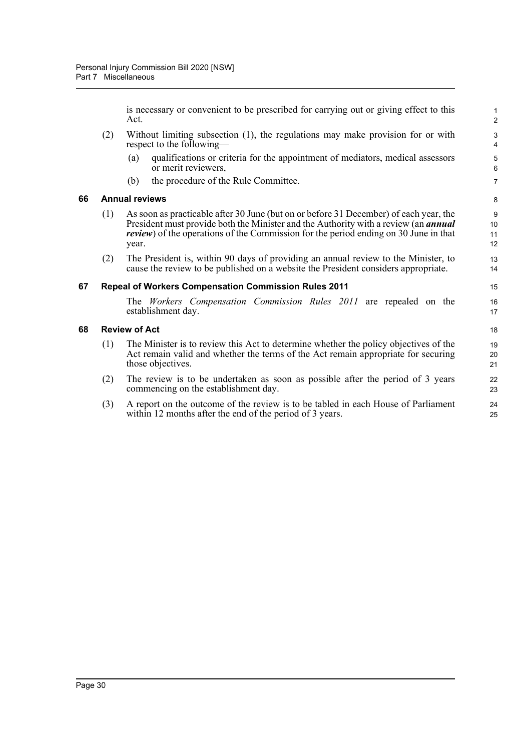is necessary or convenient to be prescribed for carrying out or giving effect to this Act.

- (2) Without limiting subsection (1), the regulations may make provision for or with respect to the following—
	- (a) qualifications or criteria for the appointment of mediators, medical assessors or merit reviewers,
	- (b) the procedure of the Rule Committee.

#### **66 Annual reviews**

- (1) As soon as practicable after 30 June (but on or before 31 December) of each year, the President must provide both the Minister and the Authority with a review (an *annual review*) of the operations of the Commission for the period ending on 30 June in that year.
- (2) The President is, within 90 days of providing an annual review to the Minister, to cause the review to be published on a website the President considers appropriate.

#### **67 Repeal of Workers Compensation Commission Rules 2011**

The *Workers Compensation Commission Rules 2011* are repealed on the establishment day.

#### **68 Review of Act**

- (1) The Minister is to review this Act to determine whether the policy objectives of the Act remain valid and whether the terms of the Act remain appropriate for securing those objectives.
- (2) The review is to be undertaken as soon as possible after the period of 3 years commencing on the establishment day.
- (3) A report on the outcome of the review is to be tabled in each House of Parliament within 12 months after the end of the period of 3 years.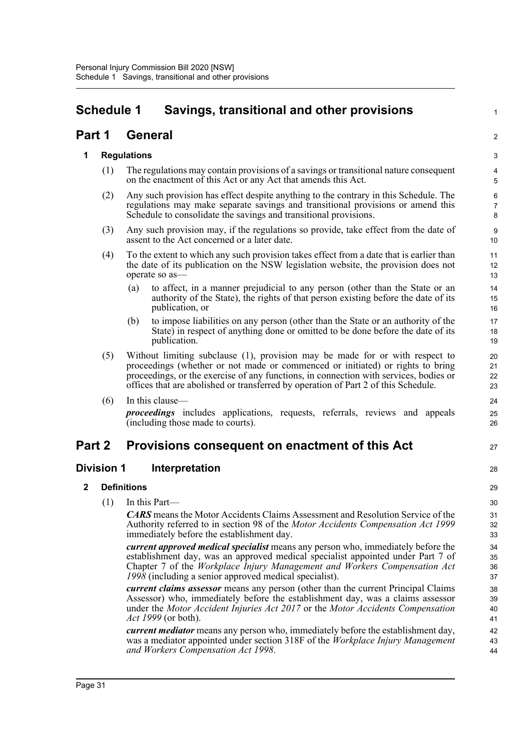# **Schedule 1 Savings, transitional and other provisions**

# **Part 1 General**

# **1 Regulations**

(1) The regulations may contain provisions of a savings or transitional nature consequent on the enactment of this Act or any Act that amends this Act.

1

2

27

28

- (2) Any such provision has effect despite anything to the contrary in this Schedule. The regulations may make separate savings and transitional provisions or amend this Schedule to consolidate the savings and transitional provisions.
- (3) Any such provision may, if the regulations so provide, take effect from the date of assent to the Act concerned or a later date.
- (4) To the extent to which any such provision takes effect from a date that is earlier than the date of its publication on the NSW legislation website, the provision does not operate so as—
	- (a) to affect, in a manner prejudicial to any person (other than the State or an authority of the State), the rights of that person existing before the date of its publication, or
	- (b) to impose liabilities on any person (other than the State or an authority of the State) in respect of anything done or omitted to be done before the date of its publication.
- (5) Without limiting subclause (1), provision may be made for or with respect to proceedings (whether or not made or commenced or initiated) or rights to bring proceedings, or the exercise of any functions, in connection with services, bodies or offices that are abolished or transferred by operation of Part 2 of this Schedule.
- $(6)$  In this clause-

*proceedings* includes applications, requests, referrals, reviews and appeals (including those made to courts).

# **Part 2 Provisions consequent on enactment of this Act**

# **Division 1 Interpretation**

# **2 Definitions**

(1) In this Part—

*CARS* means the Motor Accidents Claims Assessment and Resolution Service of the Authority referred to in section 98 of the *Motor Accidents Compensation Act 1999* immediately before the establishment day.

*current approved medical specialist* means any person who, immediately before the establishment day, was an approved medical specialist appointed under Part 7 of Chapter 7 of the *Workplace Injury Management and Workers Compensation Act 1998* (including a senior approved medical specialist).

*current claims assessor* means any person (other than the current Principal Claims Assessor) who, immediately before the establishment day, was a claims assessor under the *Motor Accident Injuries Act 2017* or the *Motor Accidents Compensation Act 1999* (or both).

*current mediator* means any person who, immediately before the establishment day, was a mediator appointed under section 318F of the *Workplace Injury Management and Workers Compensation Act 1998*.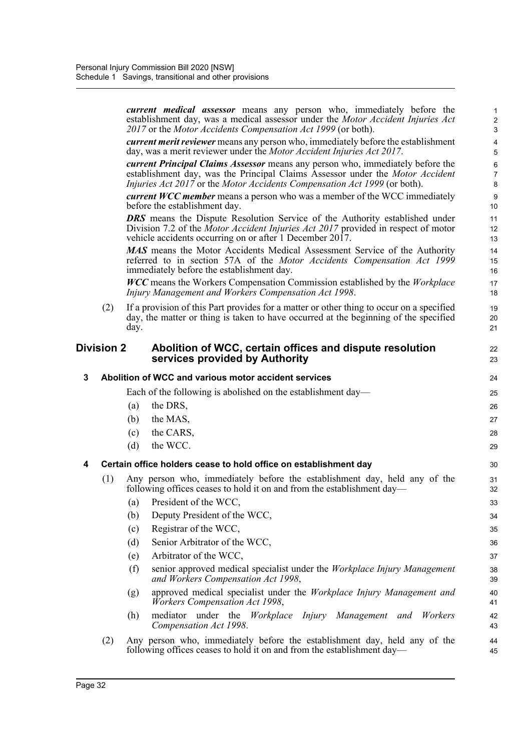|   |                   | current medical assessor means any person who, immediately before the<br>establishment day, was a medical assessor under the Motor Accident Injuries Act<br>2017 or the Motor Accidents Compensation Act 1999 (or both).                                   | $\mathbf{1}$<br>$\overline{c}$<br>3 |
|---|-------------------|------------------------------------------------------------------------------------------------------------------------------------------------------------------------------------------------------------------------------------------------------------|-------------------------------------|
|   |                   | <i>current merit reviewer</i> means any person who, immediately before the establishment<br>day, was a merit reviewer under the Motor Accident Injuries Act 2017.                                                                                          | 4<br>5                              |
|   |                   | <b><i>current Principal Claims Assessor</i></b> means any person who, immediately before the<br>establishment day, was the Principal Claims Assessor under the Motor Accident<br>Injuries Act 2017 or the Motor Accidents Compensation Act 1999 (or both). | 6<br>$\overline{7}$<br>8            |
|   |                   | <b><i>current WCC member</i></b> means a person who was a member of the WCC immediately<br>before the establishment day.                                                                                                                                   | 9<br>10                             |
|   |                   | <b>DRS</b> means the Dispute Resolution Service of the Authority established under<br>Division 7.2 of the <i>Motor Accident Injuries Act 2017</i> provided in respect of motor<br>vehicle accidents occurring on or after 1 December 2017.                 | 11<br>12<br>13                      |
|   |                   | MAS means the Motor Accidents Medical Assessment Service of the Authority<br>referred to in section 57A of the Motor Accidents Compensation Act 1999<br>immediately before the establishment day.                                                          | 14<br>15<br>16                      |
|   |                   | <b>WCC</b> means the Workers Compensation Commission established by the Workplace<br>Injury Management and Workers Compensation Act 1998.                                                                                                                  | 17<br>18                            |
|   | (2)               | If a provision of this Part provides for a matter or other thing to occur on a specified<br>day, the matter or thing is taken to have occurred at the beginning of the specified<br>day.                                                                   | 19<br>20<br>21                      |
|   | <b>Division 2</b> | Abolition of WCC, certain offices and dispute resolution<br>services provided by Authority                                                                                                                                                                 | 22<br>23                            |
| 3 |                   | Abolition of WCC and various motor accident services                                                                                                                                                                                                       | 24                                  |
|   |                   | Each of the following is abolished on the establishment day—                                                                                                                                                                                               | 25                                  |
|   |                   | the DRS,<br>(a)                                                                                                                                                                                                                                            | 26                                  |
|   |                   | the MAS,<br>(b)                                                                                                                                                                                                                                            | 27                                  |
|   |                   | the CARS,<br>(c)                                                                                                                                                                                                                                           | 28                                  |
|   |                   | the WCC.<br>(d)                                                                                                                                                                                                                                            | 29                                  |
| 4 |                   | Certain office holders cease to hold office on establishment day                                                                                                                                                                                           | 30                                  |
|   | (1)               | Any person who, immediately before the establishment day, held any of the<br>following offices ceases to hold it on and from the establishment day—                                                                                                        | 31<br>32                            |
|   |                   | President of the WCC,<br>(a)                                                                                                                                                                                                                               | 33                                  |
|   |                   | Deputy President of the WCC,<br>(b)                                                                                                                                                                                                                        | 34                                  |
|   |                   | Registrar of the WCC,<br>(c)                                                                                                                                                                                                                               | 35                                  |
|   |                   | Senior Arbitrator of the WCC,<br>(d)                                                                                                                                                                                                                       | 36                                  |
|   |                   | Arbitrator of the WCC,<br>(e)                                                                                                                                                                                                                              | 37                                  |
|   |                   | (f)<br>senior approved medical specialist under the Workplace Injury Management<br>and Workers Compensation Act 1998,                                                                                                                                      | 38<br>39                            |
|   |                   | approved medical specialist under the Workplace Injury Management and<br>(g)<br><b>Workers Compensation Act 1998,</b>                                                                                                                                      | 40<br>41                            |
|   |                   | mediator under the Workplace<br>Workers<br>(h)<br><i>Injury</i><br>Management<br>and<br>Compensation Act 1998.                                                                                                                                             | 42<br>43                            |
|   | (2)               | Any person who, immediately before the establishment day, held any of the<br>following offices ceases to hold it on and from the establishment day—                                                                                                        | 44<br>45                            |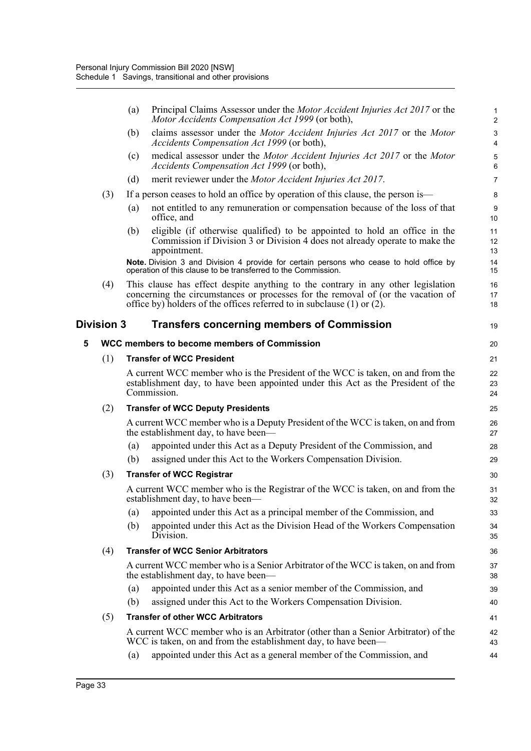|   |                   | Principal Claims Assessor under the <i>Motor Accident Injuries Act 2017</i> or the<br>(a)<br>Motor Accidents Compensation Act 1999 (or both),                                                                                                       | $\mathbf{1}$<br>2   |
|---|-------------------|-----------------------------------------------------------------------------------------------------------------------------------------------------------------------------------------------------------------------------------------------------|---------------------|
|   |                   | claims assessor under the Motor Accident Injuries Act 2017 or the Motor<br>(b)<br>Accidents Compensation Act 1999 (or both),                                                                                                                        | 3<br>$\overline{4}$ |
|   |                   | medical assessor under the Motor Accident Injuries Act 2017 or the Motor<br>(c)<br>Accidents Compensation Act 1999 (or both),                                                                                                                       | $\mathbf 5$<br>6    |
|   |                   | (d)<br>merit reviewer under the Motor Accident Injuries Act 2017.                                                                                                                                                                                   | $\overline{7}$      |
|   | (3)               | If a person ceases to hold an office by operation of this clause, the person is—                                                                                                                                                                    | 8                   |
|   |                   | not entitled to any remuneration or compensation because of the loss of that<br>(a)<br>office, and                                                                                                                                                  | 9<br>10             |
|   |                   | eligible (if otherwise qualified) to be appointed to hold an office in the<br>(b)<br>Commission if Division 3 or Division 4 does not already operate to make the<br>appointment.                                                                    | 11<br>12<br>13      |
|   |                   | Note. Division 3 and Division 4 provide for certain persons who cease to hold office by<br>operation of this clause to be transferred to the Commission.                                                                                            | 14<br>15            |
|   | (4)               | This clause has effect despite anything to the contrary in any other legislation<br>concerning the circumstances or processes for the removal of (or the vacation of<br>office by) holders of the offices referred to in subclause $(1)$ or $(2)$ . | 16<br>17<br>18      |
|   | <b>Division 3</b> | <b>Transfers concerning members of Commission</b>                                                                                                                                                                                                   | 19                  |
| 5 |                   | WCC members to become members of Commission                                                                                                                                                                                                         | 20                  |
|   | (1)               | <b>Transfer of WCC President</b>                                                                                                                                                                                                                    | 21                  |
|   |                   | A current WCC member who is the President of the WCC is taken, on and from the<br>establishment day, to have been appointed under this Act as the President of the<br>Commission.                                                                   | 22<br>23<br>24      |
|   | (2)               | <b>Transfer of WCC Deputy Presidents</b>                                                                                                                                                                                                            | 25                  |
|   |                   | A current WCC member who is a Deputy President of the WCC is taken, on and from<br>the establishment day, to have been—                                                                                                                             | 26<br>27            |
|   |                   | appointed under this Act as a Deputy President of the Commission, and<br>(a)<br>assigned under this Act to the Workers Compensation Division.<br>(b)                                                                                                | 28<br>29            |
|   | (3)               | <b>Transfer of WCC Registrar</b>                                                                                                                                                                                                                    | 30                  |
|   |                   | A current WCC member who is the Registrar of the WCC is taken, on and from the<br>establishment day, to have been—                                                                                                                                  | 31<br>32            |
|   |                   | appointed under this Act as a principal member of the Commission, and<br>(a)                                                                                                                                                                        | 33                  |
|   |                   | appointed under this Act as the Division Head of the Workers Compensation<br>(b)<br>Division.                                                                                                                                                       | 34<br>35            |
|   | (4)               | <b>Transfer of WCC Senior Arbitrators</b>                                                                                                                                                                                                           | 36                  |
|   |                   | A current WCC member who is a Senior Arbitrator of the WCC is taken, on and from<br>the establishment day, to have been—                                                                                                                            | 37<br>38            |
|   |                   | appointed under this Act as a senior member of the Commission, and<br>(a)                                                                                                                                                                           | 39                  |
|   |                   | assigned under this Act to the Workers Compensation Division.<br>(b)                                                                                                                                                                                | 40                  |
|   | (5)               | <b>Transfer of other WCC Arbitrators</b>                                                                                                                                                                                                            | 41                  |
|   |                   | A current WCC member who is an Arbitrator (other than a Senior Arbitrator) of the<br>WCC is taken, on and from the establishment day, to have been—                                                                                                 | 42<br>43            |
|   |                   | appointed under this Act as a general member of the Commission, and<br>(a)                                                                                                                                                                          | 44                  |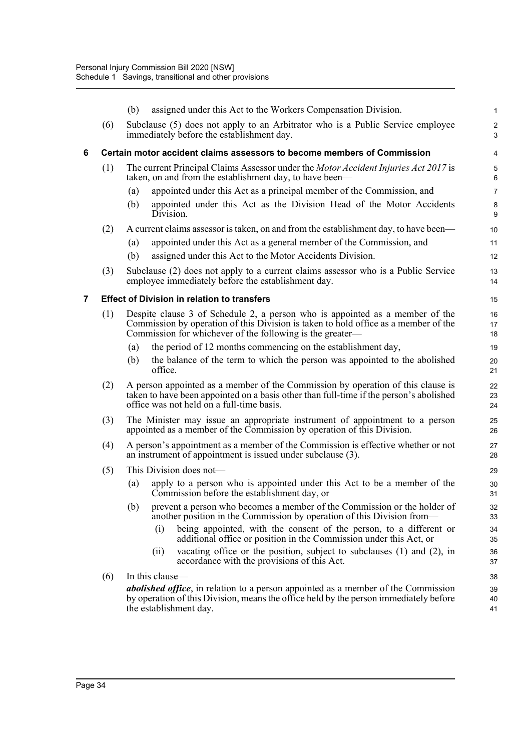|   |     | (b)        |                                                    | assigned under this Act to the Workers Compensation Division.                                                                                                                                                                    | 1                            |
|---|-----|------------|----------------------------------------------------|----------------------------------------------------------------------------------------------------------------------------------------------------------------------------------------------------------------------------------|------------------------------|
|   | (6) |            |                                                    | Subclause (5) does not apply to an Arbitrator who is a Public Service employee<br>immediately before the establishment day.                                                                                                      | $\overline{\mathbf{c}}$<br>3 |
| 6 |     |            |                                                    | Certain motor accident claims assessors to become members of Commission                                                                                                                                                          | 4                            |
|   | (1) |            |                                                    | The current Principal Claims Assessor under the <i>Motor Accident Injuries Act 2017</i> is<br>taken, on and from the establishment day, to have been—                                                                            | 5<br>6                       |
|   |     | (a)<br>(b) | Division.                                          | appointed under this Act as a principal member of the Commission, and<br>appointed under this Act as the Division Head of the Motor Accidents                                                                                    | 7<br>8<br>9                  |
|   | (2) |            |                                                    | A current claims assessor is taken, on and from the establishment day, to have been—                                                                                                                                             | 10                           |
|   |     | (a)<br>(b) |                                                    | appointed under this Act as a general member of the Commission, and<br>assigned under this Act to the Motor Accidents Division.                                                                                                  | 11<br>12                     |
|   | (3) |            |                                                    | Subclause (2) does not apply to a current claims assessor who is a Public Service<br>employee immediately before the establishment day.                                                                                          | 13<br>14                     |
| 7 |     |            | <b>Effect of Division in relation to transfers</b> |                                                                                                                                                                                                                                  | 15                           |
|   | (1) |            |                                                    | Despite clause 3 of Schedule 2, a person who is appointed as a member of the<br>Commission by operation of this Division is taken to hold office as a member of the<br>Commission for whichever of the following is the greater— | 16<br>17<br>18               |
|   |     | (a)        |                                                    | the period of 12 months commencing on the establishment day,                                                                                                                                                                     | 19                           |
|   |     | (b)        | office.                                            | the balance of the term to which the person was appointed to the abolished                                                                                                                                                       | 20<br>21                     |
|   | (2) |            |                                                    | A person appointed as a member of the Commission by operation of this clause is<br>taken to have been appointed on a basis other than full-time if the person's abolished<br>office was not held on a full-time basis.           | 22<br>23<br>24               |
|   | (3) |            |                                                    | The Minister may issue an appropriate instrument of appointment to a person<br>appointed as a member of the Commission by operation of this Division.                                                                            | 25<br>26                     |
|   | (4) |            |                                                    | A person's appointment as a member of the Commission is effective whether or not<br>an instrument of appointment is issued under subclause (3).                                                                                  | 27<br>28                     |
|   | (5) |            | This Division does not-                            |                                                                                                                                                                                                                                  | 29                           |
|   |     | (a)        |                                                    | apply to a person who is appointed under this Act to be a member of the<br>Commission before the establishment day, or                                                                                                           | 30<br>31                     |
|   |     | (b)        | (i)                                                | prevent a person who becomes a member of the Commission or the holder of<br>another position in the Commission by operation of this Division from—<br>being appointed, with the consent of the person, to a different or         | 32<br>33<br>34               |
|   |     |            | (ii)                                               | additional office or position in the Commission under this Act, or<br>vacating office or the position, subject to subclauses $(1)$ and $(2)$ , in<br>accordance with the provisions of this Act.                                 | 35<br>36<br>37               |
|   | (6) |            | In this clause—                                    |                                                                                                                                                                                                                                  | 38                           |
|   |     |            | the establishment day.                             | <i>abolished office</i> , in relation to a person appointed as a member of the Commission<br>by operation of this Division, means the office held by the person immediately before                                               | 39<br>40<br>41               |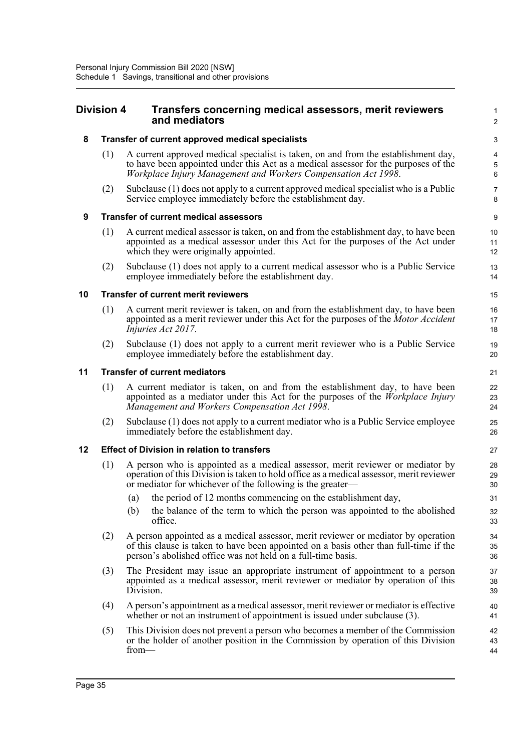### **Division 4 Transfers concerning medical assessors, merit reviewers and mediators**

#### **8 Transfer of current approved medical specialists**

(1) A current approved medical specialist is taken, on and from the establishment day, to have been appointed under this Act as a medical assessor for the purposes of the *Workplace Injury Management and Workers Compensation Act 1998*.

1  $\overline{2}$ 

(2) Subclause (1) does not apply to a current approved medical specialist who is a Public Service employee immediately before the establishment day.

#### **9 Transfer of current medical assessors**

- (1) A current medical assessor is taken, on and from the establishment day, to have been appointed as a medical assessor under this Act for the purposes of the Act under which they were originally appointed.
- (2) Subclause (1) does not apply to a current medical assessor who is a Public Service employee immediately before the establishment day.

#### **10 Transfer of current merit reviewers**

- (1) A current merit reviewer is taken, on and from the establishment day, to have been appointed as a merit reviewer under this Act for the purposes of the *Motor Accident Injuries Act 2017*.
- (2) Subclause (1) does not apply to a current merit reviewer who is a Public Service employee immediately before the establishment day.

#### **11 Transfer of current mediators**

- (1) A current mediator is taken, on and from the establishment day, to have been appointed as a mediator under this Act for the purposes of the *Workplace Injury Management and Workers Compensation Act 1998*.
- (2) Subclause (1) does not apply to a current mediator who is a Public Service employee immediately before the establishment day.

#### **12 Effect of Division in relation to transfers**

- (1) A person who is appointed as a medical assessor, merit reviewer or mediator by operation of this Division is taken to hold office as a medical assessor, merit reviewer or mediator for whichever of the following is the greater—
	- (a) the period of 12 months commencing on the establishment day,
	- (b) the balance of the term to which the person was appointed to the abolished office.
- (2) A person appointed as a medical assessor, merit reviewer or mediator by operation of this clause is taken to have been appointed on a basis other than full-time if the person's abolished office was not held on a full-time basis.
- (3) The President may issue an appropriate instrument of appointment to a person appointed as a medical assessor, merit reviewer or mediator by operation of this Division.
- (4) A person's appointment as a medical assessor, merit reviewer or mediator is effective whether or not an instrument of appointment is issued under subclause (3).
- (5) This Division does not prevent a person who becomes a member of the Commission or the holder of another position in the Commission by operation of this Division from— 42 43 44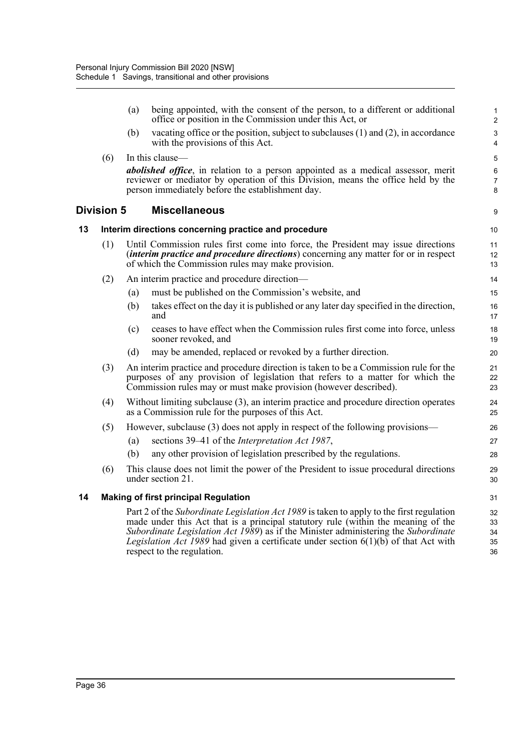|    |                   | (a) | being appointed, with the consent of the person, to a different or additional<br>office or position in the Commission under this Act, or                                                                                                                                                                                                                                                          | 1<br>$\overline{2}$        |
|----|-------------------|-----|---------------------------------------------------------------------------------------------------------------------------------------------------------------------------------------------------------------------------------------------------------------------------------------------------------------------------------------------------------------------------------------------------|----------------------------|
|    |                   | (b) | vacating office or the position, subject to subclauses (1) and (2), in accordance<br>with the provisions of this Act.                                                                                                                                                                                                                                                                             | 3<br>$\overline{4}$        |
|    | (6)               |     | In this clause-                                                                                                                                                                                                                                                                                                                                                                                   | 5                          |
|    |                   |     | <i>abolished office</i> , in relation to a person appointed as a medical assessor, merit<br>reviewer or mediator by operation of this Division, means the office held by the<br>person immediately before the establishment day.                                                                                                                                                                  | 6<br>$\overline{7}$<br>8   |
|    | <b>Division 5</b> |     | <b>Miscellaneous</b>                                                                                                                                                                                                                                                                                                                                                                              | 9                          |
| 13 |                   |     | Interim directions concerning practice and procedure                                                                                                                                                                                                                                                                                                                                              | 10                         |
|    | (1)               |     | Until Commission rules first come into force, the President may issue directions<br><i>(interim practice and procedure directions)</i> concerning any matter for or in respect<br>of which the Commission rules may make provision.                                                                                                                                                               | 11<br>12<br>13             |
|    | (2)               |     | An interim practice and procedure direction-                                                                                                                                                                                                                                                                                                                                                      | 14                         |
|    |                   | (a) | must be published on the Commission's website, and                                                                                                                                                                                                                                                                                                                                                | 15                         |
|    |                   | (b) | takes effect on the day it is published or any later day specified in the direction,<br>and                                                                                                                                                                                                                                                                                                       | 16<br>17                   |
|    |                   | (c) | ceases to have effect when the Commission rules first come into force, unless<br>sooner revoked, and                                                                                                                                                                                                                                                                                              | 18<br>19                   |
|    |                   | (d) | may be amended, replaced or revoked by a further direction.                                                                                                                                                                                                                                                                                                                                       | 20                         |
|    | (3)               |     | An interim practice and procedure direction is taken to be a Commission rule for the<br>purposes of any provision of legislation that refers to a matter for which the<br>Commission rules may or must make provision (however described).                                                                                                                                                        | 21<br>22<br>23             |
|    | (4)               |     | Without limiting subclause (3), an interim practice and procedure direction operates<br>as a Commission rule for the purposes of this Act.                                                                                                                                                                                                                                                        | 24<br>25                   |
|    | (5)               |     | However, subclause (3) does not apply in respect of the following provisions—                                                                                                                                                                                                                                                                                                                     | 26                         |
|    |                   | (a) | sections 39–41 of the <i>Interpretation Act 1987</i> ,                                                                                                                                                                                                                                                                                                                                            | 27                         |
|    |                   | (b) | any other provision of legislation prescribed by the regulations.                                                                                                                                                                                                                                                                                                                                 | 28                         |
|    | (6)               |     | This clause does not limit the power of the President to issue procedural directions<br>under section 21.                                                                                                                                                                                                                                                                                         | 29<br>30                   |
| 14 |                   |     | <b>Making of first principal Regulation</b>                                                                                                                                                                                                                                                                                                                                                       | 31                         |
|    |                   |     | Part 2 of the Subordinate Legislation Act 1989 is taken to apply to the first regulation<br>made under this Act that is a principal statutory rule (within the meaning of the<br>Subordinate Legislation Act 1989) as if the Minister administering the Subordinate<br><i>Legislation Act 1989</i> had given a certificate under section $6(1)(b)$ of that Act with<br>respect to the regulation. | 32<br>33<br>34<br>35<br>36 |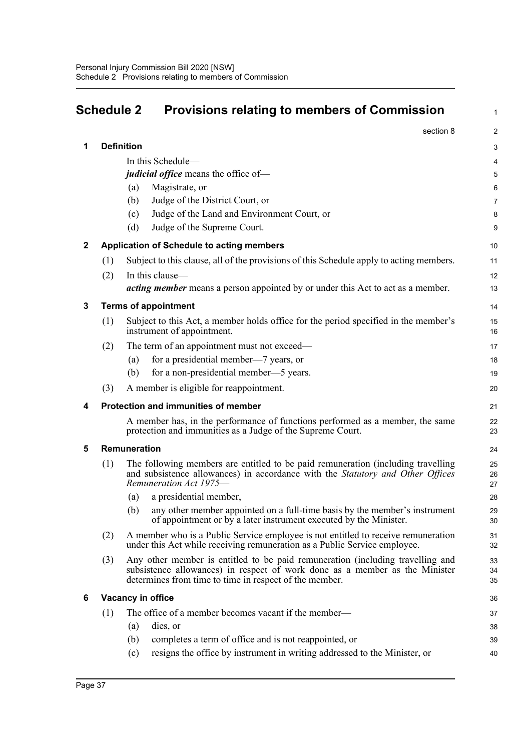# **Schedule 2 Provisions relating to members of Commission**

1

|              |     | section 8                                                                                                                                                                                                               | $\overline{\mathbf{c}}$ |
|--------------|-----|-------------------------------------------------------------------------------------------------------------------------------------------------------------------------------------------------------------------------|-------------------------|
| 1            |     | <b>Definition</b>                                                                                                                                                                                                       | 3                       |
|              |     | In this Schedule-                                                                                                                                                                                                       | 4                       |
|              |     | <i>judicial office</i> means the office of-                                                                                                                                                                             | 5                       |
|              |     | Magistrate, or<br>(a)                                                                                                                                                                                                   | 6                       |
|              |     | Judge of the District Court, or<br>(b)                                                                                                                                                                                  | 7                       |
|              |     | Judge of the Land and Environment Court, or<br>(c)                                                                                                                                                                      | 8                       |
|              |     | Judge of the Supreme Court.<br>(d)                                                                                                                                                                                      | 9                       |
| $\mathbf{2}$ |     | Application of Schedule to acting members                                                                                                                                                                               | 10                      |
|              | (1) | Subject to this clause, all of the provisions of this Schedule apply to acting members.                                                                                                                                 | 11                      |
|              | (2) | In this clause-                                                                                                                                                                                                         | 12                      |
|              |     | <i>acting member</i> means a person appointed by or under this Act to act as a member.                                                                                                                                  | 13                      |
| 3            |     | <b>Terms of appointment</b>                                                                                                                                                                                             | 14                      |
|              | (1) | Subject to this Act, a member holds office for the period specified in the member's<br>instrument of appointment.                                                                                                       | 15<br>16                |
|              | (2) | The term of an appointment must not exceed—                                                                                                                                                                             | 17                      |
|              |     | for a presidential member—7 years, or<br>(a)                                                                                                                                                                            | 18                      |
|              |     | for a non-presidential member—5 years.<br>(b)                                                                                                                                                                           | 19                      |
|              | (3) | A member is eligible for reappointment.                                                                                                                                                                                 | 20                      |
| 4            |     | Protection and immunities of member                                                                                                                                                                                     | 21                      |
|              |     | A member has, in the performance of functions performed as a member, the same<br>protection and immunities as a Judge of the Supreme Court.                                                                             | 22<br>23                |
| 5            |     | Remuneration                                                                                                                                                                                                            | 24                      |
|              | (1) | The following members are entitled to be paid remuneration (including travelling<br>and subsistence allowances) in accordance with the Statutory and Other Offices<br>Remuneration Act 1975-                            | 25<br>26<br>27          |
|              |     | a presidential member,<br>(a)                                                                                                                                                                                           | 28                      |
|              |     | any other member appointed on a full-time basis by the member's instrument<br>(b)<br>of appointment or by a later instrument executed by the Minister.                                                                  | 29<br>30                |
|              | (2) | A member who is a Public Service employee is not entitled to receive remuneration<br>under this Act while receiving remuneration as a Public Service employee.                                                          | 31<br>32                |
|              | (3) | Any other member is entitled to be paid remuneration (including travelling and<br>subsistence allowances) in respect of work done as a member as the Minister<br>determines from time to time in respect of the member. | 33<br>34<br>35          |
| 6            |     | Vacancy in office                                                                                                                                                                                                       | 36                      |
|              | (1) | The office of a member becomes vacant if the member—                                                                                                                                                                    | 37                      |
|              |     | dies, or<br>(a)                                                                                                                                                                                                         | 38                      |
|              |     | completes a term of office and is not reappointed, or<br>(b)                                                                                                                                                            | 39                      |
|              |     | resigns the office by instrument in writing addressed to the Minister, or<br>(c)                                                                                                                                        | 40                      |
|              |     |                                                                                                                                                                                                                         |                         |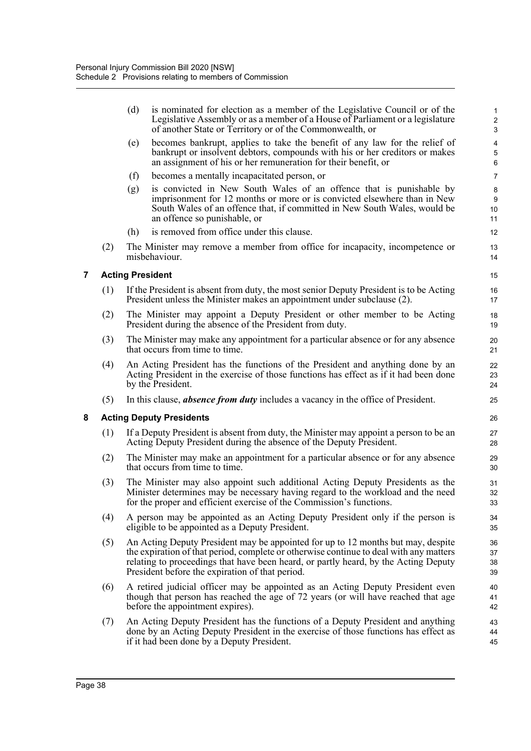|   |     | (d) | is nominated for election as a member of the Legislative Council or of the<br>Legislative Assembly or as a member of a House of Parliament or a legislature<br>of another State or Territory or of the Commonwealth, or                                                                                              | 1<br>$\overline{\mathbf{c}}$<br>3 |
|---|-----|-----|----------------------------------------------------------------------------------------------------------------------------------------------------------------------------------------------------------------------------------------------------------------------------------------------------------------------|-----------------------------------|
|   |     | (e) | becomes bankrupt, applies to take the benefit of any law for the relief of<br>bankrupt or insolvent debtors, compounds with his or her creditors or makes<br>an assignment of his or her remuneration for their benefit, or                                                                                          | 4<br>5<br>6                       |
|   |     | (f) | becomes a mentally incapacitated person, or                                                                                                                                                                                                                                                                          | 7                                 |
|   |     | (g) | is convicted in New South Wales of an offence that is punishable by<br>imprisonment for 12 months or more or is convicted elsewhere than in New<br>South Wales of an offence that, if committed in New South Wales, would be<br>an offence so punishable, or                                                         | 8<br>9<br>10<br>11                |
|   |     | (h) | is removed from office under this clause.                                                                                                                                                                                                                                                                            | 12                                |
|   | (2) |     | The Minister may remove a member from office for incapacity, incompetence or<br>misbehaviour.                                                                                                                                                                                                                        | 13<br>14                          |
| 7 |     |     | <b>Acting President</b>                                                                                                                                                                                                                                                                                              | 15                                |
|   | (1) |     | If the President is absent from duty, the most senior Deputy President is to be Acting<br>President unless the Minister makes an appointment under subclause (2).                                                                                                                                                    | 16<br>17                          |
|   | (2) |     | The Minister may appoint a Deputy President or other member to be Acting<br>President during the absence of the President from duty.                                                                                                                                                                                 | 18<br>19                          |
|   | (3) |     | The Minister may make any appointment for a particular absence or for any absence<br>that occurs from time to time.                                                                                                                                                                                                  | 20<br>21                          |
|   | (4) |     | An Acting President has the functions of the President and anything done by an<br>Acting President in the exercise of those functions has effect as if it had been done<br>by the President.                                                                                                                         | 22<br>23<br>24                    |
|   | (5) |     | In this clause, <i>absence from duty</i> includes a vacancy in the office of President.                                                                                                                                                                                                                              | 25                                |
| 8 |     |     | <b>Acting Deputy Presidents</b>                                                                                                                                                                                                                                                                                      | 26                                |
|   | (1) |     | If a Deputy President is absent from duty, the Minister may appoint a person to be an<br>Acting Deputy President during the absence of the Deputy President.                                                                                                                                                         | 27<br>28                          |
|   | (2) |     | The Minister may make an appointment for a particular absence or for any absence<br>that occurs from time to time.                                                                                                                                                                                                   | 29<br>30                          |
|   | (3) |     | The Minister may also appoint such additional Acting Deputy Presidents as the<br>Minister determines may be necessary having regard to the workload and the need<br>for the proper and efficient exercise of the Commission's functions.                                                                             | 31<br>32<br>33                    |
|   | (4) |     | A person may be appointed as an Acting Deputy President only if the person is<br>eligible to be appointed as a Deputy President.                                                                                                                                                                                     | 34<br>35                          |
|   | (5) |     | An Acting Deputy President may be appointed for up to 12 months but may, despite<br>the expiration of that period, complete or otherwise continue to deal with any matters<br>relating to proceedings that have been heard, or partly heard, by the Acting Deputy<br>President before the expiration of that period. | 36<br>37<br>38<br>39              |
|   | (6) |     | A retired judicial officer may be appointed as an Acting Deputy President even<br>though that person has reached the age of 72 years (or will have reached that age<br>before the appointment expires).                                                                                                              | 40<br>41<br>42                    |
|   | (7) |     | An Acting Deputy President has the functions of a Deputy President and anything<br>done by an Acting Deputy President in the exercise of those functions has effect as<br>if it had been done by a Deputy President.                                                                                                 | 43<br>44<br>45                    |
|   |     |     |                                                                                                                                                                                                                                                                                                                      |                                   |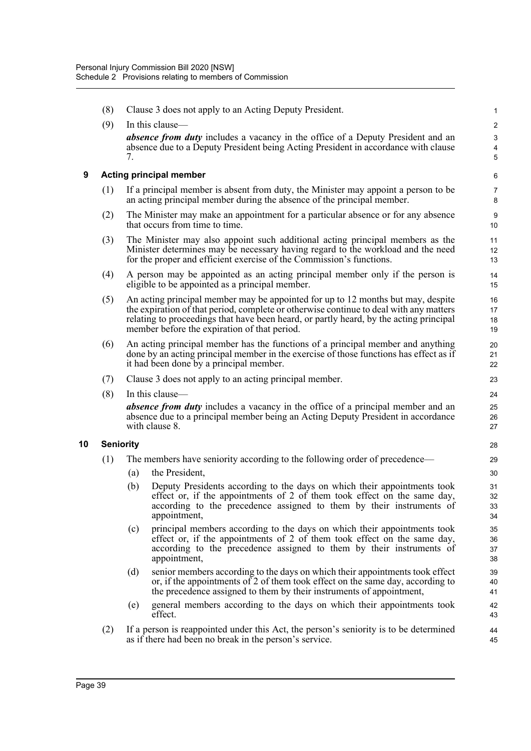|    | (8) | Clause 3 does not apply to an Acting Deputy President.                                                                                                                                                                                                                                                               | 1                       |
|----|-----|----------------------------------------------------------------------------------------------------------------------------------------------------------------------------------------------------------------------------------------------------------------------------------------------------------------------|-------------------------|
|    | (9) | In this clause—                                                                                                                                                                                                                                                                                                      | $\overline{\mathbf{c}}$ |
|    |     | <i>absence from duty</i> includes a vacancy in the office of a Deputy President and an<br>absence due to a Deputy President being Acting President in accordance with clause<br>7.                                                                                                                                   | 3<br>4<br>5             |
| 9  |     | <b>Acting principal member</b>                                                                                                                                                                                                                                                                                       | 6                       |
|    | (1) | If a principal member is absent from duty, the Minister may appoint a person to be<br>an acting principal member during the absence of the principal member.                                                                                                                                                         | 7<br>8                  |
|    | (2) | The Minister may make an appointment for a particular absence or for any absence<br>that occurs from time to time.                                                                                                                                                                                                   | 9<br>10                 |
|    | (3) | The Minister may also appoint such additional acting principal members as the<br>Minister determines may be necessary having regard to the workload and the need<br>for the proper and efficient exercise of the Commission's functions.                                                                             | 11<br>12<br>13          |
|    | (4) | A person may be appointed as an acting principal member only if the person is<br>eligible to be appointed as a principal member.                                                                                                                                                                                     | 14<br>15                |
|    | (5) | An acting principal member may be appointed for up to 12 months but may, despite<br>the expiration of that period, complete or otherwise continue to deal with any matters<br>relating to proceedings that have been heard, or partly heard, by the acting principal<br>member before the expiration of that period. | 16<br>17<br>18<br>19    |
|    | (6) | An acting principal member has the functions of a principal member and anything<br>done by an acting principal member in the exercise of those functions has effect as if<br>it had been done by a principal member.                                                                                                 | 20<br>21<br>22          |
|    | (7) | Clause 3 does not apply to an acting principal member.                                                                                                                                                                                                                                                               | 23                      |
|    | (8) | In this clause-                                                                                                                                                                                                                                                                                                      | 24                      |
|    |     | <b>absence from duty</b> includes a vacancy in the office of a principal member and an<br>absence due to a principal member being an Acting Deputy President in accordance<br>with clause 8.                                                                                                                         | 25<br>26<br>27          |
| 10 |     | <b>Seniority</b>                                                                                                                                                                                                                                                                                                     | 28                      |
|    | (1) | The members have seniority according to the following order of precedence-                                                                                                                                                                                                                                           | 29                      |
|    |     | the President,<br>(a)                                                                                                                                                                                                                                                                                                | 30                      |
|    |     | Deputy Presidents according to the days on which their appointments took<br>(b)<br>effect or, if the appointments of 2 of them took effect on the same day,<br>according to the precedence assigned to them by their instruments of<br>appointment,                                                                  | 31<br>32<br>33<br>34    |
|    |     | principal members according to the days on which their appointments took<br>(c)<br>effect or, if the appointments of 2 of them took effect on the same day,<br>according to the precedence assigned to them by their instruments of<br>appointment,                                                                  | 35<br>36<br>37<br>38    |
|    |     | (d)<br>senior members according to the days on which their appointments took effect<br>or, if the appointments of 2 of them took effect on the same day, according to<br>the precedence assigned to them by their instruments of appointment,                                                                        | 39<br>40<br>41          |
|    |     | general members according to the days on which their appointments took<br>(e)<br>effect.                                                                                                                                                                                                                             | 42<br>43                |
|    | (2) | If a person is reappointed under this Act, the person's seniority is to be determined<br>as if there had been no break in the person's service.                                                                                                                                                                      | 44<br>45                |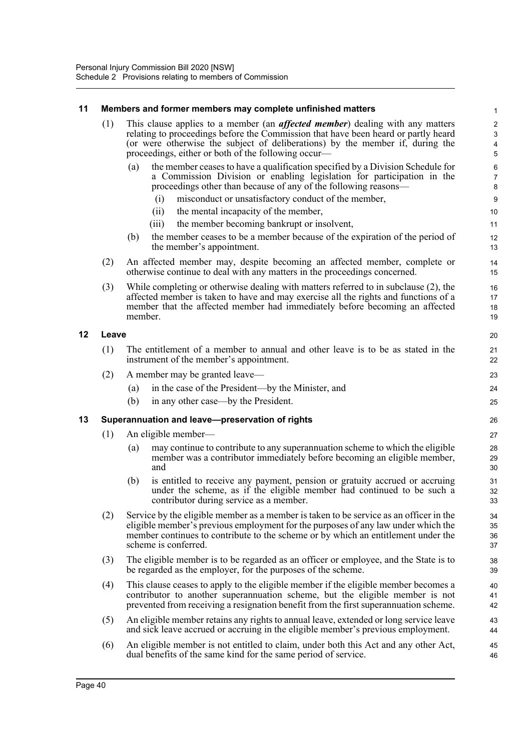### **11 Members and former members may complete unfinished matters**

| 11 |       | Members and former members may complete unfinished matters                                                                                                                                                                                                                                                          | $\mathbf{1}$                                              |
|----|-------|---------------------------------------------------------------------------------------------------------------------------------------------------------------------------------------------------------------------------------------------------------------------------------------------------------------------|-----------------------------------------------------------|
|    | (1)   | This clause applies to a member (an <i>affected member</i> ) dealing with any matters<br>relating to proceedings before the Commission that have been heard or partly heard<br>(or were otherwise the subject of deliberations) by the member if, during the<br>proceedings, either or both of the following occur— | $\sqrt{2}$<br>$\ensuremath{\mathsf{3}}$<br>$\pmb{4}$<br>5 |
|    |       | the member ceases to have a qualification specified by a Division Schedule for<br>(a)<br>a Commission Division or enabling legislation for participation in the<br>proceedings other than because of any of the following reasons—                                                                                  | 6<br>$\overline{7}$<br>$\bf 8$                            |
|    |       | misconduct or unsatisfactory conduct of the member,<br>(i)                                                                                                                                                                                                                                                          | 9                                                         |
|    |       | the mental incapacity of the member,<br>(ii)                                                                                                                                                                                                                                                                        | 10                                                        |
|    |       | (iii)<br>the member becoming bankrupt or insolvent,                                                                                                                                                                                                                                                                 | 11                                                        |
|    |       | the member ceases to be a member because of the expiration of the period of<br>(b)<br>the member's appointment.                                                                                                                                                                                                     | 12<br>13                                                  |
|    | (2)   | An affected member may, despite becoming an affected member, complete or<br>otherwise continue to deal with any matters in the proceedings concerned.                                                                                                                                                               | 14<br>15                                                  |
|    | (3)   | While completing or otherwise dealing with matters referred to in subclause (2), the<br>affected member is taken to have and may exercise all the rights and functions of a<br>member that the affected member had immediately before becoming an affected<br>member.                                               | 16<br>17<br>18<br>19                                      |
| 12 | Leave |                                                                                                                                                                                                                                                                                                                     | 20                                                        |
|    | (1)   | The entitlement of a member to annual and other leave is to be as stated in the<br>instrument of the member's appointment.                                                                                                                                                                                          | 21<br>22                                                  |
|    | (2)   | A member may be granted leave—                                                                                                                                                                                                                                                                                      | 23                                                        |
|    |       | in the case of the President—by the Minister, and<br>(a)                                                                                                                                                                                                                                                            | 24                                                        |
|    |       | (b)<br>in any other case—by the President.                                                                                                                                                                                                                                                                          | 25                                                        |
| 13 |       | Superannuation and leave-preservation of rights                                                                                                                                                                                                                                                                     | 26                                                        |
|    | (1)   | An eligible member—                                                                                                                                                                                                                                                                                                 | 27                                                        |
|    |       | may continue to contribute to any superannuation scheme to which the eligible<br>(a)<br>member was a contributor immediately before becoming an eligible member,<br>and                                                                                                                                             | 28<br>29<br>30                                            |
|    |       | is entitled to receive any payment, pension or gratuity accrued or accruing<br>(b)<br>under the scheme, as if the eligible member had continued to be such a<br>contributor during service as a member.                                                                                                             | 31<br>32<br>33                                            |
|    | (2)   | Service by the eligible member as a member is taken to be service as an officer in the<br>eligible member's previous employment for the purposes of any law under which the<br>member continues to contribute to the scheme or by which an entitlement under the<br>scheme is conferred.                            | 34<br>35<br>36<br>37                                      |
|    | (3)   | The eligible member is to be regarded as an officer or employee, and the State is to<br>be regarded as the employer, for the purposes of the scheme.                                                                                                                                                                | 38<br>39                                                  |
|    | (4)   | This clause ceases to apply to the eligible member if the eligible member becomes a<br>contributor to another superannuation scheme, but the eligible member is not<br>prevented from receiving a resignation benefit from the first superannuation scheme.                                                         | 40<br>41<br>42                                            |
|    | (5)   | An eligible member retains any rights to annual leave, extended or long service leave<br>and sick leave accrued or accruing in the eligible member's previous employment.                                                                                                                                           | 43<br>44                                                  |
|    | (6)   | An eligible member is not entitled to claim, under both this Act and any other Act,<br>dual benefits of the same kind for the same period of service.                                                                                                                                                               | 45<br>46                                                  |

**12 Leave**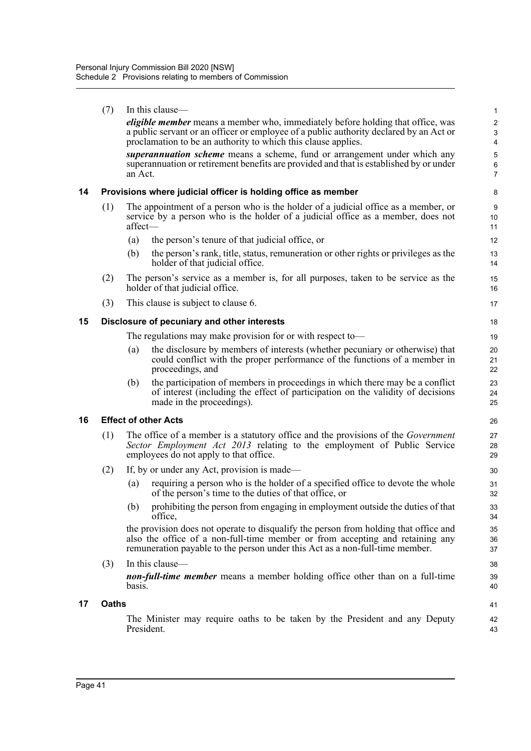|    | (7)          | In this clause—                                                                                                                                                                                                                                       | 1                                 |
|----|--------------|-------------------------------------------------------------------------------------------------------------------------------------------------------------------------------------------------------------------------------------------------------|-----------------------------------|
|    |              | <i>eligible member</i> means a member who, immediately before holding that office, was<br>a public servant or an officer or employee of a public authority declared by an Act or<br>proclamation to be an authority to which this clause applies.     | $\overline{2}$<br>$\sqrt{3}$<br>4 |
|    |              | superannuation scheme means a scheme, fund or arrangement under which any<br>superannuation or retirement benefits are provided and that is established by or under<br>an Act.                                                                        | 5<br>6<br>$\overline{7}$          |
| 14 |              | Provisions where judicial officer is holding office as member                                                                                                                                                                                         | 8                                 |
|    | (1)          | The appointment of a person who is the holder of a judicial office as a member, or<br>service by a person who is the holder of a judicial office as a member, does not<br>affect-                                                                     | 9<br>10<br>11                     |
|    |              | (a)<br>the person's tenure of that judicial office, or                                                                                                                                                                                                | 12                                |
|    |              | (b)<br>the person's rank, title, status, remuneration or other rights or privileges as the<br>holder of that judicial office.                                                                                                                         | 13<br>14                          |
|    | (2)          | The person's service as a member is, for all purposes, taken to be service as the<br>holder of that judicial office.                                                                                                                                  | 15<br>16                          |
|    | (3)          | This clause is subject to clause 6.                                                                                                                                                                                                                   | 17                                |
| 15 |              | Disclosure of pecuniary and other interests                                                                                                                                                                                                           | 18                                |
|    |              | The regulations may make provision for or with respect to-                                                                                                                                                                                            | 19                                |
|    |              | the disclosure by members of interests (whether pecuniary or otherwise) that<br>(a)<br>could conflict with the proper performance of the functions of a member in<br>proceedings, and                                                                 | 20<br>21<br>22                    |
|    |              | the participation of members in proceedings in which there may be a conflict<br>(b)<br>of interest (including the effect of participation on the validity of decisions<br>made in the proceedings).                                                   | 23<br>24<br>25                    |
| 16 |              | <b>Effect of other Acts</b>                                                                                                                                                                                                                           | 26                                |
|    | (1)          | The office of a member is a statutory office and the provisions of the <i>Government</i><br>Sector Employment Act 2013 relating to the employment of Public Service<br>employees do not apply to that office.                                         | 27<br>28<br>29                    |
|    | (2)          | If, by or under any Act, provision is made—                                                                                                                                                                                                           | 30                                |
|    |              | requiring a person who is the holder of a specified office to devote the whole<br>(a)<br>of the person's time to the duties of that office, or                                                                                                        | 31<br>32                          |
|    |              | prohibiting the person from engaging in employment outside the duties of that<br>(b)<br>office,                                                                                                                                                       | 33<br>34                          |
|    |              | the provision does not operate to disqualify the person from holding that office and<br>also the office of a non-full-time member or from accepting and retaining any<br>remuneration payable to the person under this Act as a non-full-time member. | 35<br>36<br>37                    |
|    | (3)          | In this clause-<br><b>non-full-time member</b> means a member holding office other than on a full-time<br>basis.                                                                                                                                      | 38<br>39<br>40                    |
| 17 | <b>Oaths</b> |                                                                                                                                                                                                                                                       | 41                                |
|    |              | The Minister may require oaths to be taken by the President and any Deputy<br>President.                                                                                                                                                              | 42<br>43                          |
|    |              |                                                                                                                                                                                                                                                       |                                   |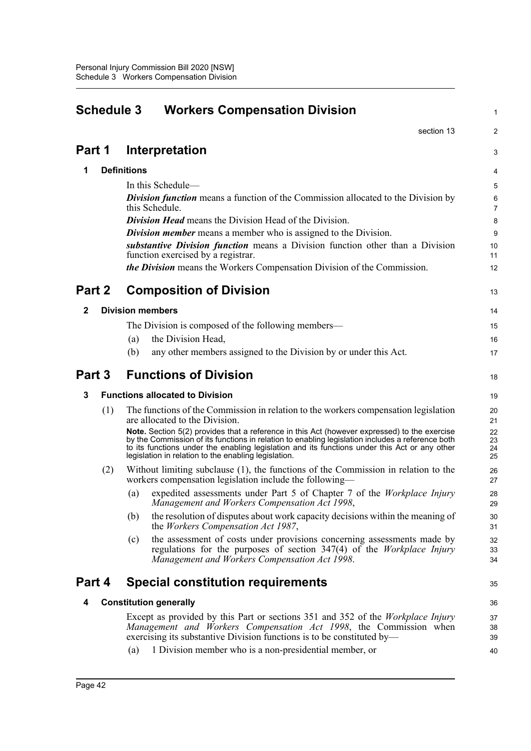| section 13<br>2<br>Part 1<br>Interpretation<br>3<br><b>Definitions</b><br>1<br>4<br>In this Schedule—<br>5<br><b>Division function</b> means a function of the Commission allocated to the Division by<br>6<br>this Schedule.<br>$\overline{7}$<br><b>Division Head</b> means the Division Head of the Division.<br>8<br><b>Division member</b> means a member who is assigned to the Division.<br>9<br>substantive Division function means a Division function other than a Division<br>10<br>function exercised by a registrar.<br>11<br><i>the Division</i> means the Workers Compensation Division of the Commission.<br>12<br>Part 2<br><b>Composition of Division</b><br>13<br><b>Division members</b><br>2<br>14<br>The Division is composed of the following members—<br>15<br>the Division Head,<br>(a)<br>16<br>any other members assigned to the Division by or under this Act.<br>(b)<br>17<br><b>Functions of Division</b><br>Part 3<br>18<br><b>Functions allocated to Division</b><br>3<br>19<br>(1)<br>The functions of the Commission in relation to the workers compensation legislation<br>20<br>are allocated to the Division.<br>21<br>Note. Section 5(2) provides that a reference in this Act (however expressed) to the exercise<br>22<br>by the Commission of its functions in relation to enabling legislation includes a reference both<br>23<br>to its functions under the enabling legislation and its functions under this Act or any other<br>24<br>legislation in relation to the enabling legislation.<br>25<br>Without limiting subclause (1), the functions of the Commission in relation to the<br>(2)<br>26<br>workers compensation legislation include the following—<br>27<br>expedited assessments under Part 5 of Chapter 7 of the Workplace Injury<br>(a)<br>28<br>Management and Workers Compensation Act 1998,<br>29<br>(b)<br>the resolution of disputes about work capacity decisions within the meaning of<br>30<br>the <i>Workers</i> Compensation Act 1987,<br>31<br>the assessment of costs under provisions concerning assessments made by<br>32<br>(c)<br>regulations for the purposes of section $347(4)$ of the <i>Workplace Injury</i><br>33<br>Management and Workers Compensation Act 1998.<br>34<br>Part 4<br><b>Special constitution requirements</b><br>35<br><b>Constitution generally</b><br>4<br>36<br>Except as provided by this Part or sections 351 and 352 of the <i>Workplace Injury</i><br>37<br>Management and Workers Compensation Act 1998, the Commission when<br>38<br>exercising its substantive Division functions is to be constituted by—<br>39<br>1 Division member who is a non-presidential member, or<br>(a)<br>40 | <b>Schedule 3</b><br><b>Workers Compensation Division</b> |  |  |
|------------------------------------------------------------------------------------------------------------------------------------------------------------------------------------------------------------------------------------------------------------------------------------------------------------------------------------------------------------------------------------------------------------------------------------------------------------------------------------------------------------------------------------------------------------------------------------------------------------------------------------------------------------------------------------------------------------------------------------------------------------------------------------------------------------------------------------------------------------------------------------------------------------------------------------------------------------------------------------------------------------------------------------------------------------------------------------------------------------------------------------------------------------------------------------------------------------------------------------------------------------------------------------------------------------------------------------------------------------------------------------------------------------------------------------------------------------------------------------------------------------------------------------------------------------------------------------------------------------------------------------------------------------------------------------------------------------------------------------------------------------------------------------------------------------------------------------------------------------------------------------------------------------------------------------------------------------------------------------------------------------------------------------------------------------------------------------------------------------------------------------------------------------------------------------------------------------------------------------------------------------------------------------------------------------------------------------------------------------------------------------------------------------------------------------------------------------------------------------------------------------------------------------------------------------------------------------------------------------------------------------------------------------------------------------------------------|-----------------------------------------------------------|--|--|
|                                                                                                                                                                                                                                                                                                                                                                                                                                                                                                                                                                                                                                                                                                                                                                                                                                                                                                                                                                                                                                                                                                                                                                                                                                                                                                                                                                                                                                                                                                                                                                                                                                                                                                                                                                                                                                                                                                                                                                                                                                                                                                                                                                                                                                                                                                                                                                                                                                                                                                                                                                                                                                                                                                      |                                                           |  |  |
|                                                                                                                                                                                                                                                                                                                                                                                                                                                                                                                                                                                                                                                                                                                                                                                                                                                                                                                                                                                                                                                                                                                                                                                                                                                                                                                                                                                                                                                                                                                                                                                                                                                                                                                                                                                                                                                                                                                                                                                                                                                                                                                                                                                                                                                                                                                                                                                                                                                                                                                                                                                                                                                                                                      |                                                           |  |  |
|                                                                                                                                                                                                                                                                                                                                                                                                                                                                                                                                                                                                                                                                                                                                                                                                                                                                                                                                                                                                                                                                                                                                                                                                                                                                                                                                                                                                                                                                                                                                                                                                                                                                                                                                                                                                                                                                                                                                                                                                                                                                                                                                                                                                                                                                                                                                                                                                                                                                                                                                                                                                                                                                                                      |                                                           |  |  |
|                                                                                                                                                                                                                                                                                                                                                                                                                                                                                                                                                                                                                                                                                                                                                                                                                                                                                                                                                                                                                                                                                                                                                                                                                                                                                                                                                                                                                                                                                                                                                                                                                                                                                                                                                                                                                                                                                                                                                                                                                                                                                                                                                                                                                                                                                                                                                                                                                                                                                                                                                                                                                                                                                                      |                                                           |  |  |
|                                                                                                                                                                                                                                                                                                                                                                                                                                                                                                                                                                                                                                                                                                                                                                                                                                                                                                                                                                                                                                                                                                                                                                                                                                                                                                                                                                                                                                                                                                                                                                                                                                                                                                                                                                                                                                                                                                                                                                                                                                                                                                                                                                                                                                                                                                                                                                                                                                                                                                                                                                                                                                                                                                      |                                                           |  |  |
|                                                                                                                                                                                                                                                                                                                                                                                                                                                                                                                                                                                                                                                                                                                                                                                                                                                                                                                                                                                                                                                                                                                                                                                                                                                                                                                                                                                                                                                                                                                                                                                                                                                                                                                                                                                                                                                                                                                                                                                                                                                                                                                                                                                                                                                                                                                                                                                                                                                                                                                                                                                                                                                                                                      |                                                           |  |  |
|                                                                                                                                                                                                                                                                                                                                                                                                                                                                                                                                                                                                                                                                                                                                                                                                                                                                                                                                                                                                                                                                                                                                                                                                                                                                                                                                                                                                                                                                                                                                                                                                                                                                                                                                                                                                                                                                                                                                                                                                                                                                                                                                                                                                                                                                                                                                                                                                                                                                                                                                                                                                                                                                                                      |                                                           |  |  |
|                                                                                                                                                                                                                                                                                                                                                                                                                                                                                                                                                                                                                                                                                                                                                                                                                                                                                                                                                                                                                                                                                                                                                                                                                                                                                                                                                                                                                                                                                                                                                                                                                                                                                                                                                                                                                                                                                                                                                                                                                                                                                                                                                                                                                                                                                                                                                                                                                                                                                                                                                                                                                                                                                                      |                                                           |  |  |
|                                                                                                                                                                                                                                                                                                                                                                                                                                                                                                                                                                                                                                                                                                                                                                                                                                                                                                                                                                                                                                                                                                                                                                                                                                                                                                                                                                                                                                                                                                                                                                                                                                                                                                                                                                                                                                                                                                                                                                                                                                                                                                                                                                                                                                                                                                                                                                                                                                                                                                                                                                                                                                                                                                      |                                                           |  |  |
|                                                                                                                                                                                                                                                                                                                                                                                                                                                                                                                                                                                                                                                                                                                                                                                                                                                                                                                                                                                                                                                                                                                                                                                                                                                                                                                                                                                                                                                                                                                                                                                                                                                                                                                                                                                                                                                                                                                                                                                                                                                                                                                                                                                                                                                                                                                                                                                                                                                                                                                                                                                                                                                                                                      |                                                           |  |  |
|                                                                                                                                                                                                                                                                                                                                                                                                                                                                                                                                                                                                                                                                                                                                                                                                                                                                                                                                                                                                                                                                                                                                                                                                                                                                                                                                                                                                                                                                                                                                                                                                                                                                                                                                                                                                                                                                                                                                                                                                                                                                                                                                                                                                                                                                                                                                                                                                                                                                                                                                                                                                                                                                                                      |                                                           |  |  |
|                                                                                                                                                                                                                                                                                                                                                                                                                                                                                                                                                                                                                                                                                                                                                                                                                                                                                                                                                                                                                                                                                                                                                                                                                                                                                                                                                                                                                                                                                                                                                                                                                                                                                                                                                                                                                                                                                                                                                                                                                                                                                                                                                                                                                                                                                                                                                                                                                                                                                                                                                                                                                                                                                                      |                                                           |  |  |
|                                                                                                                                                                                                                                                                                                                                                                                                                                                                                                                                                                                                                                                                                                                                                                                                                                                                                                                                                                                                                                                                                                                                                                                                                                                                                                                                                                                                                                                                                                                                                                                                                                                                                                                                                                                                                                                                                                                                                                                                                                                                                                                                                                                                                                                                                                                                                                                                                                                                                                                                                                                                                                                                                                      |                                                           |  |  |
|                                                                                                                                                                                                                                                                                                                                                                                                                                                                                                                                                                                                                                                                                                                                                                                                                                                                                                                                                                                                                                                                                                                                                                                                                                                                                                                                                                                                                                                                                                                                                                                                                                                                                                                                                                                                                                                                                                                                                                                                                                                                                                                                                                                                                                                                                                                                                                                                                                                                                                                                                                                                                                                                                                      |                                                           |  |  |
|                                                                                                                                                                                                                                                                                                                                                                                                                                                                                                                                                                                                                                                                                                                                                                                                                                                                                                                                                                                                                                                                                                                                                                                                                                                                                                                                                                                                                                                                                                                                                                                                                                                                                                                                                                                                                                                                                                                                                                                                                                                                                                                                                                                                                                                                                                                                                                                                                                                                                                                                                                                                                                                                                                      |                                                           |  |  |
|                                                                                                                                                                                                                                                                                                                                                                                                                                                                                                                                                                                                                                                                                                                                                                                                                                                                                                                                                                                                                                                                                                                                                                                                                                                                                                                                                                                                                                                                                                                                                                                                                                                                                                                                                                                                                                                                                                                                                                                                                                                                                                                                                                                                                                                                                                                                                                                                                                                                                                                                                                                                                                                                                                      |                                                           |  |  |
|                                                                                                                                                                                                                                                                                                                                                                                                                                                                                                                                                                                                                                                                                                                                                                                                                                                                                                                                                                                                                                                                                                                                                                                                                                                                                                                                                                                                                                                                                                                                                                                                                                                                                                                                                                                                                                                                                                                                                                                                                                                                                                                                                                                                                                                                                                                                                                                                                                                                                                                                                                                                                                                                                                      |                                                           |  |  |
|                                                                                                                                                                                                                                                                                                                                                                                                                                                                                                                                                                                                                                                                                                                                                                                                                                                                                                                                                                                                                                                                                                                                                                                                                                                                                                                                                                                                                                                                                                                                                                                                                                                                                                                                                                                                                                                                                                                                                                                                                                                                                                                                                                                                                                                                                                                                                                                                                                                                                                                                                                                                                                                                                                      |                                                           |  |  |
|                                                                                                                                                                                                                                                                                                                                                                                                                                                                                                                                                                                                                                                                                                                                                                                                                                                                                                                                                                                                                                                                                                                                                                                                                                                                                                                                                                                                                                                                                                                                                                                                                                                                                                                                                                                                                                                                                                                                                                                                                                                                                                                                                                                                                                                                                                                                                                                                                                                                                                                                                                                                                                                                                                      |                                                           |  |  |
|                                                                                                                                                                                                                                                                                                                                                                                                                                                                                                                                                                                                                                                                                                                                                                                                                                                                                                                                                                                                                                                                                                                                                                                                                                                                                                                                                                                                                                                                                                                                                                                                                                                                                                                                                                                                                                                                                                                                                                                                                                                                                                                                                                                                                                                                                                                                                                                                                                                                                                                                                                                                                                                                                                      |                                                           |  |  |
|                                                                                                                                                                                                                                                                                                                                                                                                                                                                                                                                                                                                                                                                                                                                                                                                                                                                                                                                                                                                                                                                                                                                                                                                                                                                                                                                                                                                                                                                                                                                                                                                                                                                                                                                                                                                                                                                                                                                                                                                                                                                                                                                                                                                                                                                                                                                                                                                                                                                                                                                                                                                                                                                                                      |                                                           |  |  |
|                                                                                                                                                                                                                                                                                                                                                                                                                                                                                                                                                                                                                                                                                                                                                                                                                                                                                                                                                                                                                                                                                                                                                                                                                                                                                                                                                                                                                                                                                                                                                                                                                                                                                                                                                                                                                                                                                                                                                                                                                                                                                                                                                                                                                                                                                                                                                                                                                                                                                                                                                                                                                                                                                                      |                                                           |  |  |
|                                                                                                                                                                                                                                                                                                                                                                                                                                                                                                                                                                                                                                                                                                                                                                                                                                                                                                                                                                                                                                                                                                                                                                                                                                                                                                                                                                                                                                                                                                                                                                                                                                                                                                                                                                                                                                                                                                                                                                                                                                                                                                                                                                                                                                                                                                                                                                                                                                                                                                                                                                                                                                                                                                      |                                                           |  |  |
|                                                                                                                                                                                                                                                                                                                                                                                                                                                                                                                                                                                                                                                                                                                                                                                                                                                                                                                                                                                                                                                                                                                                                                                                                                                                                                                                                                                                                                                                                                                                                                                                                                                                                                                                                                                                                                                                                                                                                                                                                                                                                                                                                                                                                                                                                                                                                                                                                                                                                                                                                                                                                                                                                                      |                                                           |  |  |
|                                                                                                                                                                                                                                                                                                                                                                                                                                                                                                                                                                                                                                                                                                                                                                                                                                                                                                                                                                                                                                                                                                                                                                                                                                                                                                                                                                                                                                                                                                                                                                                                                                                                                                                                                                                                                                                                                                                                                                                                                                                                                                                                                                                                                                                                                                                                                                                                                                                                                                                                                                                                                                                                                                      |                                                           |  |  |
|                                                                                                                                                                                                                                                                                                                                                                                                                                                                                                                                                                                                                                                                                                                                                                                                                                                                                                                                                                                                                                                                                                                                                                                                                                                                                                                                                                                                                                                                                                                                                                                                                                                                                                                                                                                                                                                                                                                                                                                                                                                                                                                                                                                                                                                                                                                                                                                                                                                                                                                                                                                                                                                                                                      |                                                           |  |  |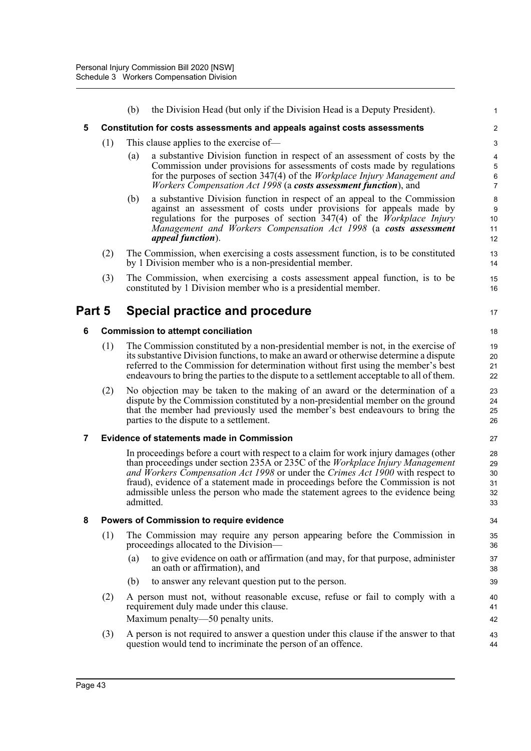|        |     | the Division Head (but only if the Division Head is a Deputy President).<br>(b)                                                                                                                                                                                                                                                                                                                                                                      | 1                                                                  |
|--------|-----|------------------------------------------------------------------------------------------------------------------------------------------------------------------------------------------------------------------------------------------------------------------------------------------------------------------------------------------------------------------------------------------------------------------------------------------------------|--------------------------------------------------------------------|
| 5      |     | <b>Constitution for costs assessments and appeals against costs assessments</b>                                                                                                                                                                                                                                                                                                                                                                      | $\boldsymbol{2}$                                                   |
|        | (1) | This clause applies to the exercise of-                                                                                                                                                                                                                                                                                                                                                                                                              | 3                                                                  |
|        |     | a substantive Division function in respect of an assessment of costs by the<br>(a)<br>Commission under provisions for assessments of costs made by regulations<br>for the purposes of section 347(4) of the <i>Workplace Injury Management and</i><br><i>Workers Compensation Act 1998 (a costs assessment function)</i> , and                                                                                                                       | $\overline{\mathbf{4}}$<br>5<br>$\boldsymbol{6}$<br>$\overline{7}$ |
|        |     | a substantive Division function in respect of an appeal to the Commission<br>(b)<br>against an assessment of costs under provisions for appeals made by<br>regulations for the purposes of section $347(4)$ of the <i>Workplace Injury</i><br>Management and Workers Compensation Act 1998 (a costs assessment<br><i>appeal function</i> ).                                                                                                          | 8<br>9<br>10<br>11<br>12                                           |
|        | (2) | The Commission, when exercising a costs assessment function, is to be constituted<br>by 1 Division member who is a non-presidential member.                                                                                                                                                                                                                                                                                                          | 13<br>14                                                           |
|        | (3) | The Commission, when exercising a costs assessment appeal function, is to be<br>constituted by 1 Division member who is a presidential member.                                                                                                                                                                                                                                                                                                       | 15<br>16                                                           |
| Part 5 |     | Special practice and procedure                                                                                                                                                                                                                                                                                                                                                                                                                       | 17                                                                 |
| 6      |     | <b>Commission to attempt conciliation</b>                                                                                                                                                                                                                                                                                                                                                                                                            | 18                                                                 |
|        | (1) | The Commission constituted by a non-presidential member is not, in the exercise of<br>its substantive Division functions, to make an award or otherwise determine a dispute<br>referred to the Commission for determination without first using the member's best<br>endeavours to bring the parties to the dispute to a settlement acceptable to all of them.                                                                                       | 19<br>20<br>21<br>22                                               |
|        | (2) | No objection may be taken to the making of an award or the determination of a<br>dispute by the Commission constituted by a non-presidential member on the ground<br>that the member had previously used the member's best endeavours to bring the<br>parties to the dispute to a settlement.                                                                                                                                                        | 23<br>24<br>25<br>26                                               |
| 7      |     | <b>Evidence of statements made in Commission</b>                                                                                                                                                                                                                                                                                                                                                                                                     | 27                                                                 |
|        |     | In proceedings before a court with respect to a claim for work injury damages (other<br>than proceedings under section 235A or 235C of the <i>Workplace Injury Management</i><br>and Workers Compensation Act 1998 or under the Crimes Act 1900 with respect to<br>fraud), evidence of a statement made in proceedings before the Commission is not<br>admissible unless the person who made the statement agrees to the evidence being<br>admitted. | 28<br>29<br>30<br>31<br>32<br>33                                   |
| 8      |     | Powers of Commission to require evidence                                                                                                                                                                                                                                                                                                                                                                                                             | 34                                                                 |
|        | (1) | The Commission may require any person appearing before the Commission in<br>proceedings allocated to the Division-                                                                                                                                                                                                                                                                                                                                   | 35<br>36                                                           |
|        |     | to give evidence on oath or affirmation (and may, for that purpose, administer<br>(a)<br>an oath or affirmation), and                                                                                                                                                                                                                                                                                                                                | 37<br>38                                                           |
|        |     | to answer any relevant question put to the person.<br>(b)                                                                                                                                                                                                                                                                                                                                                                                            | 39                                                                 |
|        | (2) | A person must not, without reasonable excuse, refuse or fail to comply with a<br>requirement duly made under this clause.                                                                                                                                                                                                                                                                                                                            | 40<br>41                                                           |
|        |     | Maximum penalty—50 penalty units.                                                                                                                                                                                                                                                                                                                                                                                                                    | 42                                                                 |
|        | (3) | A person is not required to answer a question under this clause if the answer to that<br>question would tend to incriminate the person of an offence.                                                                                                                                                                                                                                                                                                | 43<br>44                                                           |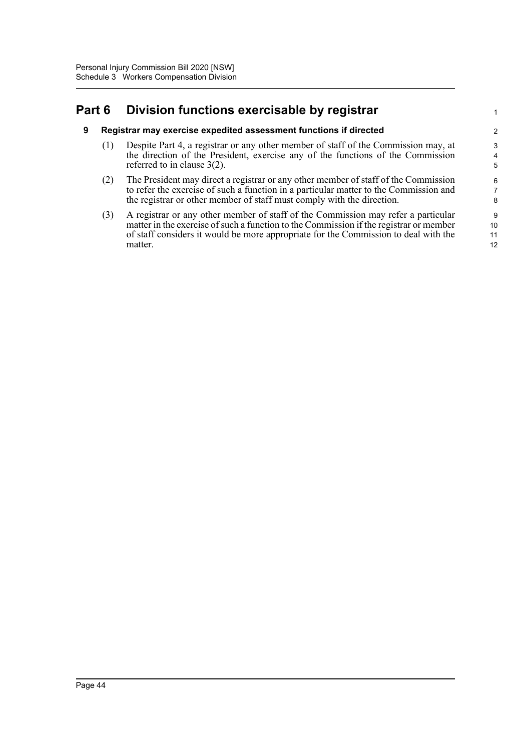# **Part 6 Division functions exercisable by registrar**

### **9 Registrar may exercise expedited assessment functions if directed**

(1) Despite Part 4, a registrar or any other member of staff of the Commission may, at the direction of the President, exercise any of the functions of the Commission referred to in clause 3(2).

1

- (2) The President may direct a registrar or any other member of staff of the Commission to refer the exercise of such a function in a particular matter to the Commission and the registrar or other member of staff must comply with the direction.
- (3) A registrar or any other member of staff of the Commission may refer a particular matter in the exercise of such a function to the Commission if the registrar or member of staff considers it would be more appropriate for the Commission to deal with the matter.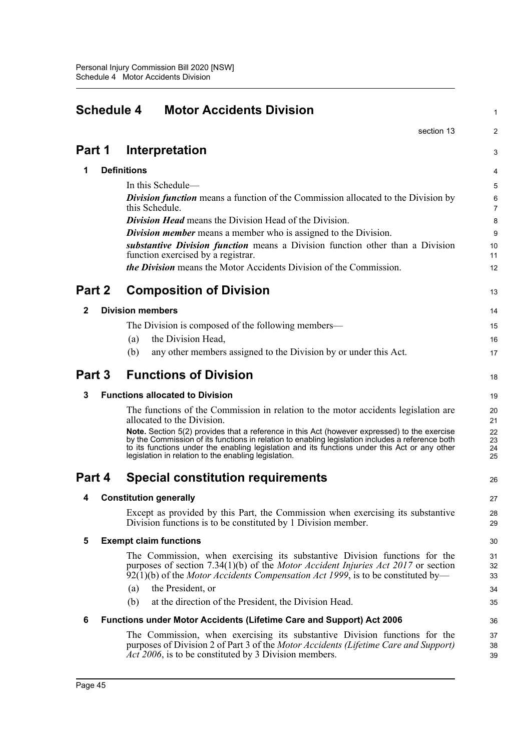|              | <b>Schedule 4</b><br><b>Motor Accidents Division</b> |                                                                                                                                                                                                                                                                                                                                                           |                      |  |  |
|--------------|------------------------------------------------------|-----------------------------------------------------------------------------------------------------------------------------------------------------------------------------------------------------------------------------------------------------------------------------------------------------------------------------------------------------------|----------------------|--|--|
|              |                                                      | section 13                                                                                                                                                                                                                                                                                                                                                | 2                    |  |  |
| Part 1       |                                                      | Interpretation                                                                                                                                                                                                                                                                                                                                            | 3                    |  |  |
| 1            |                                                      | <b>Definitions</b>                                                                                                                                                                                                                                                                                                                                        | 4                    |  |  |
|              |                                                      | In this Schedule—                                                                                                                                                                                                                                                                                                                                         | 5                    |  |  |
|              |                                                      | <b>Division function</b> means a function of the Commission allocated to the Division by<br>this Schedule.                                                                                                                                                                                                                                                | 6<br>7               |  |  |
|              |                                                      | <b>Division Head</b> means the Division Head of the Division.                                                                                                                                                                                                                                                                                             | 8                    |  |  |
|              |                                                      | <b>Division member</b> means a member who is assigned to the Division.                                                                                                                                                                                                                                                                                    | 9                    |  |  |
|              |                                                      | substantive Division function means a Division function other than a Division<br>function exercised by a registrar.                                                                                                                                                                                                                                       | 10<br>11             |  |  |
|              |                                                      | <i>the Division</i> means the Motor Accidents Division of the Commission.                                                                                                                                                                                                                                                                                 | 12                   |  |  |
| Part 2       |                                                      | <b>Composition of Division</b>                                                                                                                                                                                                                                                                                                                            | 13                   |  |  |
| $\mathbf{2}$ |                                                      | <b>Division members</b>                                                                                                                                                                                                                                                                                                                                   | 14                   |  |  |
|              |                                                      | The Division is composed of the following members—                                                                                                                                                                                                                                                                                                        | 15                   |  |  |
|              |                                                      | the Division Head,<br>(a)                                                                                                                                                                                                                                                                                                                                 | 16                   |  |  |
|              |                                                      | any other members assigned to the Division by or under this Act.<br>(b)                                                                                                                                                                                                                                                                                   | 17                   |  |  |
| Part 3       |                                                      | <b>Functions of Division</b>                                                                                                                                                                                                                                                                                                                              | 18                   |  |  |
| 3            |                                                      | <b>Functions allocated to Division</b>                                                                                                                                                                                                                                                                                                                    | 19                   |  |  |
|              |                                                      | The functions of the Commission in relation to the motor accidents legislation are<br>allocated to the Division.                                                                                                                                                                                                                                          | 20<br>21             |  |  |
|              |                                                      | Note. Section 5(2) provides that a reference in this Act (however expressed) to the exercise<br>by the Commission of its functions in relation to enabling legislation includes a reference both<br>to its functions under the enabling legislation and its functions under this Act or any other<br>legislation in relation to the enabling legislation. | 22<br>23<br>24<br>25 |  |  |
| Part 4       |                                                      | <b>Special constitution requirements</b>                                                                                                                                                                                                                                                                                                                  | 26                   |  |  |
| 4            |                                                      | <b>Constitution generally</b>                                                                                                                                                                                                                                                                                                                             | 27                   |  |  |
|              |                                                      | Except as provided by this Part, the Commission when exercising its substantive<br>Division functions is to be constituted by 1 Division member.                                                                                                                                                                                                          | 28<br>29             |  |  |
| 5            |                                                      | <b>Exempt claim functions</b>                                                                                                                                                                                                                                                                                                                             | 30                   |  |  |
|              |                                                      | The Commission, when exercising its substantive Division functions for the<br>purposes of section 7.34(1)(b) of the <i>Motor Accident Injuries Act 2017</i> or section<br>$92(1)(b)$ of the <i>Motor Accidents Compensation Act 1999</i> , is to be constituted by—                                                                                       | 31<br>32<br>33       |  |  |
|              |                                                      | the President, or<br>(a)                                                                                                                                                                                                                                                                                                                                  | 34                   |  |  |
|              |                                                      | at the direction of the President, the Division Head.<br>(b)                                                                                                                                                                                                                                                                                              | 35                   |  |  |
| 6            |                                                      | <b>Functions under Motor Accidents (Lifetime Care and Support) Act 2006</b>                                                                                                                                                                                                                                                                               | 36                   |  |  |
|              |                                                      | The Commission, when exercising its substantive Division functions for the<br>purposes of Division 2 of Part 3 of the Motor Accidents (Lifetime Care and Support)<br>Act 2006, is to be constituted by 3 Division members.                                                                                                                                | 37<br>38<br>39       |  |  |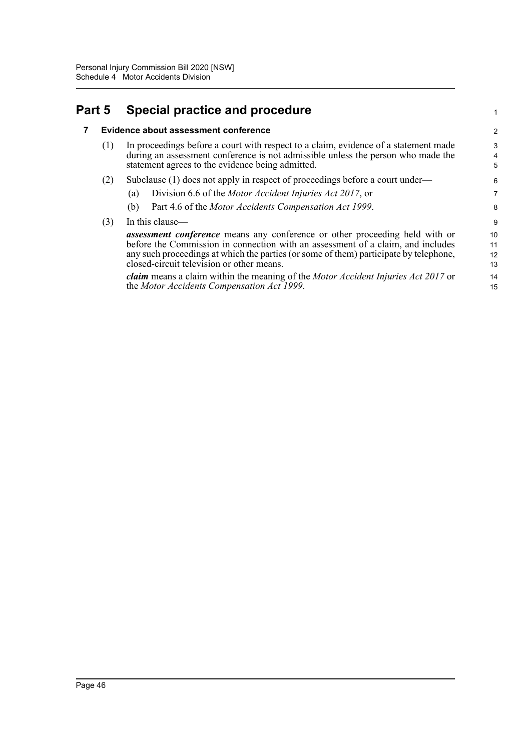# **Part 5 Special practice and procedure**

### **7 Evidence about assessment conference**

| (1) In proceedings before a court with respect to a claim, evidence of a statement made |
|-----------------------------------------------------------------------------------------|
| during an assessment conference is not admissible unless the person who made the        |
| statement agrees to the evidence being admitted.                                        |

1

- (2) Subclause (1) does not apply in respect of proceedings before a court under—
	- (a) Division 6.6 of the *Motor Accident Injuries Act 2017*, or
	- (b) Part 4.6 of the *Motor Accidents Compensation Act 1999*.
- (3) In this clause—

*assessment conference* means any conference or other proceeding held with or before the Commission in connection with an assessment of a claim, and includes any such proceedings at which the parties (or some of them) participate by telephone, closed-circuit television or other means.

*claim* means a claim within the meaning of the *Motor Accident Injuries Act 2017* or the *Motor Accidents Compensation Act 1999*.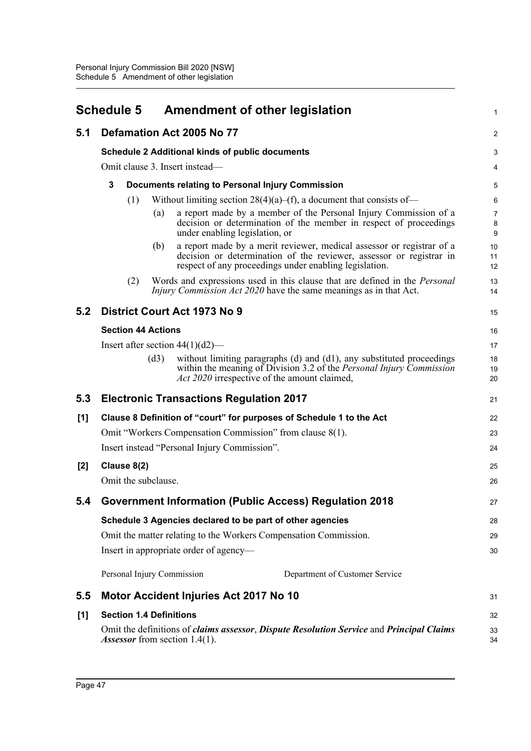|       | <b>Schedule 5</b>              |             |                           |                                                        | <b>Amendment of other legislation</b>                                                                                                                                                                  | 1              |
|-------|--------------------------------|-------------|---------------------------|--------------------------------------------------------|--------------------------------------------------------------------------------------------------------------------------------------------------------------------------------------------------------|----------------|
| 5.1   | Defamation Act 2005 No 77      |             |                           |                                                        |                                                                                                                                                                                                        | $\overline{2}$ |
|       |                                |             |                           | <b>Schedule 2 Additional kinds of public documents</b> |                                                                                                                                                                                                        | 3              |
|       | Omit clause 3. Insert instead— |             |                           |                                                        |                                                                                                                                                                                                        |                |
|       | 3                              |             |                           |                                                        | Documents relating to Personal Injury Commission                                                                                                                                                       | 5              |
|       |                                | (1)         |                           |                                                        | Without limiting section $28(4)(a)$ –(f), a document that consists of–                                                                                                                                 | 6              |
|       |                                |             | (a)                       | under enabling legislation, or                         | a report made by a member of the Personal Injury Commission of a<br>decision or determination of the member in respect of proceedings                                                                  | 7<br>8<br>9    |
|       |                                |             | (b)                       |                                                        | a report made by a merit reviewer, medical assessor or registrar of a<br>decision or determination of the reviewer, assessor or registrar in<br>respect of any proceedings under enabling legislation. | 10<br>11<br>12 |
|       |                                | (2)         |                           |                                                        | Words and expressions used in this clause that are defined in the <i>Personal</i><br><i>Injury Commission Act 2020</i> have the same meanings as in that Act.                                          | 13<br>14       |
| 5.2   |                                |             |                           | <b>District Court Act 1973 No 9</b>                    |                                                                                                                                                                                                        | 15             |
|       |                                |             | <b>Section 44 Actions</b> |                                                        |                                                                                                                                                                                                        | 16             |
|       |                                |             |                           | Insert after section $44(1)(d2)$ —                     |                                                                                                                                                                                                        | 17             |
|       |                                |             | (d3)                      |                                                        | without limiting paragraphs (d) and (d1), any substituted proceedings<br>within the meaning of Division 3.2 of the <i>Personal Injury Commission</i><br>Act 2020 irrespective of the amount claimed,   | 18<br>19<br>20 |
| 5.3   |                                |             |                           | <b>Electronic Transactions Regulation 2017</b>         |                                                                                                                                                                                                        | 21             |
| [1]   |                                |             |                           |                                                        | Clause 8 Definition of "court" for purposes of Schedule 1 to the Act                                                                                                                                   | 22             |
|       |                                |             |                           |                                                        | Omit "Workers Compensation Commission" from clause 8(1).                                                                                                                                               | 23             |
|       |                                |             |                           | Insert instead "Personal Injury Commission".           |                                                                                                                                                                                                        | 24             |
| $[2]$ |                                | Clause 8(2) |                           |                                                        |                                                                                                                                                                                                        | 25             |
|       |                                |             | Omit the subclause.       |                                                        |                                                                                                                                                                                                        | 26             |
| 5.4   |                                |             |                           |                                                        | <b>Government Information (Public Access) Regulation 2018</b>                                                                                                                                          | 27             |
|       |                                |             |                           |                                                        | Schedule 3 Agencies declared to be part of other agencies                                                                                                                                              | 28             |
|       |                                |             |                           |                                                        | Omit the matter relating to the Workers Compensation Commission.                                                                                                                                       | 29             |
|       |                                |             |                           | Insert in appropriate order of agency—                 |                                                                                                                                                                                                        | 30             |
|       |                                |             |                           | Personal Injury Commission                             | Department of Customer Service                                                                                                                                                                         |                |
| 5.5   |                                |             |                           | Motor Accident Injuries Act 2017 No 10                 |                                                                                                                                                                                                        | 31             |
| [1]   |                                |             |                           | <b>Section 1.4 Definitions</b>                         |                                                                                                                                                                                                        | 32             |
|       |                                |             |                           | <i>Assessor</i> from section 1.4(1).                   | Omit the definitions of <i>claims assessor</i> , <i>Dispute Resolution Service</i> and <i>Principal Claims</i>                                                                                         | 33<br>34       |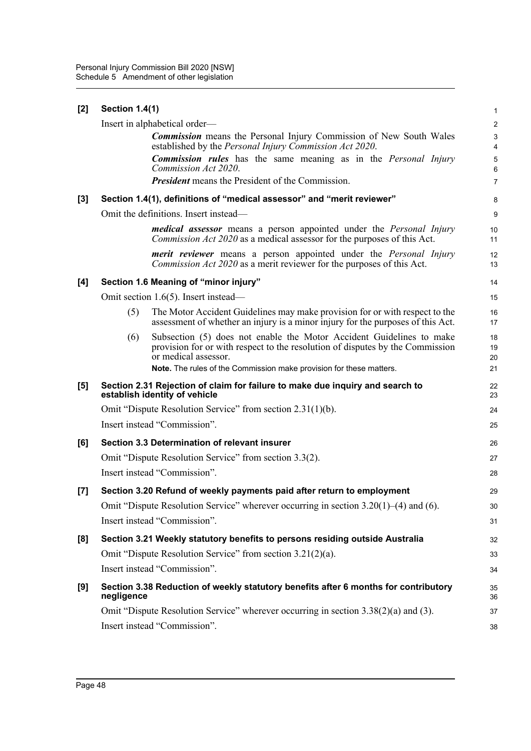| [2] | <b>Section 1.4(1)</b> |                                                                                                                                                                               | 1              |
|-----|-----------------------|-------------------------------------------------------------------------------------------------------------------------------------------------------------------------------|----------------|
|     |                       | Insert in alphabetical order—                                                                                                                                                 | $\overline{c}$ |
|     |                       | <b>Commission</b> means the Personal Injury Commission of New South Wales<br>established by the Personal Injury Commission Act 2020.                                          | 3<br>4         |
|     |                       | <b>Commission rules</b> has the same meaning as in the <i>Personal Injury</i><br>Commission Act 2020.                                                                         | 5<br>6         |
|     |                       | <b>President</b> means the President of the Commission.                                                                                                                       | $\overline{7}$ |
| [3] |                       | Section 1.4(1), definitions of "medical assessor" and "merit reviewer"                                                                                                        | 8              |
|     |                       | Omit the definitions. Insert instead—                                                                                                                                         | 9              |
|     |                       | <b>medical assessor</b> means a person appointed under the <i>Personal Injury</i><br><i>Commission Act 2020</i> as a medical assessor for the purposes of this Act.           | 10<br>11       |
|     |                       | <b>merit reviewer</b> means a person appointed under the <i>Personal Injury</i><br><i>Commission Act 2020</i> as a merit reviewer for the purposes of this Act.               | 12<br>13       |
| [4] |                       | Section 1.6 Meaning of "minor injury"                                                                                                                                         | 14             |
|     |                       | Omit section 1.6(5). Insert instead—                                                                                                                                          | 15             |
|     | (5)                   | The Motor Accident Guidelines may make provision for or with respect to the<br>assessment of whether an injury is a minor injury for the purposes of this Act.                | 16<br>17       |
|     | (6)                   | Subsection (5) does not enable the Motor Accident Guidelines to make<br>provision for or with respect to the resolution of disputes by the Commission<br>or medical assessor. | 18<br>19<br>20 |
|     |                       | Note. The rules of the Commission make provision for these matters.                                                                                                           | 21             |
| [5] |                       | Section 2.31 Rejection of claim for failure to make due inquiry and search to<br>establish identity of vehicle                                                                | 22<br>23       |
|     |                       | Omit "Dispute Resolution Service" from section 2.31(1)(b).                                                                                                                    | 24             |
|     |                       | Insert instead "Commission".                                                                                                                                                  | 25             |
| [6] |                       | Section 3.3 Determination of relevant insurer                                                                                                                                 | 26             |
|     |                       | Omit "Dispute Resolution Service" from section 3.3(2).                                                                                                                        | 27             |
|     |                       | Insert instead "Commission".                                                                                                                                                  | 28             |
| [7] |                       | Section 3.20 Refund of weekly payments paid after return to employment                                                                                                        | 29             |
|     |                       | Omit "Dispute Resolution Service" wherever occurring in section 3.20(1)–(4) and (6).                                                                                          | 30             |
|     |                       | Insert instead "Commission".                                                                                                                                                  | 31             |
| [8] |                       | Section 3.21 Weekly statutory benefits to persons residing outside Australia                                                                                                  | 32             |
|     |                       | Omit "Dispute Resolution Service" from section 3.21(2)(a).                                                                                                                    | 33             |
|     |                       | Insert instead "Commission".                                                                                                                                                  | 34             |
| [9] | negligence            | Section 3.38 Reduction of weekly statutory benefits after 6 months for contributory                                                                                           | 35<br>36       |
|     |                       | Omit "Dispute Resolution Service" wherever occurring in section $3.38(2)(a)$ and (3).                                                                                         | 37             |
|     |                       | Insert instead "Commission".                                                                                                                                                  | 38             |
|     |                       |                                                                                                                                                                               |                |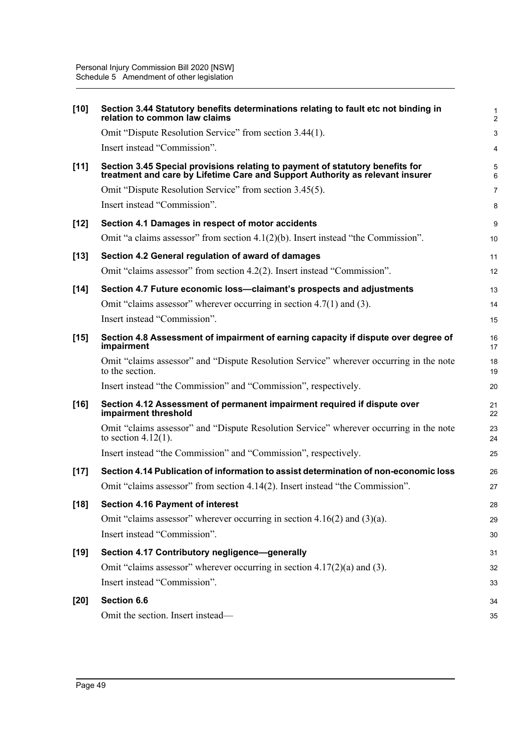| $[10]$ | Section 3.44 Statutory benefits determinations relating to fault etc not binding in<br>relation to common law claims                                           | 1<br>$\overline{a}$ |
|--------|----------------------------------------------------------------------------------------------------------------------------------------------------------------|---------------------|
|        | Omit "Dispute Resolution Service" from section 3.44(1).                                                                                                        | 3                   |
|        | Insert instead "Commission".                                                                                                                                   | 4                   |
| $[11]$ | Section 3.45 Special provisions relating to payment of statutory benefits for<br>treatment and care by Lifetime Care and Support Authority as relevant insurer | 5<br>6              |
|        | Omit "Dispute Resolution Service" from section 3.45(5).                                                                                                        | 7                   |
|        | Insert instead "Commission".                                                                                                                                   | 8                   |
| $[12]$ | Section 4.1 Damages in respect of motor accidents                                                                                                              | 9                   |
|        | Omit "a claims assessor" from section $4.1(2)(b)$ . Insert instead "the Commission".                                                                           | 10                  |
| $[13]$ | Section 4.2 General regulation of award of damages                                                                                                             | 11                  |
|        | Omit "claims assessor" from section 4.2(2). Insert instead "Commission".                                                                                       | 12                  |
| $[14]$ | Section 4.7 Future economic loss--claimant's prospects and adjustments                                                                                         | 13                  |
|        | Omit "claims assessor" wherever occurring in section $4.7(1)$ and $(3)$ .                                                                                      | 14                  |
|        | Insert instead "Commission".                                                                                                                                   | 15                  |
| $[15]$ | Section 4.8 Assessment of impairment of earning capacity if dispute over degree of<br>impairment                                                               | 16<br>17            |
|        | Omit "claims assessor" and "Dispute Resolution Service" wherever occurring in the note<br>to the section.                                                      | 18<br>19            |
|        | Insert instead "the Commission" and "Commission", respectively.                                                                                                | 20                  |
| $[16]$ | Section 4.12 Assessment of permanent impairment required if dispute over<br>impairment threshold                                                               | 21<br>22            |
|        | Omit "claims assessor" and "Dispute Resolution Service" wherever occurring in the note<br>to section $4.12(1)$ .                                               | 23<br>24            |
|        | Insert instead "the Commission" and "Commission", respectively.                                                                                                | 25                  |
| $[17]$ | Section 4.14 Publication of information to assist determination of non-economic loss                                                                           | 26                  |
|        | Omit "claims assessor" from section 4.14(2). Insert instead "the Commission".                                                                                  | 27                  |
| $[18]$ | <b>Section 4.16 Payment of interest</b>                                                                                                                        | 28                  |
|        | Omit "claims assessor" wherever occurring in section $4.16(2)$ and $(3)(a)$ .                                                                                  | 29                  |
|        | Insert instead "Commission".                                                                                                                                   | 30                  |
| $[19]$ | Section 4.17 Contributory negligence-generally                                                                                                                 | 31                  |
|        | Omit "claims assessor" wherever occurring in section $4.17(2)(a)$ and (3).                                                                                     | 32                  |
|        | Insert instead "Commission".                                                                                                                                   | 33                  |
| $[20]$ | Section 6.6                                                                                                                                                    | 34                  |
|        | Omit the section. Insert instead-                                                                                                                              | 35                  |
|        |                                                                                                                                                                |                     |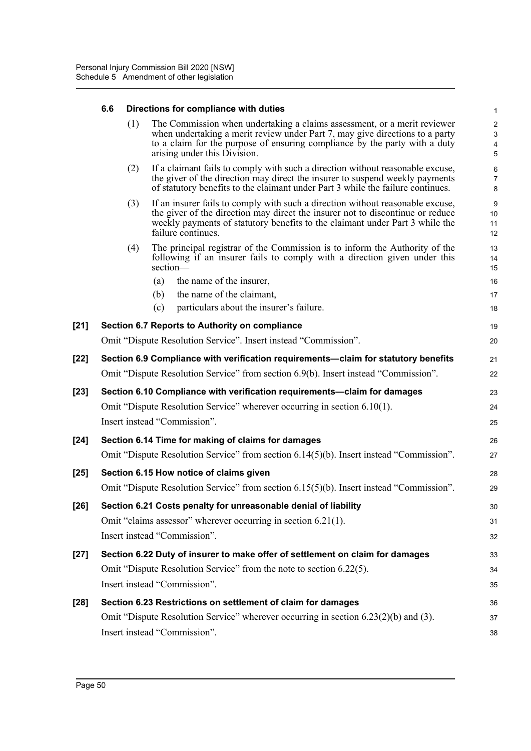# **6.6 Directions for compliance with duties**

|        | 6.6 |     | Directions for compliance with duties                                                                                                                                                                                                                                  | $\mathbf{1}$                                                  |
|--------|-----|-----|------------------------------------------------------------------------------------------------------------------------------------------------------------------------------------------------------------------------------------------------------------------------|---------------------------------------------------------------|
|        |     | (1) | The Commission when undertaking a claims assessment, or a merit reviewer<br>when undertaking a merit review under Part 7, may give directions to a party<br>to a claim for the purpose of ensuring compliance by the party with a duty<br>arising under this Division. | $\overline{c}$<br>$\ensuremath{\mathsf{3}}$<br>$\pmb{4}$<br>5 |
|        |     | (2) | If a claimant fails to comply with such a direction without reasonable excuse,<br>the giver of the direction may direct the insurer to suspend weekly payments<br>of statutory benefits to the claimant under Part 3 while the failure continues.                      | 6<br>$\overline{7}$<br>8                                      |
|        |     | (3) | If an insurer fails to comply with such a direction without reasonable excuse,<br>the giver of the direction may direct the insurer not to discontinue or reduce<br>weekly payments of statutory benefits to the claimant under Part 3 while the<br>failure continues. | 9<br>10<br>11<br>12                                           |
|        |     | (4) | The principal registrar of the Commission is to inform the Authority of the<br>following if an insurer fails to comply with a direction given under this<br>section-                                                                                                   | 13<br>14<br>15                                                |
|        |     |     | the name of the insurer,<br>(a)                                                                                                                                                                                                                                        | 16                                                            |
|        |     |     | the name of the claimant,<br>(b)                                                                                                                                                                                                                                       | 17                                                            |
|        |     |     | particulars about the insurer's failure.<br>(c)                                                                                                                                                                                                                        | 18                                                            |
| $[21]$ |     |     | Section 6.7 Reports to Authority on compliance                                                                                                                                                                                                                         | 19                                                            |
|        |     |     | Omit "Dispute Resolution Service". Insert instead "Commission".                                                                                                                                                                                                        | 20                                                            |
| [22]   |     |     | Section 6.9 Compliance with verification requirements-claim for statutory benefits                                                                                                                                                                                     | 21                                                            |
|        |     |     | Omit "Dispute Resolution Service" from section 6.9(b). Insert instead "Commission".                                                                                                                                                                                    | 22                                                            |
| $[23]$ |     |     | Section 6.10 Compliance with verification requirements-claim for damages                                                                                                                                                                                               | 23                                                            |
|        |     |     | Omit "Dispute Resolution Service" wherever occurring in section 6.10(1).                                                                                                                                                                                               | 24                                                            |
|        |     |     | Insert instead "Commission".                                                                                                                                                                                                                                           | 25                                                            |
| $[24]$ |     |     | Section 6.14 Time for making of claims for damages                                                                                                                                                                                                                     | 26                                                            |
|        |     |     | Omit "Dispute Resolution Service" from section 6.14(5)(b). Insert instead "Commission".                                                                                                                                                                                | 27                                                            |
| $[25]$ |     |     | Section 6.15 How notice of claims given                                                                                                                                                                                                                                | 28                                                            |
|        |     |     | Omit "Dispute Resolution Service" from section 6.15(5)(b). Insert instead "Commission".                                                                                                                                                                                | 29                                                            |
| $[26]$ |     |     | Section 6.21 Costs penalty for unreasonable denial of liability                                                                                                                                                                                                        | 30                                                            |
|        |     |     | Omit "claims assessor" wherever occurring in section 6.21(1).                                                                                                                                                                                                          | 31                                                            |
|        |     |     | Insert instead "Commission".                                                                                                                                                                                                                                           | 32                                                            |
| [27]   |     |     | Section 6.22 Duty of insurer to make offer of settlement on claim for damages                                                                                                                                                                                          | 33                                                            |
|        |     |     | Omit "Dispute Resolution Service" from the note to section 6.22(5).                                                                                                                                                                                                    | 34                                                            |
|        |     |     | Insert instead "Commission".                                                                                                                                                                                                                                           | 35                                                            |
| $[28]$ |     |     | Section 6.23 Restrictions on settlement of claim for damages                                                                                                                                                                                                           | 36                                                            |
|        |     |     | Omit "Dispute Resolution Service" wherever occurring in section $6.23(2)(b)$ and $(3)$ .                                                                                                                                                                               | 37                                                            |
|        |     |     | Insert instead "Commission".                                                                                                                                                                                                                                           | 38                                                            |
|        |     |     |                                                                                                                                                                                                                                                                        |                                                               |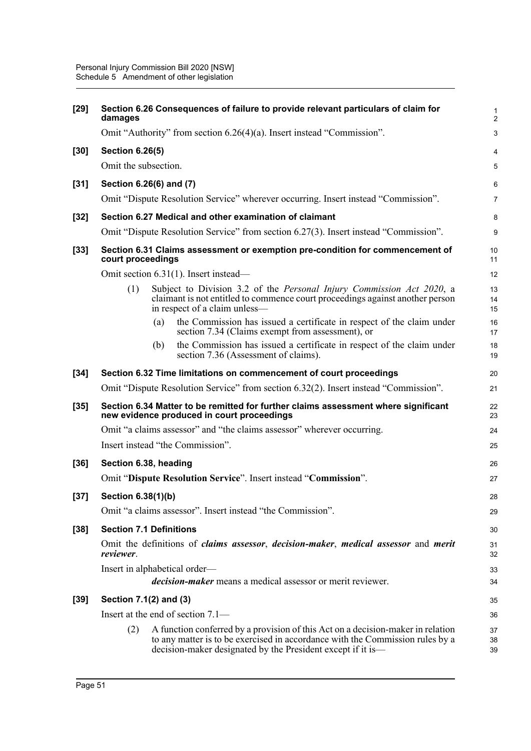| $[29]$ | damages                        |     | Section 6.26 Consequences of failure to provide relevant particulars of claim for                                                                                                                                               | 1<br>$\overline{a}$ |
|--------|--------------------------------|-----|---------------------------------------------------------------------------------------------------------------------------------------------------------------------------------------------------------------------------------|---------------------|
|        |                                |     | Omit "Authority" from section 6.26(4)(a). Insert instead "Commission".                                                                                                                                                          | 3                   |
| $[30]$ | <b>Section 6.26(5)</b>         |     |                                                                                                                                                                                                                                 | 4                   |
|        | Omit the subsection.           |     |                                                                                                                                                                                                                                 | 5                   |
| $[31]$ | Section 6.26(6) and (7)        |     |                                                                                                                                                                                                                                 | 6                   |
|        |                                |     | Omit "Dispute Resolution Service" wherever occurring. Insert instead "Commission".                                                                                                                                              | 7                   |
| $[32]$ |                                |     | Section 6.27 Medical and other examination of claimant                                                                                                                                                                          | 8                   |
|        |                                |     | Omit "Dispute Resolution Service" from section 6.27(3). Insert instead "Commission".                                                                                                                                            | 9                   |
| $[33]$ | court proceedings              |     | Section 6.31 Claims assessment or exemption pre-condition for commencement of                                                                                                                                                   | 10<br>11            |
|        |                                |     | Omit section 6.31(1). Insert instead-                                                                                                                                                                                           | 12                  |
|        | (1)                            |     | Subject to Division 3.2 of the Personal Injury Commission Act 2020, a<br>claimant is not entitled to commence court proceedings against another person<br>in respect of a claim unless-                                         | 13<br>14<br>15      |
|        |                                | (a) | the Commission has issued a certificate in respect of the claim under<br>section 7.34 (Claims exempt from assessment), or                                                                                                       | 16<br>17            |
|        |                                | (b) | the Commission has issued a certificate in respect of the claim under<br>section 7.36 (Assessment of claims).                                                                                                                   | 18<br>19            |
| $[34]$ |                                |     | Section 6.32 Time limitations on commencement of court proceedings                                                                                                                                                              | 20                  |
|        |                                |     | Omit "Dispute Resolution Service" from section 6.32(2). Insert instead "Commission".                                                                                                                                            | 21                  |
| $[35]$ |                                |     | Section 6.34 Matter to be remitted for further claims assessment where significant<br>new evidence produced in court proceedings                                                                                                | 22<br>23            |
|        |                                |     | Omit "a claims assessor" and "the claims assessor" wherever occurring.                                                                                                                                                          | 24                  |
|        |                                |     | Insert instead "the Commission".                                                                                                                                                                                                | 25                  |
| $[36]$ | Section 6.38, heading          |     |                                                                                                                                                                                                                                 | 26                  |
|        |                                |     | Omit "Dispute Resolution Service". Insert instead "Commission".                                                                                                                                                                 | 27                  |
| $[37]$ | Section 6.38(1)(b)             |     |                                                                                                                                                                                                                                 | 28                  |
|        |                                |     | Omit "a claims assessor". Insert instead "the Commission".                                                                                                                                                                      | 29                  |
| $[38]$ | <b>Section 7.1 Definitions</b> |     |                                                                                                                                                                                                                                 | 30                  |
|        | reviewer.                      |     | Omit the definitions of <i>claims assessor</i> , <i>decision-maker</i> , <i>medical assessor</i> and <i>merit</i>                                                                                                               | 31<br>32            |
|        |                                |     | Insert in alphabetical order—<br><i>decision-maker</i> means a medical assessor or merit reviewer.                                                                                                                              | 33<br>34            |
| $[39]$ | Section 7.1(2) and (3)         |     |                                                                                                                                                                                                                                 | 35                  |
|        |                                |     | Insert at the end of section $7.1$ —                                                                                                                                                                                            | 36                  |
|        | (2)                            |     | A function conferred by a provision of this Act on a decision-maker in relation<br>to any matter is to be exercised in accordance with the Commission rules by a<br>decision-maker designated by the President except if it is— | 37<br>38<br>39      |
|        |                                |     |                                                                                                                                                                                                                                 |                     |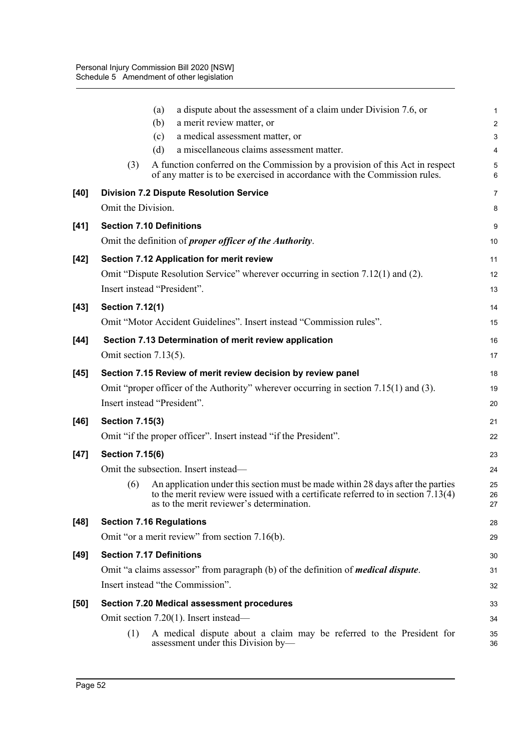|        |                          | a dispute about the assessment of a claim under Division 7.6, or<br>(a)                                                                                                                                                    | $\mathbf{1}$   |
|--------|--------------------------|----------------------------------------------------------------------------------------------------------------------------------------------------------------------------------------------------------------------------|----------------|
|        |                          | (b)<br>a merit review matter, or                                                                                                                                                                                           | $\overline{2}$ |
|        |                          | a medical assessment matter, or<br>(c)                                                                                                                                                                                     | 3              |
|        |                          | a miscellaneous claims assessment matter.<br>(d)                                                                                                                                                                           | 4              |
|        | (3)                      | A function conferred on the Commission by a provision of this Act in respect<br>of any matter is to be exercised in accordance with the Commission rules.                                                                  | 5<br>6         |
| [40]   |                          | <b>Division 7.2 Dispute Resolution Service</b>                                                                                                                                                                             | $\overline{7}$ |
|        | Omit the Division.       |                                                                                                                                                                                                                            | 8              |
| $[41]$ |                          | <b>Section 7.10 Definitions</b>                                                                                                                                                                                            | 9              |
|        |                          | Omit the definition of <i>proper officer of the Authority</i> .                                                                                                                                                            | 10             |
| $[42]$ |                          | Section 7.12 Application for merit review                                                                                                                                                                                  | 11             |
|        |                          | Omit "Dispute Resolution Service" wherever occurring in section 7.12(1) and (2).                                                                                                                                           | 12             |
|        |                          | Insert instead "President".                                                                                                                                                                                                | 13             |
| $[43]$ | <b>Section 7.12(1)</b>   |                                                                                                                                                                                                                            | 14             |
|        |                          | Omit "Motor Accident Guidelines". Insert instead "Commission rules".                                                                                                                                                       | 15             |
| $[44]$ |                          | Section 7.13 Determination of merit review application                                                                                                                                                                     | 16             |
|        | Omit section $7.13(5)$ . |                                                                                                                                                                                                                            | 17             |
| $[45]$ |                          | Section 7.15 Review of merit review decision by review panel                                                                                                                                                               | 18             |
|        |                          | Omit "proper officer of the Authority" wherever occurring in section 7.15(1) and (3).                                                                                                                                      | 19             |
|        |                          | Insert instead "President".                                                                                                                                                                                                | 20             |
| $[46]$ | <b>Section 7.15(3)</b>   |                                                                                                                                                                                                                            | 21             |
|        |                          | Omit "if the proper officer". Insert instead "if the President".                                                                                                                                                           | 22             |
| $[47]$ | <b>Section 7.15(6)</b>   |                                                                                                                                                                                                                            | 23             |
|        |                          | Omit the subsection. Insert instead—                                                                                                                                                                                       | 24             |
|        | (6)                      | An application under this section must be made within 28 days after the parties<br>to the merit review were issued with a certificate referred to in section $\bar{7}$ .13(4)<br>as to the merit reviewer's determination. | 25<br>26<br>27 |
| [48]   |                          | <b>Section 7.16 Regulations</b>                                                                                                                                                                                            | 28             |
|        |                          | Omit "or a merit review" from section 7.16(b).                                                                                                                                                                             | 29             |
| [49]   |                          | <b>Section 7.17 Definitions</b>                                                                                                                                                                                            | 30             |
|        |                          | Omit "a claims assessor" from paragraph (b) of the definition of <i>medical dispute</i> .                                                                                                                                  | 31             |
|        |                          | Insert instead "the Commission".                                                                                                                                                                                           | 32             |
| [50]   |                          | <b>Section 7.20 Medical assessment procedures</b>                                                                                                                                                                          | 33             |
|        |                          | Omit section 7.20(1). Insert instead—                                                                                                                                                                                      | 34             |
|        | (1)                      | A medical dispute about a claim may be referred to the President for<br>assessment under this Division by-                                                                                                                 | 35<br>36       |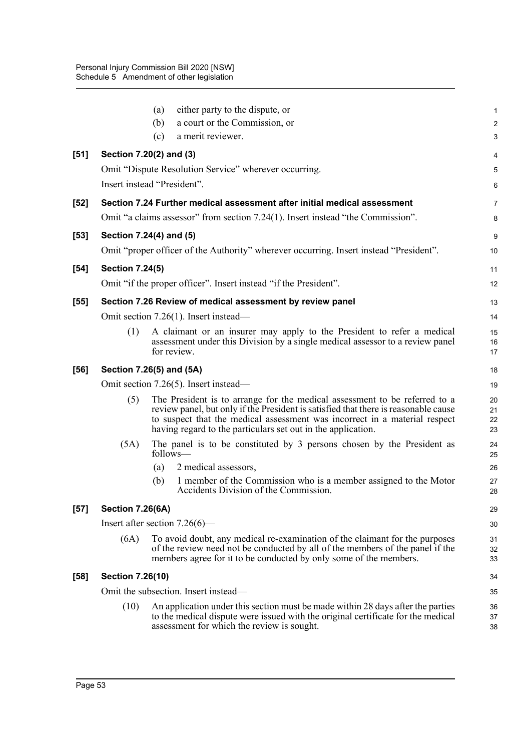|        |                                  | (a)<br>(b) | either party to the dispute, or<br>a court or the Commission, or                                                                                                                                                                                                                                                | $\mathbf{1}$<br>$\overline{2}$ |
|--------|----------------------------------|------------|-----------------------------------------------------------------------------------------------------------------------------------------------------------------------------------------------------------------------------------------------------------------------------------------------------------------|--------------------------------|
|        |                                  | (c)        | a merit reviewer.                                                                                                                                                                                                                                                                                               | 3                              |
| [51]   | Section 7.20(2) and (3)          |            |                                                                                                                                                                                                                                                                                                                 | 4                              |
|        |                                  |            | Omit "Dispute Resolution Service" wherever occurring.                                                                                                                                                                                                                                                           | 5                              |
|        | Insert instead "President".      |            |                                                                                                                                                                                                                                                                                                                 | 6                              |
| $[52]$ |                                  |            | Section 7.24 Further medical assessment after initial medical assessment                                                                                                                                                                                                                                        | 7                              |
|        |                                  |            | Omit "a claims assessor" from section 7.24(1). Insert instead "the Commission".                                                                                                                                                                                                                                 | 8                              |
| $[53]$ | Section 7.24(4) and (5)          |            |                                                                                                                                                                                                                                                                                                                 | 9                              |
|        |                                  |            | Omit "proper officer of the Authority" wherever occurring. Insert instead "President".                                                                                                                                                                                                                          | 10                             |
| $[54]$ | <b>Section 7.24(5)</b>           |            |                                                                                                                                                                                                                                                                                                                 | 11                             |
|        |                                  |            | Omit "if the proper officer". Insert instead "if the President".                                                                                                                                                                                                                                                | 12                             |
| $[55]$ |                                  |            | Section 7.26 Review of medical assessment by review panel                                                                                                                                                                                                                                                       | 13                             |
|        |                                  |            | Omit section 7.26(1). Insert instead-                                                                                                                                                                                                                                                                           | 14                             |
|        | (1)                              |            | A claimant or an insurer may apply to the President to refer a medical<br>assessment under this Division by a single medical assessor to a review panel<br>for review.                                                                                                                                          | 15<br>16<br>17                 |
| [56]   | Section 7.26(5) and (5A)         |            |                                                                                                                                                                                                                                                                                                                 | 18                             |
|        |                                  |            | Omit section 7.26(5). Insert instead—                                                                                                                                                                                                                                                                           | 19                             |
|        | (5)                              |            | The President is to arrange for the medical assessment to be referred to a<br>review panel, but only if the President is satisfied that there is reasonable cause<br>to suspect that the medical assessment was incorrect in a material respect<br>having regard to the particulars set out in the application. | 20<br>21<br>22<br>23           |
|        | (5A)                             |            | The panel is to be constituted by 3 persons chosen by the President as<br>follows-                                                                                                                                                                                                                              | 24<br>25                       |
|        |                                  | (a)        | 2 medical assessors,                                                                                                                                                                                                                                                                                            | 26                             |
|        |                                  | (b)        | 1 member of the Commission who is a member assigned to the Motor<br>Accidents Division of the Commission.                                                                                                                                                                                                       | 27<br>28                       |
| $[57]$ | <b>Section 7.26(6A)</b>          |            |                                                                                                                                                                                                                                                                                                                 | 29                             |
|        | Insert after section $7.26(6)$ — |            |                                                                                                                                                                                                                                                                                                                 | 30                             |
|        | (6A)                             |            | To avoid doubt, any medical re-examination of the claimant for the purposes<br>of the review need not be conducted by all of the members of the panel if the<br>members agree for it to be conducted by only some of the members.                                                                               | 31<br>32<br>33                 |
| [58]   | <b>Section 7.26(10)</b>          |            |                                                                                                                                                                                                                                                                                                                 | 34                             |
|        |                                  |            | Omit the subsection. Insert instead—                                                                                                                                                                                                                                                                            | 35                             |
|        | (10)                             |            | An application under this section must be made within 28 days after the parties<br>to the medical dispute were issued with the original certificate for the medical<br>assessment for which the review is sought.                                                                                               | 36<br>37<br>38                 |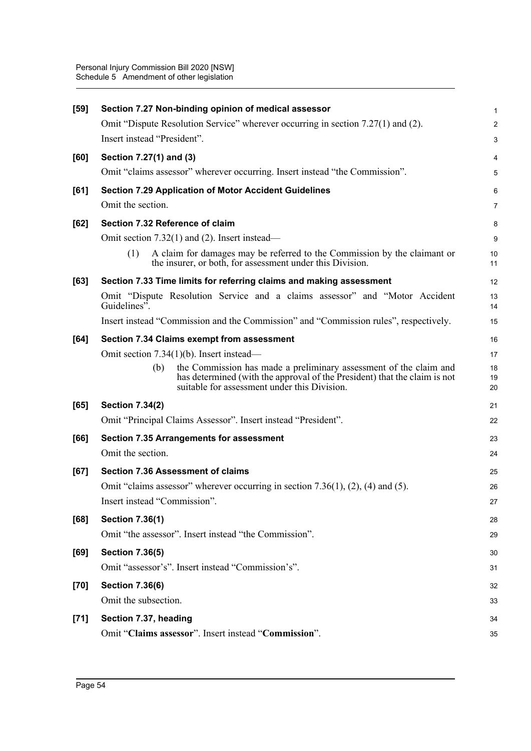| Omit "Dispute Resolution Service" wherever occurring in section 7.27(1) and (2).<br>Insert instead "President".<br>Section 7.27(1) and (3)<br>[60]<br>Omit "claims assessor" wherever occurring. Insert instead "the Commission".<br><b>Section 7.29 Application of Motor Accident Guidelines</b><br>[61]<br>Omit the section.<br>Section 7.32 Reference of claim<br>[62]<br>Omit section 7.32(1) and (2). Insert instead—<br>(1)<br>the insurer, or both, for assessment under this Division.<br>Section 7.33 Time limits for referring claims and making assessment<br>[63]<br>Guidelines".<br>Insert instead "Commission and the Commission" and "Commission rules", respectively.<br>Section 7.34 Claims exempt from assessment<br>[64]<br>Omit section $7.34(1)(b)$ . Insert instead—<br>the Commission has made a preliminary assessment of the claim and<br>(b)<br>suitable for assessment under this Division.<br><b>Section 7.34(2)</b><br>[65]<br>Omit "Principal Claims Assessor". Insert instead "President".<br><b>Section 7.35 Arrangements for assessment</b><br>[66]<br>Omit the section.<br><b>Section 7.36 Assessment of claims</b><br>[67]<br>Omit "claims assessor" wherever occurring in section $7.36(1)$ , $(2)$ , $(4)$ and $(5)$ .<br>Insert instead "Commission".<br>[68]<br><b>Section 7.36(1)</b><br>Omit "the assessor". Insert instead "the Commission".<br>[69]<br><b>Section 7.36(5)</b><br>Omit "assessor's". Insert instead "Commission's".<br><b>Section 7.36(6)</b><br>$[70]$<br>Omit the subsection.<br>Section 7.37, heading<br>$[71]$<br>Omit "Claims assessor". Insert instead "Commission". | $[59]$ | Section 7.27 Non-binding opinion of medical assessor                        | 1              |
|--------------------------------------------------------------------------------------------------------------------------------------------------------------------------------------------------------------------------------------------------------------------------------------------------------------------------------------------------------------------------------------------------------------------------------------------------------------------------------------------------------------------------------------------------------------------------------------------------------------------------------------------------------------------------------------------------------------------------------------------------------------------------------------------------------------------------------------------------------------------------------------------------------------------------------------------------------------------------------------------------------------------------------------------------------------------------------------------------------------------------------------------------------------------------------------------------------------------------------------------------------------------------------------------------------------------------------------------------------------------------------------------------------------------------------------------------------------------------------------------------------------------------------------------------------------------------------------------------------------------------------------|--------|-----------------------------------------------------------------------------|----------------|
|                                                                                                                                                                                                                                                                                                                                                                                                                                                                                                                                                                                                                                                                                                                                                                                                                                                                                                                                                                                                                                                                                                                                                                                                                                                                                                                                                                                                                                                                                                                                                                                                                                      |        |                                                                             | $\overline{a}$ |
|                                                                                                                                                                                                                                                                                                                                                                                                                                                                                                                                                                                                                                                                                                                                                                                                                                                                                                                                                                                                                                                                                                                                                                                                                                                                                                                                                                                                                                                                                                                                                                                                                                      |        |                                                                             | 3              |
|                                                                                                                                                                                                                                                                                                                                                                                                                                                                                                                                                                                                                                                                                                                                                                                                                                                                                                                                                                                                                                                                                                                                                                                                                                                                                                                                                                                                                                                                                                                                                                                                                                      |        |                                                                             | 4              |
|                                                                                                                                                                                                                                                                                                                                                                                                                                                                                                                                                                                                                                                                                                                                                                                                                                                                                                                                                                                                                                                                                                                                                                                                                                                                                                                                                                                                                                                                                                                                                                                                                                      |        |                                                                             | 5              |
|                                                                                                                                                                                                                                                                                                                                                                                                                                                                                                                                                                                                                                                                                                                                                                                                                                                                                                                                                                                                                                                                                                                                                                                                                                                                                                                                                                                                                                                                                                                                                                                                                                      |        |                                                                             | 6              |
|                                                                                                                                                                                                                                                                                                                                                                                                                                                                                                                                                                                                                                                                                                                                                                                                                                                                                                                                                                                                                                                                                                                                                                                                                                                                                                                                                                                                                                                                                                                                                                                                                                      |        |                                                                             | 7              |
|                                                                                                                                                                                                                                                                                                                                                                                                                                                                                                                                                                                                                                                                                                                                                                                                                                                                                                                                                                                                                                                                                                                                                                                                                                                                                                                                                                                                                                                                                                                                                                                                                                      |        |                                                                             | 8              |
|                                                                                                                                                                                                                                                                                                                                                                                                                                                                                                                                                                                                                                                                                                                                                                                                                                                                                                                                                                                                                                                                                                                                                                                                                                                                                                                                                                                                                                                                                                                                                                                                                                      |        |                                                                             | 9              |
|                                                                                                                                                                                                                                                                                                                                                                                                                                                                                                                                                                                                                                                                                                                                                                                                                                                                                                                                                                                                                                                                                                                                                                                                                                                                                                                                                                                                                                                                                                                                                                                                                                      |        | A claim for damages may be referred to the Commission by the claimant or    | 10<br>11       |
|                                                                                                                                                                                                                                                                                                                                                                                                                                                                                                                                                                                                                                                                                                                                                                                                                                                                                                                                                                                                                                                                                                                                                                                                                                                                                                                                                                                                                                                                                                                                                                                                                                      |        |                                                                             | 12             |
|                                                                                                                                                                                                                                                                                                                                                                                                                                                                                                                                                                                                                                                                                                                                                                                                                                                                                                                                                                                                                                                                                                                                                                                                                                                                                                                                                                                                                                                                                                                                                                                                                                      |        | Omit "Dispute Resolution Service and a claims assessor" and "Motor Accident | 13<br>14       |
|                                                                                                                                                                                                                                                                                                                                                                                                                                                                                                                                                                                                                                                                                                                                                                                                                                                                                                                                                                                                                                                                                                                                                                                                                                                                                                                                                                                                                                                                                                                                                                                                                                      |        |                                                                             | 15             |
|                                                                                                                                                                                                                                                                                                                                                                                                                                                                                                                                                                                                                                                                                                                                                                                                                                                                                                                                                                                                                                                                                                                                                                                                                                                                                                                                                                                                                                                                                                                                                                                                                                      |        |                                                                             | 16             |
|                                                                                                                                                                                                                                                                                                                                                                                                                                                                                                                                                                                                                                                                                                                                                                                                                                                                                                                                                                                                                                                                                                                                                                                                                                                                                                                                                                                                                                                                                                                                                                                                                                      |        |                                                                             | 17             |
|                                                                                                                                                                                                                                                                                                                                                                                                                                                                                                                                                                                                                                                                                                                                                                                                                                                                                                                                                                                                                                                                                                                                                                                                                                                                                                                                                                                                                                                                                                                                                                                                                                      |        | has determined (with the approval of the President) that the claim is not   | 18<br>19<br>20 |
|                                                                                                                                                                                                                                                                                                                                                                                                                                                                                                                                                                                                                                                                                                                                                                                                                                                                                                                                                                                                                                                                                                                                                                                                                                                                                                                                                                                                                                                                                                                                                                                                                                      |        |                                                                             | 21             |
|                                                                                                                                                                                                                                                                                                                                                                                                                                                                                                                                                                                                                                                                                                                                                                                                                                                                                                                                                                                                                                                                                                                                                                                                                                                                                                                                                                                                                                                                                                                                                                                                                                      |        |                                                                             | 22             |
|                                                                                                                                                                                                                                                                                                                                                                                                                                                                                                                                                                                                                                                                                                                                                                                                                                                                                                                                                                                                                                                                                                                                                                                                                                                                                                                                                                                                                                                                                                                                                                                                                                      |        |                                                                             | 23             |
|                                                                                                                                                                                                                                                                                                                                                                                                                                                                                                                                                                                                                                                                                                                                                                                                                                                                                                                                                                                                                                                                                                                                                                                                                                                                                                                                                                                                                                                                                                                                                                                                                                      |        |                                                                             | 24             |
|                                                                                                                                                                                                                                                                                                                                                                                                                                                                                                                                                                                                                                                                                                                                                                                                                                                                                                                                                                                                                                                                                                                                                                                                                                                                                                                                                                                                                                                                                                                                                                                                                                      |        |                                                                             | 25             |
|                                                                                                                                                                                                                                                                                                                                                                                                                                                                                                                                                                                                                                                                                                                                                                                                                                                                                                                                                                                                                                                                                                                                                                                                                                                                                                                                                                                                                                                                                                                                                                                                                                      |        |                                                                             | 26             |
|                                                                                                                                                                                                                                                                                                                                                                                                                                                                                                                                                                                                                                                                                                                                                                                                                                                                                                                                                                                                                                                                                                                                                                                                                                                                                                                                                                                                                                                                                                                                                                                                                                      |        |                                                                             | 27             |
|                                                                                                                                                                                                                                                                                                                                                                                                                                                                                                                                                                                                                                                                                                                                                                                                                                                                                                                                                                                                                                                                                                                                                                                                                                                                                                                                                                                                                                                                                                                                                                                                                                      |        |                                                                             | 28             |
|                                                                                                                                                                                                                                                                                                                                                                                                                                                                                                                                                                                                                                                                                                                                                                                                                                                                                                                                                                                                                                                                                                                                                                                                                                                                                                                                                                                                                                                                                                                                                                                                                                      |        |                                                                             | 29             |
|                                                                                                                                                                                                                                                                                                                                                                                                                                                                                                                                                                                                                                                                                                                                                                                                                                                                                                                                                                                                                                                                                                                                                                                                                                                                                                                                                                                                                                                                                                                                                                                                                                      |        |                                                                             | 30             |
|                                                                                                                                                                                                                                                                                                                                                                                                                                                                                                                                                                                                                                                                                                                                                                                                                                                                                                                                                                                                                                                                                                                                                                                                                                                                                                                                                                                                                                                                                                                                                                                                                                      |        |                                                                             | 31             |
|                                                                                                                                                                                                                                                                                                                                                                                                                                                                                                                                                                                                                                                                                                                                                                                                                                                                                                                                                                                                                                                                                                                                                                                                                                                                                                                                                                                                                                                                                                                                                                                                                                      |        |                                                                             | 32             |
|                                                                                                                                                                                                                                                                                                                                                                                                                                                                                                                                                                                                                                                                                                                                                                                                                                                                                                                                                                                                                                                                                                                                                                                                                                                                                                                                                                                                                                                                                                                                                                                                                                      |        |                                                                             | 33             |
|                                                                                                                                                                                                                                                                                                                                                                                                                                                                                                                                                                                                                                                                                                                                                                                                                                                                                                                                                                                                                                                                                                                                                                                                                                                                                                                                                                                                                                                                                                                                                                                                                                      |        |                                                                             | 34             |
|                                                                                                                                                                                                                                                                                                                                                                                                                                                                                                                                                                                                                                                                                                                                                                                                                                                                                                                                                                                                                                                                                                                                                                                                                                                                                                                                                                                                                                                                                                                                                                                                                                      |        |                                                                             | 35             |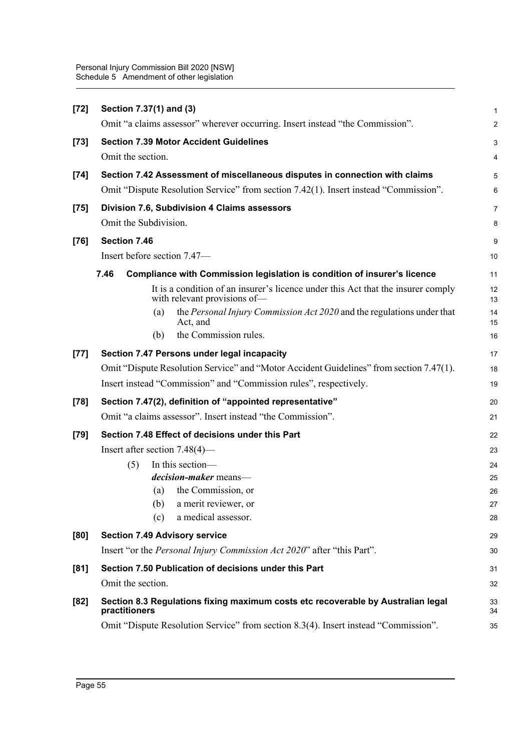| $[72]$ | Section 7.37(1) and (3)                                                                                                                                             | 1                       |
|--------|---------------------------------------------------------------------------------------------------------------------------------------------------------------------|-------------------------|
|        | Omit "a claims assessor" wherever occurring. Insert instead "the Commission".                                                                                       | $\overline{c}$          |
| $[73]$ | <b>Section 7.39 Motor Accident Guidelines</b>                                                                                                                       | 3                       |
|        | Omit the section.                                                                                                                                                   | $\overline{\mathbf{4}}$ |
| $[74]$ | Section 7.42 Assessment of miscellaneous disputes in connection with claims<br>Omit "Dispute Resolution Service" from section 7.42(1). Insert instead "Commission". | 5<br>6                  |
| $[75]$ | Division 7.6, Subdivision 4 Claims assessors                                                                                                                        | $\overline{7}$          |
|        | Omit the Subdivision.                                                                                                                                               | 8                       |
| $[76]$ | Section 7.46                                                                                                                                                        | 9                       |
|        | Insert before section 7.47-                                                                                                                                         | 10                      |
|        | 7.46<br>Compliance with Commission legislation is condition of insurer's licence                                                                                    | 11                      |
|        | It is a condition of an insurer's licence under this Act that the insurer comply<br>with relevant provisions of-                                                    | 12<br>13                |
|        | the Personal Injury Commission Act 2020 and the regulations under that<br>(a)<br>Act, and                                                                           | 14<br>15                |
|        | the Commission rules.<br>(b)                                                                                                                                        | 16                      |
| $[77]$ | Section 7.47 Persons under legal incapacity                                                                                                                         | 17                      |
|        | Omit "Dispute Resolution Service" and "Motor Accident Guidelines" from section 7.47(1).                                                                             | 18                      |
|        | Insert instead "Commission" and "Commission rules", respectively.                                                                                                   | 19                      |
| $[78]$ | Section 7.47(2), definition of "appointed representative"                                                                                                           | 20                      |
|        | Omit "a claims assessor". Insert instead "the Commission".                                                                                                          | 21                      |
| $[79]$ | Section 7.48 Effect of decisions under this Part                                                                                                                    | 22                      |
|        | Insert after section $7.48(4)$ —                                                                                                                                    | 23                      |
|        | In this section-<br>(5)                                                                                                                                             | 24                      |
|        | decision-maker means-                                                                                                                                               | 25                      |
|        | the Commission, or<br>(a)                                                                                                                                           | 26                      |
|        | (b) a merit reviewer, or                                                                                                                                            | 27                      |
|        | a medical assessor.<br>(c)                                                                                                                                          | 28                      |
| [80]   | <b>Section 7.49 Advisory service</b>                                                                                                                                | 29                      |
|        | Insert "or the Personal Injury Commission Act 2020" after "this Part".                                                                                              | 30                      |
| [81]   | Section 7.50 Publication of decisions under this Part                                                                                                               | 31                      |
|        | Omit the section.                                                                                                                                                   | 32                      |
| $[82]$ | Section 8.3 Regulations fixing maximum costs etc recoverable by Australian legal<br>practitioners                                                                   | 33<br>34                |
|        | Omit "Dispute Resolution Service" from section 8.3(4). Insert instead "Commission".                                                                                 | 35                      |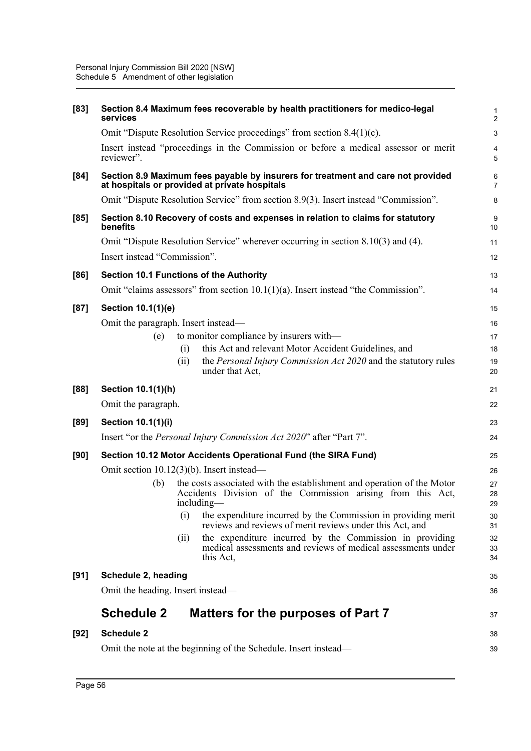| [83]   | services                                                                                    |      | Section 8.4 Maximum fees recoverable by health practitioners for medico-legal                                                                       | $\mathbf 1$<br>$\overline{2}$ |
|--------|---------------------------------------------------------------------------------------------|------|-----------------------------------------------------------------------------------------------------------------------------------------------------|-------------------------------|
|        |                                                                                             |      | Omit "Dispute Resolution Service proceedings" from section 8.4(1)(c).                                                                               | $\mathbf{3}$                  |
|        | reviewer".                                                                                  |      | Insert instead "proceedings in the Commission or before a medical assessor or merit                                                                 | 4<br>5                        |
| [84]   |                                                                                             |      | Section 8.9 Maximum fees payable by insurers for treatment and care not provided<br>at hospitals or provided at private hospitals                   | 6<br>$\overline{7}$           |
|        |                                                                                             |      | Omit "Dispute Resolution Service" from section 8.9(3). Insert instead "Commission".                                                                 | 8                             |
| [85]   | Section 8.10 Recovery of costs and expenses in relation to claims for statutory<br>benefits |      |                                                                                                                                                     |                               |
|        |                                                                                             |      | Omit "Dispute Resolution Service" wherever occurring in section 8.10(3) and (4).                                                                    | 11                            |
|        | Insert instead "Commission".                                                                |      |                                                                                                                                                     | 12                            |
| [86]   |                                                                                             |      | <b>Section 10.1 Functions of the Authority</b>                                                                                                      | 13                            |
|        |                                                                                             |      | Omit "claims assessors" from section $10.1(1)(a)$ . Insert instead "the Commission".                                                                | 14                            |
| [87]   | Section 10.1(1)(e)                                                                          |      |                                                                                                                                                     | 15                            |
|        | Omit the paragraph. Insert instead—                                                         |      |                                                                                                                                                     | 16                            |
|        | (e)                                                                                         |      | to monitor compliance by insurers with—                                                                                                             | 17                            |
|        |                                                                                             | (i)  | this Act and relevant Motor Accident Guidelines, and                                                                                                | 18                            |
|        |                                                                                             | (i)  | the Personal Injury Commission Act 2020 and the statutory rules<br>under that Act,                                                                  | 19<br>20                      |
| [88]   | Section 10.1(1)(h)                                                                          |      |                                                                                                                                                     | 21                            |
|        | Omit the paragraph.                                                                         |      |                                                                                                                                                     | 22                            |
| [89]   | Section 10.1(1)(i)                                                                          |      |                                                                                                                                                     | 23                            |
|        |                                                                                             |      | Insert "or the Personal Injury Commission Act 2020" after "Part 7".                                                                                 | 24                            |
| [90]   |                                                                                             |      | Section 10.12 Motor Accidents Operational Fund (the SIRA Fund)                                                                                      | 25                            |
|        | Omit section $10.12(3)(b)$ . Insert instead—                                                |      |                                                                                                                                                     | 26                            |
|        | (b)                                                                                         |      | the costs associated with the establishment and operation of the Motor<br>Accidents Division of the Commission arising from this Act,<br>including— | 27<br>28<br>29                |
|        |                                                                                             | (i)  | the expenditure incurred by the Commission in providing merit<br>reviews and reviews of merit reviews under this Act, and                           | 30<br>31                      |
|        |                                                                                             | (ii) | the expenditure incurred by the Commission in providing<br>medical assessments and reviews of medical assessments under<br>this Act,                | 32<br>33<br>34                |
| [91]   | Schedule 2, heading                                                                         |      |                                                                                                                                                     | 35                            |
|        | Omit the heading. Insert instead—                                                           |      |                                                                                                                                                     | 36                            |
|        | <b>Schedule 2</b>                                                                           |      | Matters for the purposes of Part 7                                                                                                                  | 37                            |
| $[92]$ | <b>Schedule 2</b>                                                                           |      |                                                                                                                                                     | 38                            |
|        |                                                                                             |      | Omit the note at the beginning of the Schedule. Insert instead—                                                                                     | 39                            |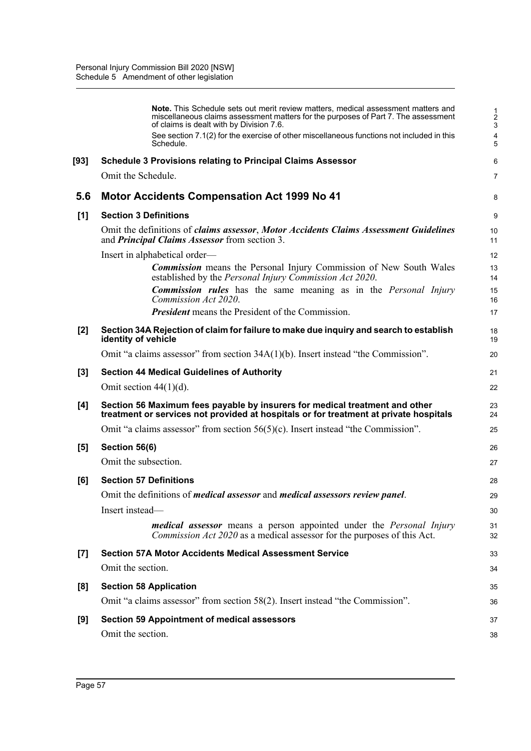|                    | <b>Note.</b> This Schedule sets out merit review matters, medical assessment matters and<br>miscellaneous claims assessment matters for the purposes of Part 7. The assessment<br>of claims is dealt with by Division 7.6. | $\frac{1}{2}$<br>3 |
|--------------------|----------------------------------------------------------------------------------------------------------------------------------------------------------------------------------------------------------------------------|--------------------|
|                    | See section 7.1(2) for the exercise of other miscellaneous functions not included in this<br>Schedule.                                                                                                                     | 4<br>5             |
| [93]               | <b>Schedule 3 Provisions relating to Principal Claims Assessor</b>                                                                                                                                                         | 6                  |
|                    | Omit the Schedule.                                                                                                                                                                                                         | 7                  |
| 5.6                | <b>Motor Accidents Compensation Act 1999 No 41</b>                                                                                                                                                                         | 8                  |
| [1]                | <b>Section 3 Definitions</b>                                                                                                                                                                                               | 9                  |
|                    | Omit the definitions of claims assessor, Motor Accidents Claims Assessment Guidelines<br>and <b>Principal Claims Assessor</b> from section 3.                                                                              | 10<br>11           |
|                    | Insert in alphabetical order—                                                                                                                                                                                              | 12                 |
|                    | <b>Commission</b> means the Personal Injury Commission of New South Wales<br>established by the <i>Personal Injury Commission Act 2020</i> .                                                                               | 13<br>14           |
|                    | <b>Commission rules</b> has the same meaning as in the Personal Injury<br>Commission Act 2020.                                                                                                                             | 15<br>16           |
|                    | <b>President</b> means the President of the Commission.                                                                                                                                                                    | 17                 |
| $[2]$              | Section 34A Rejection of claim for failure to make due inquiry and search to establish<br>identity of vehicle                                                                                                              | 18<br>19           |
|                    | Omit "a claims assessor" from section $34A(1)(b)$ . Insert instead "the Commission".                                                                                                                                       | 20                 |
| $[3]$              | <b>Section 44 Medical Guidelines of Authority</b>                                                                                                                                                                          | 21                 |
|                    | Omit section $44(1)(d)$ .                                                                                                                                                                                                  | 22                 |
| [4]                | Section 56 Maximum fees payable by insurers for medical treatment and other<br>treatment or services not provided at hospitals or for treatment at private hospitals                                                       | 23<br>24           |
|                    | Omit "a claims assessor" from section $56(5)(c)$ . Insert instead "the Commission".                                                                                                                                        | 25                 |
| [5]                | Section 56(6)                                                                                                                                                                                                              | 26                 |
|                    | Omit the subsection.                                                                                                                                                                                                       | 27                 |
| [6]                | <b>Section 57 Definitions</b>                                                                                                                                                                                              | 28                 |
|                    | Omit the definitions of <i>medical assessor</i> and <i>medical assessors review panel</i> .                                                                                                                                | 29                 |
|                    | Insert instead-                                                                                                                                                                                                            | 30                 |
|                    | <i>medical assessor</i> means a person appointed under the <i>Personal Injury</i><br><i>Commission Act 2020</i> as a medical assessor for the purposes of this Act.                                                        | 31<br>32           |
| $\left[ 7 \right]$ | <b>Section 57A Motor Accidents Medical Assessment Service</b>                                                                                                                                                              | 33                 |
|                    | Omit the section.                                                                                                                                                                                                          | 34                 |
| [8]                | <b>Section 58 Application</b>                                                                                                                                                                                              | 35                 |
|                    | Omit "a claims assessor" from section 58(2). Insert instead "the Commission".                                                                                                                                              | 36                 |
| [9]                | <b>Section 59 Appointment of medical assessors</b>                                                                                                                                                                         | 37                 |
|                    | Omit the section.                                                                                                                                                                                                          | 38                 |
|                    |                                                                                                                                                                                                                            |                    |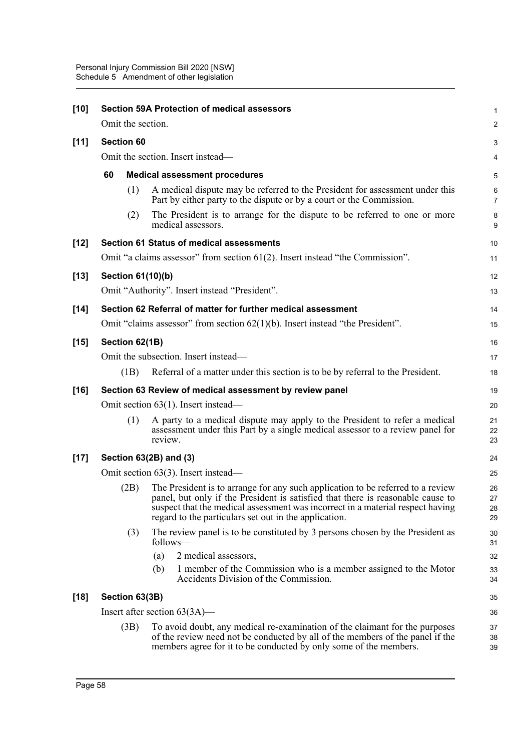| $[10]$ |                                                                                  |                          | <b>Section 59A Protection of medical assessors</b>           |                                                                                                                                                                                                                                                      | 1                       |
|--------|----------------------------------------------------------------------------------|--------------------------|--------------------------------------------------------------|------------------------------------------------------------------------------------------------------------------------------------------------------------------------------------------------------------------------------------------------------|-------------------------|
|        |                                                                                  | Omit the section.        |                                                              |                                                                                                                                                                                                                                                      | $\overline{c}$          |
| $[11]$ |                                                                                  | <b>Section 60</b>        |                                                              |                                                                                                                                                                                                                                                      | 3                       |
|        | Omit the section. Insert instead-                                                |                          |                                                              | 4                                                                                                                                                                                                                                                    |                         |
|        | 60<br><b>Medical assessment procedures</b>                                       |                          |                                                              |                                                                                                                                                                                                                                                      | 5                       |
|        |                                                                                  | (1)                      |                                                              | A medical dispute may be referred to the President for assessment under this<br>Part by either party to the dispute or by a court or the Commission.                                                                                                 | $\,6$<br>$\overline{7}$ |
|        |                                                                                  | (2)                      | medical assessors.                                           | The President is to arrange for the dispute to be referred to one or more                                                                                                                                                                            | 8<br>9                  |
| $[12]$ |                                                                                  |                          | <b>Section 61 Status of medical assessments</b>              |                                                                                                                                                                                                                                                      | 10                      |
|        |                                                                                  |                          |                                                              | Omit "a claims assessor" from section $61(2)$ . Insert instead "the Commission".                                                                                                                                                                     | 11                      |
| $[13]$ |                                                                                  | <b>Section 61(10)(b)</b> |                                                              |                                                                                                                                                                                                                                                      | 12                      |
|        |                                                                                  |                          | Omit "Authority". Insert instead "President".                |                                                                                                                                                                                                                                                      | 13                      |
| $[14]$ |                                                                                  |                          | Section 62 Referral of matter for further medical assessment |                                                                                                                                                                                                                                                      | 14                      |
|        | Omit "claims assessor" from section $62(1)(b)$ . Insert instead "the President". |                          |                                                              | 15                                                                                                                                                                                                                                                   |                         |
| $[15]$ |                                                                                  | Section 62(1B)           |                                                              |                                                                                                                                                                                                                                                      | 16                      |
|        | Omit the subsection. Insert instead—                                             |                          |                                                              | 17                                                                                                                                                                                                                                                   |                         |
|        |                                                                                  | (1B)                     |                                                              | Referral of a matter under this section is to be by referral to the President.                                                                                                                                                                       | 18                      |
| $[16]$ | Section 63 Review of medical assessment by review panel                          |                          |                                                              | 19                                                                                                                                                                                                                                                   |                         |
|        |                                                                                  |                          | Omit section $63(1)$ . Insert instead—                       |                                                                                                                                                                                                                                                      | 20                      |
|        |                                                                                  | (1)                      | review.                                                      | A party to a medical dispute may apply to the President to refer a medical<br>assessment under this Part by a single medical assessor to a review panel for                                                                                          | 21<br>22<br>23          |
| $[17]$ | Section 63(2B) and (3)                                                           |                          |                                                              | 24                                                                                                                                                                                                                                                   |                         |
|        |                                                                                  |                          | Omit section 63(3). Insert instead—                          |                                                                                                                                                                                                                                                      | 25                      |
|        |                                                                                  | (2B)                     | regard to the particulars set out in the application.        | The President is to arrange for any such application to be referred to a review<br>panel, but only if the President is satisfied that there is reasonable cause to<br>suspect that the medical assessment was incorrect in a material respect having | 26<br>27<br>28<br>29    |
|        |                                                                                  | (3)                      | follows—                                                     | The review panel is to be constituted by 3 persons chosen by the President as                                                                                                                                                                        | 30<br>31                |
|        |                                                                                  |                          | 2 medical assessors,<br>(a)                                  |                                                                                                                                                                                                                                                      | 32                      |
|        |                                                                                  |                          | (b)<br>Accidents Division of the Commission.                 | 1 member of the Commission who is a member assigned to the Motor                                                                                                                                                                                     | 33<br>34                |
| $[18]$ | Section 63(3B)                                                                   |                          |                                                              | 35                                                                                                                                                                                                                                                   |                         |
|        |                                                                                  |                          | Insert after section $63(3A)$ —                              |                                                                                                                                                                                                                                                      | 36                      |
|        |                                                                                  | (3B)                     |                                                              | To avoid doubt, any medical re-examination of the claimant for the purposes<br>of the review need not be conducted by all of the members of the panel if the<br>members agree for it to be conducted by only some of the members.                    | 37<br>38<br>39          |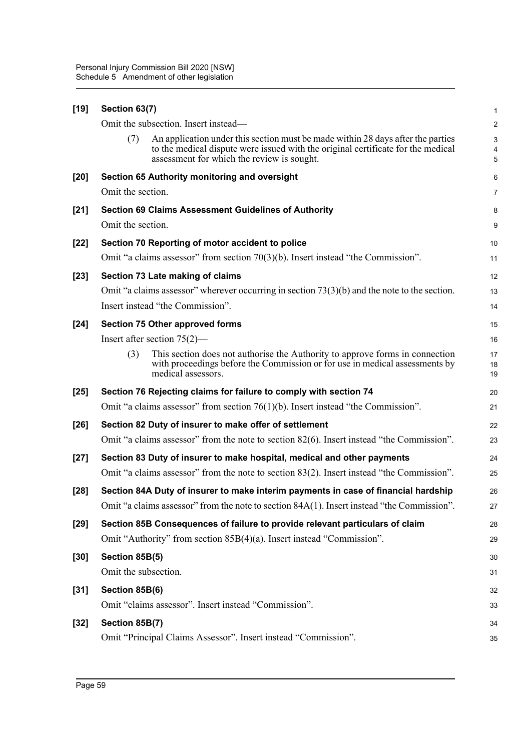|                                                                                                                                                                     | 1                       |
|---------------------------------------------------------------------------------------------------------------------------------------------------------------------|-------------------------|
|                                                                                                                                                                     | $\overline{\mathbf{c}}$ |
| An application under this section must be made within 28 days after the parties<br>to the medical dispute were issued with the original certificate for the medical | 3<br>4<br>5             |
|                                                                                                                                                                     | 6                       |
|                                                                                                                                                                     | 7                       |
|                                                                                                                                                                     | 8                       |
|                                                                                                                                                                     | 9                       |
|                                                                                                                                                                     | 10                      |
|                                                                                                                                                                     | 11                      |
|                                                                                                                                                                     | 12                      |
| Omit "a claims assessor" wherever occurring in section $73(3)(b)$ and the note to the section.                                                                      | 13                      |
|                                                                                                                                                                     | 14                      |
|                                                                                                                                                                     | 15                      |
|                                                                                                                                                                     | 16                      |
| This section does not authorise the Authority to approve forms in connection<br>with proceedings before the Commission or for use in medical assessments by         | 17<br>18<br>19          |
|                                                                                                                                                                     | 20                      |
|                                                                                                                                                                     | 21                      |
|                                                                                                                                                                     | 22                      |
| Omit "a claims assessor" from the note to section 82(6). Insert instead "the Commission".                                                                           | 23                      |
|                                                                                                                                                                     | 24                      |
| Omit "a claims assessor" from the note to section 83(2). Insert instead "the Commission".                                                                           | 25                      |
| Section 84A Duty of insurer to make interim payments in case of financial hardship                                                                                  | 26                      |
| Omit "a claims assessor" from the note to section 84A(1). Insert instead "the Commission".                                                                          | 27                      |
|                                                                                                                                                                     | 28                      |
|                                                                                                                                                                     | 29                      |
|                                                                                                                                                                     | 30                      |
|                                                                                                                                                                     | 31                      |
|                                                                                                                                                                     | 32                      |
|                                                                                                                                                                     | 33                      |
|                                                                                                                                                                     | 34                      |
|                                                                                                                                                                     | 35                      |
|                                                                                                                                                                     |                         |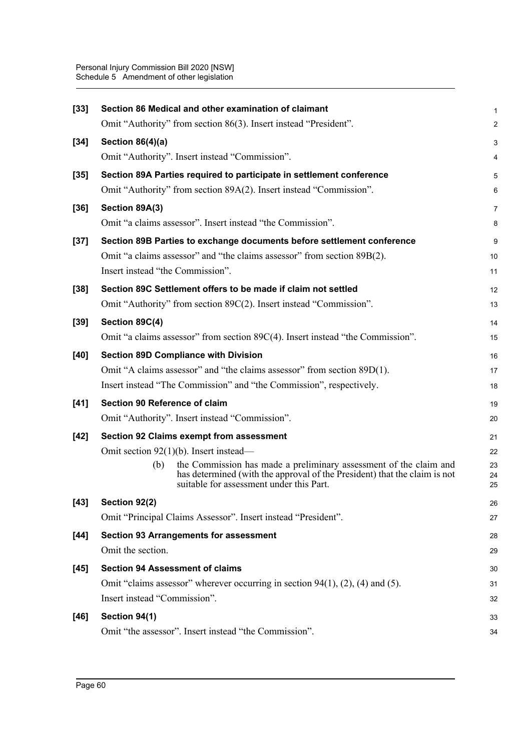| $[33]$ | Section 86 Medical and other examination of claimant                                                                                                                                              | 1              |
|--------|---------------------------------------------------------------------------------------------------------------------------------------------------------------------------------------------------|----------------|
|        | Omit "Authority" from section 86(3). Insert instead "President".                                                                                                                                  | $\overline{c}$ |
| $[34]$ | Section 86(4)(a)                                                                                                                                                                                  | 3              |
|        | Omit "Authority". Insert instead "Commission".                                                                                                                                                    | 4              |
| $[35]$ | Section 89A Parties required to participate in settlement conference                                                                                                                              | 5              |
|        | Omit "Authority" from section 89A(2). Insert instead "Commission".                                                                                                                                | 6              |
| $[36]$ | Section 89A(3)                                                                                                                                                                                    | 7              |
|        | Omit "a claims assessor". Insert instead "the Commission".                                                                                                                                        | 8              |
| $[37]$ | Section 89B Parties to exchange documents before settlement conference                                                                                                                            | 9              |
|        | Omit "a claims assessor" and "the claims assessor" from section 89B(2).                                                                                                                           | 10             |
|        | Insert instead "the Commission".                                                                                                                                                                  | 11             |
| $[38]$ | Section 89C Settlement offers to be made if claim not settled                                                                                                                                     | 12             |
|        | Omit "Authority" from section 89C(2). Insert instead "Commission".                                                                                                                                | 13             |
| $[39]$ | Section 89C(4)                                                                                                                                                                                    | 14             |
|        | Omit "a claims assessor" from section 89C(4). Insert instead "the Commission".                                                                                                                    | 15             |
| $[40]$ | <b>Section 89D Compliance with Division</b>                                                                                                                                                       | 16             |
|        | Omit "A claims assessor" and "the claims assessor" from section 89D(1).                                                                                                                           | 17             |
|        | Insert instead "The Commission" and "the Commission", respectively.                                                                                                                               | 18             |
| $[41]$ | Section 90 Reference of claim                                                                                                                                                                     | 19             |
|        | Omit "Authority". Insert instead "Commission".                                                                                                                                                    | 20             |
| $[42]$ | <b>Section 92 Claims exempt from assessment</b>                                                                                                                                                   | 21             |
|        | Omit section $92(1)(b)$ . Insert instead—                                                                                                                                                         | 22             |
|        | the Commission has made a preliminary assessment of the claim and<br>(b)<br>has determined (with the approval of the President) that the claim is not<br>suitable for assessment under this Part. | 23<br>24<br>25 |
| $[43]$ | Section 92(2)                                                                                                                                                                                     | 26             |
|        | Omit "Principal Claims Assessor". Insert instead "President".                                                                                                                                     | 27             |
| $[44]$ | <b>Section 93 Arrangements for assessment</b>                                                                                                                                                     | 28             |
|        | Omit the section.                                                                                                                                                                                 | 29             |
| $[45]$ | <b>Section 94 Assessment of claims</b>                                                                                                                                                            | 30             |
|        | Omit "claims assessor" wherever occurring in section $94(1)$ , $(2)$ , $(4)$ and $(5)$ .                                                                                                          | 31             |
|        | Insert instead "Commission".                                                                                                                                                                      | 32             |
| $[46]$ | Section 94(1)                                                                                                                                                                                     | 33             |
|        | Omit "the assessor". Insert instead "the Commission".                                                                                                                                             | 34             |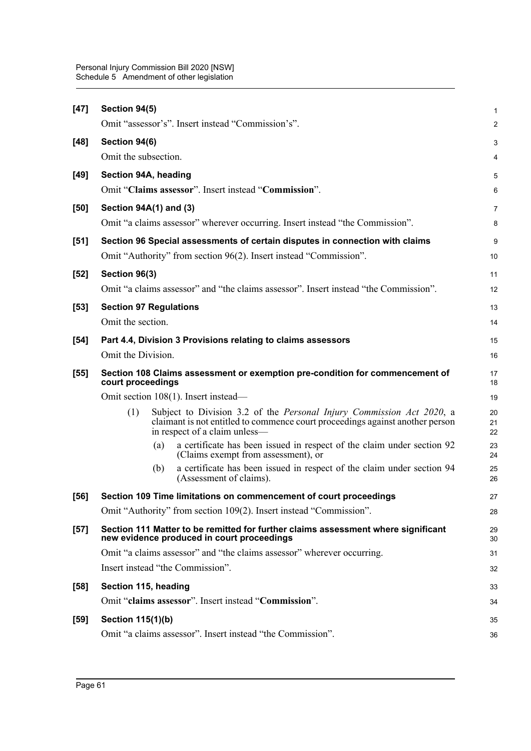| $[47]$ | Section 94(5)                                                                                                                                                                                  | 1              |
|--------|------------------------------------------------------------------------------------------------------------------------------------------------------------------------------------------------|----------------|
|        | Omit "assessor's". Insert instead "Commission's".                                                                                                                                              | $\overline{a}$ |
| $[48]$ | Section 94(6)                                                                                                                                                                                  | 3              |
|        | Omit the subsection.                                                                                                                                                                           | 4              |
| $[49]$ | Section 94A, heading                                                                                                                                                                           | 5              |
|        | Omit "Claims assessor". Insert instead "Commission".                                                                                                                                           | 6              |
| $[50]$ | Section 94A(1) and (3)                                                                                                                                                                         | 7              |
|        | Omit "a claims assessor" wherever occurring. Insert instead "the Commission".                                                                                                                  | 8              |
| $[51]$ | Section 96 Special assessments of certain disputes in connection with claims                                                                                                                   | 9              |
|        | Omit "Authority" from section 96(2). Insert instead "Commission".                                                                                                                              | 10             |
| $[52]$ | Section 96(3)                                                                                                                                                                                  | 11             |
|        | Omit "a claims assessor" and "the claims assessor". Insert instead "the Commission".                                                                                                           | 12             |
| $[53]$ | <b>Section 97 Regulations</b>                                                                                                                                                                  | 13             |
|        | Omit the section.                                                                                                                                                                              | 14             |
| $[54]$ | Part 4.4, Division 3 Provisions relating to claims assessors                                                                                                                                   | 15             |
|        | Omit the Division.                                                                                                                                                                             | 16             |
| $[55]$ | Section 108 Claims assessment or exemption pre-condition for commencement of<br>court proceedings                                                                                              | 17<br>18       |
|        | Omit section 108(1). Insert instead-                                                                                                                                                           | 19             |
|        | Subject to Division 3.2 of the Personal Injury Commission Act 2020, a<br>(1)<br>claimant is not entitled to commence court proceedings against another person<br>in respect of a claim unless- | 20<br>21<br>22 |
|        | a certificate has been issued in respect of the claim under section 92<br>(a)<br>(Claims exempt from assessment), or                                                                           | 23<br>24       |
|        | a certificate has been issued in respect of the claim under section 94<br>(b)<br>(Assessment of claims).                                                                                       | 25<br>26       |
| [56]   | Section 109 Time limitations on commencement of court proceedings                                                                                                                              | 27             |
|        | Omit "Authority" from section 109(2). Insert instead "Commission".                                                                                                                             | 28             |
| $[57]$ | Section 111 Matter to be remitted for further claims assessment where significant<br>new evidence produced in court proceedings                                                                | 29<br>30       |
|        | Omit "a claims assessor" and "the claims assessor" wherever occurring.                                                                                                                         | 31             |
|        | Insert instead "the Commission".                                                                                                                                                               | 32             |
| $[58]$ | Section 115, heading                                                                                                                                                                           | 33             |
|        | Omit "claims assessor". Insert instead "Commission".                                                                                                                                           | 34             |
| $[59]$ | <b>Section 115(1)(b)</b>                                                                                                                                                                       | 35             |
|        | Omit "a claims assessor". Insert instead "the Commission".                                                                                                                                     | 36             |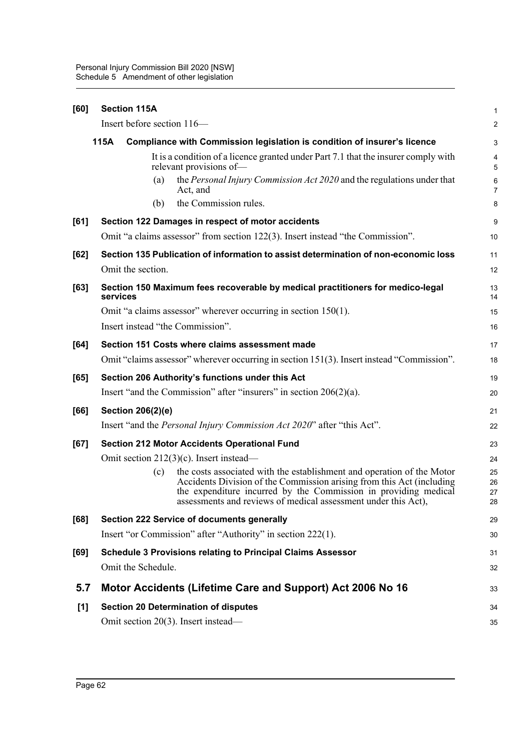| [60] | <b>Section 115A</b>                                                                                                                                    | 1                       |
|------|--------------------------------------------------------------------------------------------------------------------------------------------------------|-------------------------|
|      | Insert before section 116-                                                                                                                             | $\overline{\mathbf{c}}$ |
|      | 115A<br>Compliance with Commission legislation is condition of insurer's licence                                                                       | 3                       |
|      | It is a condition of a licence granted under Part 7.1 that the insurer comply with<br>relevant provisions of-                                          | 4<br>5                  |
|      | the Personal Injury Commission Act 2020 and the regulations under that<br>(a)<br>Act, and                                                              | 6<br>7                  |
|      | the Commission rules.<br>(b)                                                                                                                           | 8                       |
| [61] | Section 122 Damages in respect of motor accidents                                                                                                      | 9                       |
|      | Omit "a claims assessor" from section 122(3). Insert instead "the Commission".                                                                         | 10                      |
| [62] | Section 135 Publication of information to assist determination of non-economic loss                                                                    | 11                      |
|      | Omit the section.                                                                                                                                      | 12                      |
| [63] | Section 150 Maximum fees recoverable by medical practitioners for medico-legal<br>services                                                             | 13<br>14                |
|      | Omit "a claims assessor" wherever occurring in section $150(1)$ .                                                                                      | 15                      |
|      | Insert instead "the Commission".                                                                                                                       | 16                      |
| [64] | Section 151 Costs where claims assessment made                                                                                                         | 17                      |
|      | Omit "claims assessor" wherever occurring in section 151(3). Insert instead "Commission".                                                              | 18                      |
| [65] | Section 206 Authority's functions under this Act                                                                                                       | 19                      |
|      | Insert "and the Commission" after "insurers" in section $206(2)(a)$ .                                                                                  | 20                      |
| [66] | <b>Section 206(2)(e)</b>                                                                                                                               | 21                      |
|      | Insert "and the Personal Injury Commission Act 2020" after "this Act".                                                                                 | 22                      |
| [67] | <b>Section 212 Motor Accidents Operational Fund</b>                                                                                                    | 23                      |
|      | Omit section $212(3)(c)$ . Insert instead—                                                                                                             | 24                      |
|      | the costs associated with the establishment and operation of the Motor<br>(c)<br>Accidents Division of the Commission arising from this Act (including | 25<br>26                |
|      | the expenditure incurred by the Commission in providing medical                                                                                        | 27                      |
|      | assessments and reviews of medical assessment under this Act).                                                                                         | 28                      |
| [68] | Section 222 Service of documents generally                                                                                                             | 29                      |
|      | Insert "or Commission" after "Authority" in section 222(1).                                                                                            | 30                      |
| [69] | <b>Schedule 3 Provisions relating to Principal Claims Assessor</b>                                                                                     | 31                      |
|      | Omit the Schedule.                                                                                                                                     | 32                      |
| 5.7  | Motor Accidents (Lifetime Care and Support) Act 2006 No 16                                                                                             | 33                      |
| [1]  | <b>Section 20 Determination of disputes</b>                                                                                                            | 34                      |
|      | Omit section 20(3). Insert instead—                                                                                                                    | 35                      |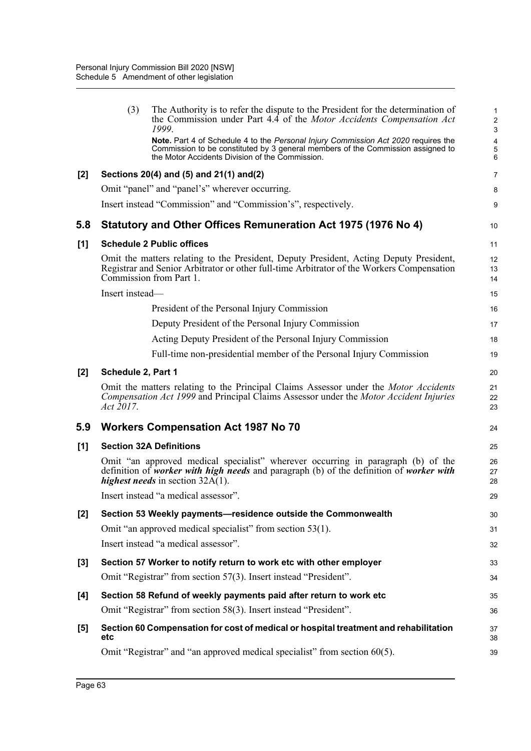|       | (3)                | The Authority is to refer the dispute to the President for the determination of<br>the Commission under Part 4.4 of the Motor Accidents Compensation Act<br>1999.                                                         | 1<br>$\overline{\mathbf{c}}$<br>3 |
|-------|--------------------|---------------------------------------------------------------------------------------------------------------------------------------------------------------------------------------------------------------------------|-----------------------------------|
|       |                    | Note. Part 4 of Schedule 4 to the Personal Injury Commission Act 2020 requires the<br>Commission to be constituted by 3 general members of the Commission assigned to<br>the Motor Accidents Division of the Commission.  | 4<br>5<br>6                       |
| [2]   |                    | Sections 20(4) and (5) and 21(1) and(2)                                                                                                                                                                                   | 7                                 |
|       |                    | Omit "panel" and "panel's" wherever occurring.                                                                                                                                                                            | 8                                 |
|       |                    | Insert instead "Commission" and "Commission's", respectively.                                                                                                                                                             | 9                                 |
| 5.8   |                    | Statutory and Other Offices Remuneration Act 1975 (1976 No 4)                                                                                                                                                             | 10                                |
| [1]   |                    | <b>Schedule 2 Public offices</b>                                                                                                                                                                                          | 11                                |
|       |                    | Omit the matters relating to the President, Deputy President, Acting Deputy President,<br>Registrar and Senior Arbitrator or other full-time Arbitrator of the Workers Compensation<br>Commission from Part 1.            | 12<br>13<br>14                    |
|       | Insert instead-    |                                                                                                                                                                                                                           | 15                                |
|       |                    | President of the Personal Injury Commission                                                                                                                                                                               | 16                                |
|       |                    | Deputy President of the Personal Injury Commission                                                                                                                                                                        | 17                                |
|       |                    | Acting Deputy President of the Personal Injury Commission                                                                                                                                                                 | 18                                |
|       |                    | Full-time non-presidential member of the Personal Injury Commission                                                                                                                                                       | 19                                |
| [2]   | Schedule 2, Part 1 |                                                                                                                                                                                                                           | 20                                |
|       | Act 2017.          | Omit the matters relating to the Principal Claims Assessor under the <i>Motor Accidents</i><br>Compensation Act 1999 and Principal Claims Assessor under the Motor Accident Injuries                                      | 21<br>22<br>23                    |
| 5.9   |                    | <b>Workers Compensation Act 1987 No 70</b>                                                                                                                                                                                | 24                                |
| [1]   |                    | <b>Section 32A Definitions</b>                                                                                                                                                                                            | 25                                |
|       |                    | Omit "an approved medical specialist" wherever occurring in paragraph (b) of the<br>definition of worker with high needs and paragraph (b) of the definition of worker with<br><i>highest needs</i> in section $32A(1)$ . | 26<br>27<br>28                    |
|       |                    | Insert instead "a medical assessor".                                                                                                                                                                                      | 29                                |
| $[2]$ |                    | Section 53 Weekly payments-residence outside the Commonwealth                                                                                                                                                             | 30                                |
|       |                    | Omit "an approved medical specialist" from section 53(1).                                                                                                                                                                 | 31                                |
|       |                    | Insert instead "a medical assessor".                                                                                                                                                                                      | 32                                |
| [3]   |                    | Section 57 Worker to notify return to work etc with other employer                                                                                                                                                        | 33                                |
|       |                    | Omit "Registrar" from section 57(3). Insert instead "President".                                                                                                                                                          | 34                                |
| [4]   |                    | Section 58 Refund of weekly payments paid after return to work etc                                                                                                                                                        | 35                                |
|       |                    | Omit "Registrar" from section 58(3). Insert instead "President".                                                                                                                                                          | 36                                |
| [5]   | etc                | Section 60 Compensation for cost of medical or hospital treatment and rehabilitation                                                                                                                                      | 37<br>38                          |
|       |                    |                                                                                                                                                                                                                           |                                   |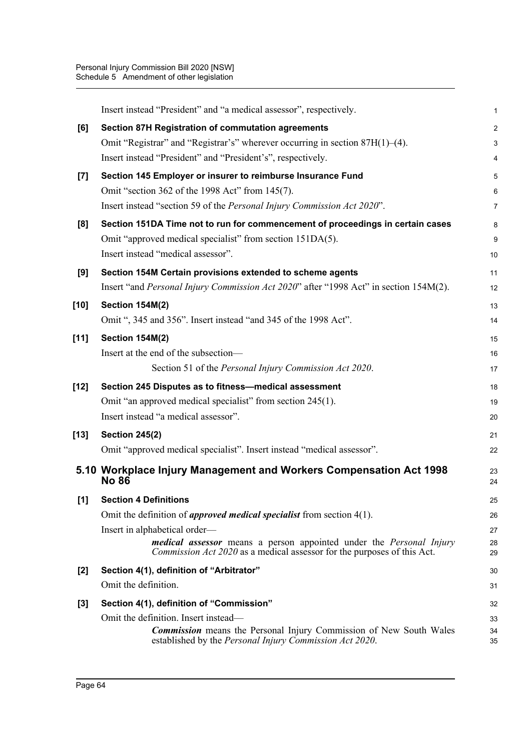|        | Insert instead "President" and "a medical assessor", respectively.                                                                                    | 1              |
|--------|-------------------------------------------------------------------------------------------------------------------------------------------------------|----------------|
| [6]    | <b>Section 87H Registration of commutation agreements</b>                                                                                             | $\overline{c}$ |
|        | Omit "Registrar" and "Registrar's" wherever occurring in section 87H(1)–(4).                                                                          | 3              |
|        | Insert instead "President" and "President's", respectively.                                                                                           | 4              |
| $[7]$  | Section 145 Employer or insurer to reimburse Insurance Fund                                                                                           | 5              |
|        | Omit "section 362 of the 1998 Act" from 145(7).                                                                                                       | 6              |
|        | Insert instead "section 59 of the Personal Injury Commission Act 2020".                                                                               | 7              |
| [8]    | Section 151DA Time not to run for commencement of proceedings in certain cases                                                                        | 8              |
|        | Omit "approved medical specialist" from section 151DA(5).                                                                                             | 9              |
|        | Insert instead "medical assessor".                                                                                                                    | 10             |
| [9]    | Section 154M Certain provisions extended to scheme agents                                                                                             | 11             |
|        | Insert "and <i>Personal Injury Commission Act 2020</i> " after "1998 Act" in section 154M(2).                                                         | 12             |
| $[10]$ | Section 154M(2)                                                                                                                                       | 13             |
|        | Omit ", 345 and 356". Insert instead "and 345 of the 1998 Act".                                                                                       | 14             |
| $[11]$ | <b>Section 154M(2)</b>                                                                                                                                | 15             |
|        | Insert at the end of the subsection-                                                                                                                  | 16             |
|        | Section 51 of the Personal Injury Commission Act 2020.                                                                                                | 17             |
| $[12]$ | Section 245 Disputes as to fitness-medical assessment                                                                                                 | 18             |
|        | Omit "an approved medical specialist" from section 245(1).                                                                                            | 19             |
|        | Insert instead "a medical assessor".                                                                                                                  | 20             |
| $[13]$ | <b>Section 245(2)</b>                                                                                                                                 | 21             |
|        | Omit "approved medical specialist". Insert instead "medical assessor".                                                                                | 22             |
|        | 5.10 Workplace Injury Management and Workers Compensation Act 1998<br><b>No 86</b>                                                                    | 23<br>24       |
| [1]    | <b>Section 4 Definitions</b>                                                                                                                          | 25             |
|        | Omit the definition of <i>approved medical specialist</i> from section $4(1)$ .                                                                       | 26             |
|        | Insert in alphabetical order—                                                                                                                         | 27             |
|        | medical assessor means a person appointed under the Personal Injury<br><i>Commission Act 2020</i> as a medical assessor for the purposes of this Act. | 28<br>29       |
| $[2]$  | Section 4(1), definition of "Arbitrator"                                                                                                              | 30             |
|        | Omit the definition.                                                                                                                                  | 31             |
| $[3]$  | Section 4(1), definition of "Commission"                                                                                                              | 32             |
|        | Omit the definition. Insert instead—                                                                                                                  | 33             |
|        | <b>Commission</b> means the Personal Injury Commission of New South Wales<br>established by the <i>Personal Injury Commission Act 2020</i> .          | 34<br>35       |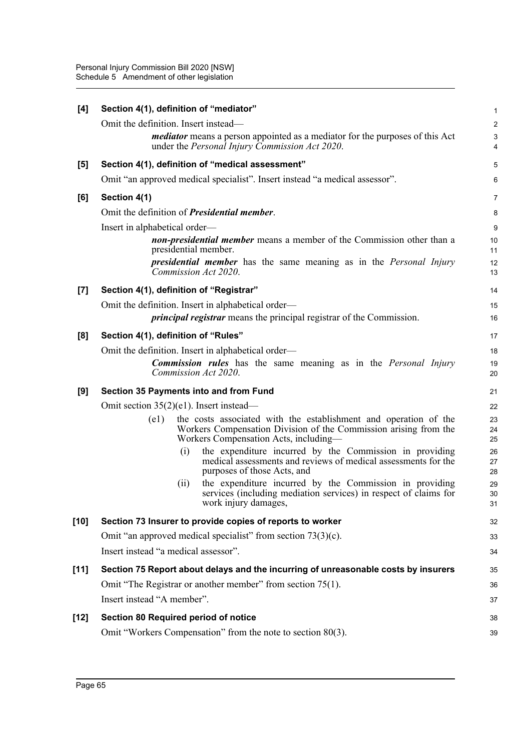| [4]                | Section 4(1), definition of "mediator"              |                      |                                                                                                                                                                               | 1                       |  |
|--------------------|-----------------------------------------------------|----------------------|-------------------------------------------------------------------------------------------------------------------------------------------------------------------------------|-------------------------|--|
|                    | Omit the definition. Insert instead—                |                      |                                                                                                                                                                               | $\overline{\mathbf{c}}$ |  |
|                    |                                                     |                      | <i>mediator</i> means a person appointed as a mediator for the purposes of this Act<br>under the <i>Personal Injury Commission Act 2020</i> .                                 | 3<br>4                  |  |
| [5]                |                                                     |                      | Section 4(1), definition of "medical assessment"                                                                                                                              | 5                       |  |
|                    |                                                     |                      | Omit "an approved medical specialist". Insert instead "a medical assessor".                                                                                                   | 6                       |  |
| [6]                | Section 4(1)                                        |                      |                                                                                                                                                                               | 7                       |  |
|                    | Omit the definition of <i>Presidential member</i> . |                      |                                                                                                                                                                               | 8                       |  |
|                    | Insert in alphabetical order—                       |                      |                                                                                                                                                                               | 9                       |  |
|                    |                                                     | presidential member. | <b>non-presidential member</b> means a member of the Commission other than a                                                                                                  | 10<br>11                |  |
|                    |                                                     | Commission Act 2020. | <b>presidential member</b> has the same meaning as in the <i>Personal Injury</i>                                                                                              | 12<br>13                |  |
| $\left[ 7 \right]$ | Section 4(1), definition of "Registrar"             |                      |                                                                                                                                                                               | 14                      |  |
|                    | Omit the definition. Insert in alphabetical order—  |                      |                                                                                                                                                                               | 15                      |  |
|                    |                                                     |                      | <i>principal registrar</i> means the principal registrar of the Commission.                                                                                                   | 16                      |  |
| [8]                | Section 4(1), definition of "Rules"                 |                      |                                                                                                                                                                               | 17                      |  |
|                    | Omit the definition. Insert in alphabetical order—  |                      |                                                                                                                                                                               | 18                      |  |
|                    |                                                     | Commission Act 2020. | <b>Commission rules</b> has the same meaning as in the <i>Personal Injury</i>                                                                                                 | 19<br>20                |  |
| [9]                | Section 35 Payments into and from Fund              |                      |                                                                                                                                                                               | 21                      |  |
|                    | Omit section $35(2)(e1)$ . Insert instead—          |                      |                                                                                                                                                                               |                         |  |
|                    | (e1)                                                |                      | the costs associated with the establishment and operation of the<br>Workers Compensation Division of the Commission arising from the<br>Workers Compensation Acts, including- | 23<br>24<br>25          |  |
|                    |                                                     | (i)                  | the expenditure incurred by the Commission in providing<br>medical assessments and reviews of medical assessments for the<br>purposes of those Acts, and                      | 26<br>27<br>28          |  |
|                    |                                                     | (ii)                 | the expenditure incurred by the Commission in providing<br>services (including mediation services) in respect of claims for<br>work injury damages,                           | 29<br>30<br>31          |  |
| [10]               |                                                     |                      | Section 73 Insurer to provide copies of reports to worker                                                                                                                     | 32                      |  |
|                    |                                                     |                      | Omit "an approved medical specialist" from section $73(3)(c)$ .                                                                                                               | 33                      |  |
|                    | Insert instead "a medical assessor".                |                      |                                                                                                                                                                               | 34                      |  |
| $[11]$             |                                                     |                      | Section 75 Report about delays and the incurring of unreasonable costs by insurers                                                                                            | 35                      |  |
|                    |                                                     |                      | Omit "The Registrar or another member" from section 75(1).                                                                                                                    | 36                      |  |
|                    | Insert instead "A member".                          |                      |                                                                                                                                                                               | 37                      |  |
| [12]               | <b>Section 80 Required period of notice</b>         |                      |                                                                                                                                                                               | 38                      |  |
|                    |                                                     |                      | Omit "Workers Compensation" from the note to section 80(3).                                                                                                                   | 39                      |  |
|                    |                                                     |                      |                                                                                                                                                                               |                         |  |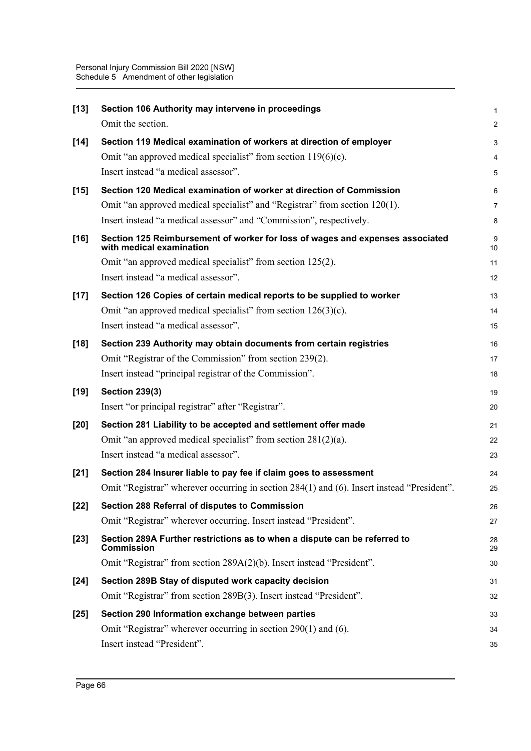| $[13]$ | Section 106 Authority may intervene in proceedings                                                        | 1              |
|--------|-----------------------------------------------------------------------------------------------------------|----------------|
|        | Omit the section.                                                                                         | $\overline{c}$ |
| $[14]$ | Section 119 Medical examination of workers at direction of employer                                       | 3              |
|        | Omit "an approved medical specialist" from section $119(6)(c)$ .                                          | 4              |
|        | Insert instead "a medical assessor".                                                                      | 5              |
| $[15]$ | Section 120 Medical examination of worker at direction of Commission                                      | 6              |
|        | Omit "an approved medical specialist" and "Registrar" from section 120(1).                                | 7              |
|        | Insert instead "a medical assessor" and "Commission", respectively.                                       | 8              |
| $[16]$ | Section 125 Reimbursement of worker for loss of wages and expenses associated<br>with medical examination | 9<br>10        |
|        | Omit "an approved medical specialist" from section 125(2).                                                | 11             |
|        | Insert instead "a medical assessor".                                                                      | 12             |
| $[17]$ | Section 126 Copies of certain medical reports to be supplied to worker                                    | 13             |
|        | Omit "an approved medical specialist" from section $126(3)(c)$ .                                          | 14             |
|        | Insert instead "a medical assessor".                                                                      | 15             |
| $[18]$ | Section 239 Authority may obtain documents from certain registries                                        | 16             |
|        | Omit "Registrar of the Commission" from section 239(2).                                                   | 17             |
|        | Insert instead "principal registrar of the Commission".                                                   | 18             |
| $[19]$ | <b>Section 239(3)</b>                                                                                     | 19             |
|        | Insert "or principal registrar" after "Registrar".                                                        | 20             |
| $[20]$ | Section 281 Liability to be accepted and settlement offer made                                            | 21             |
|        | Omit "an approved medical specialist" from section $281(2)(a)$ .                                          | 22             |
|        | Insert instead "a medical assessor".                                                                      | 23             |
| $[21]$ | Section 284 Insurer liable to pay fee if claim goes to assessment                                         | 24             |
|        | Omit "Registrar" wherever occurring in section 284(1) and (6). Insert instead "President".                | 25             |
| $[22]$ | Section 288 Referral of disputes to Commission                                                            | 26             |
|        | Omit "Registrar" wherever occurring. Insert instead "President".                                          | 27             |
| $[23]$ | Section 289A Further restrictions as to when a dispute can be referred to<br><b>Commission</b>            | 28<br>29       |
|        | Omit "Registrar" from section 289A(2)(b). Insert instead "President".                                     | 30             |
| $[24]$ | Section 289B Stay of disputed work capacity decision                                                      | 31             |
|        | Omit "Registrar" from section 289B(3). Insert instead "President".                                        | 32             |
| $[25]$ | Section 290 Information exchange between parties                                                          | 33             |
|        | Omit "Registrar" wherever occurring in section 290(1) and (6).                                            | 34             |
|        | Insert instead "President".                                                                               | 35             |
|        |                                                                                                           |                |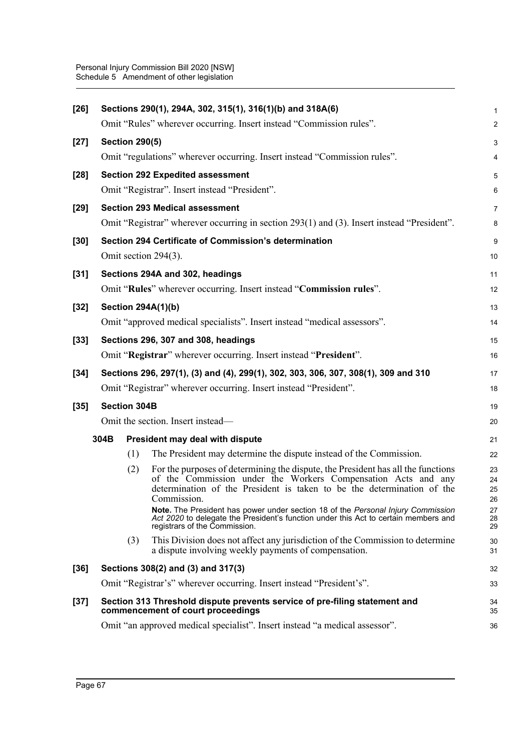| $[26]$ |      |                       | Sections 290(1), 294A, 302, 315(1), 316(1)(b) and 318A(6)                                                                                                                                                                                  | 1                       |
|--------|------|-----------------------|--------------------------------------------------------------------------------------------------------------------------------------------------------------------------------------------------------------------------------------------|-------------------------|
|        |      |                       | Omit "Rules" wherever occurring. Insert instead "Commission rules".                                                                                                                                                                        | $\overline{\mathbf{c}}$ |
| $[27]$ |      | <b>Section 290(5)</b> |                                                                                                                                                                                                                                            | 3                       |
|        |      |                       | Omit "regulations" wherever occurring. Insert instead "Commission rules".                                                                                                                                                                  | 4                       |
| $[28]$ |      |                       | <b>Section 292 Expedited assessment</b>                                                                                                                                                                                                    | 5                       |
|        |      |                       | Omit "Registrar". Insert instead "President".                                                                                                                                                                                              | 6                       |
| $[29]$ |      |                       | <b>Section 293 Medical assessment</b>                                                                                                                                                                                                      | 7                       |
|        |      |                       | Omit "Registrar" wherever occurring in section 293(1) and (3). Insert instead "President".                                                                                                                                                 | 8                       |
| $[30]$ |      |                       | Section 294 Certificate of Commission's determination                                                                                                                                                                                      | 9                       |
|        |      |                       | Omit section 294(3).                                                                                                                                                                                                                       | 10                      |
| $[31]$ |      |                       | Sections 294A and 302, headings                                                                                                                                                                                                            | 11                      |
|        |      |                       | Omit "Rules" wherever occurring. Insert instead "Commission rules".                                                                                                                                                                        | 12                      |
| $[32]$ |      |                       | <b>Section 294A(1)(b)</b>                                                                                                                                                                                                                  | 13                      |
|        |      |                       | Omit "approved medical specialists". Insert instead "medical assessors".                                                                                                                                                                   | 14                      |
| $[33]$ |      |                       | Sections 296, 307 and 308, headings                                                                                                                                                                                                        | 15                      |
|        |      |                       | Omit "Registrar" wherever occurring. Insert instead "President".                                                                                                                                                                           | 16                      |
| $[34]$ |      |                       | Sections 296, 297(1), (3) and (4), 299(1), 302, 303, 306, 307, 308(1), 309 and 310                                                                                                                                                         | 17                      |
|        |      |                       | Omit "Registrar" wherever occurring. Insert instead "President".                                                                                                                                                                           | 18                      |
| $[35]$ |      | <b>Section 304B</b>   |                                                                                                                                                                                                                                            | 19                      |
|        |      |                       | Omit the section. Insert instead—                                                                                                                                                                                                          | 20                      |
|        | 304B |                       | President may deal with dispute                                                                                                                                                                                                            | 21                      |
|        |      | (1)                   | The President may determine the dispute instead of the Commission.                                                                                                                                                                         | 22                      |
|        |      | (2)                   | For the purposes of determining the dispute, the President has all the functions<br>of the Commission under the Workers Compensation Acts and any<br>determination of the President is taken to be the determination of the<br>Commission. | 23<br>24<br>25<br>26    |
|        |      |                       | Note. The President has power under section 18 of the Personal Injury Commission<br>Act 2020 to delegate the President's function under this Act to certain members and<br>registrars of the Commission.                                   | 27<br>28<br>29          |
|        |      | (3)                   | This Division does not affect any jurisdiction of the Commission to determine<br>a dispute involving weekly payments of compensation.                                                                                                      | 30<br>31                |
| $[36]$ |      |                       | Sections 308(2) and (3) and 317(3)                                                                                                                                                                                                         | 32                      |
|        |      |                       | Omit "Registrar's" wherever occurring. Insert instead "President's".                                                                                                                                                                       | 33                      |
| $[37]$ |      |                       | Section 313 Threshold dispute prevents service of pre-filing statement and<br>commencement of court proceedings                                                                                                                            | 34<br>35                |
|        |      |                       | Omit "an approved medical specialist". Insert instead "a medical assessor".                                                                                                                                                                | 36                      |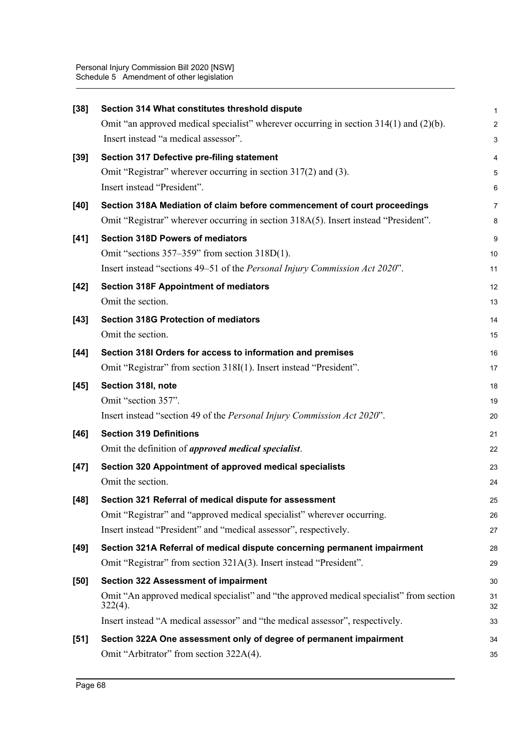| $[38]$ | Section 314 What constitutes threshold dispute                                                         | 1              |
|--------|--------------------------------------------------------------------------------------------------------|----------------|
|        | Omit "an approved medical specialist" wherever occurring in section $314(1)$ and $(2)(b)$ .            | $\overline{a}$ |
|        | Insert instead "a medical assessor".                                                                   | 3              |
| $[39]$ | Section 317 Defective pre-filing statement                                                             | 4              |
|        | Omit "Registrar" wherever occurring in section 317(2) and (3).                                         | 5              |
|        | Insert instead "President".                                                                            | 6              |
| [40]   | Section 318A Mediation of claim before commencement of court proceedings                               | 7              |
|        | Omit "Registrar" wherever occurring in section 318A(5). Insert instead "President".                    | 8              |
| $[41]$ | <b>Section 318D Powers of mediators</b>                                                                | 9              |
|        | Omit "sections $357-359$ " from section $318D(1)$ .                                                    | 10             |
|        | Insert instead "sections 49-51 of the Personal Injury Commission Act 2020".                            | 11             |
| $[42]$ | <b>Section 318F Appointment of mediators</b>                                                           | 12             |
|        | Omit the section.                                                                                      | 13             |
| $[43]$ | <b>Section 318G Protection of mediators</b>                                                            | 14             |
|        | Omit the section.                                                                                      | 15             |
| $[44]$ | Section 318I Orders for access to information and premises                                             | 16             |
|        | Omit "Registrar" from section 318I(1). Insert instead "President".                                     | 17             |
| $[45]$ | Section 318I, note                                                                                     | 18             |
|        | Omit "section 357".                                                                                    | 19             |
|        | Insert instead "section 49 of the Personal Injury Commission Act 2020".                                | 20             |
| $[46]$ | <b>Section 319 Definitions</b>                                                                         | 21             |
|        | Omit the definition of <i>approved medical specialist</i> .                                            | 22             |
| $[47]$ | Section 320 Appointment of approved medical specialists                                                | 23             |
|        | Omit the section.                                                                                      | 24             |
| $[48]$ | Section 321 Referral of medical dispute for assessment                                                 | 25             |
|        | Omit "Registrar" and "approved medical specialist" wherever occurring.                                 | 26             |
|        | Insert instead "President" and "medical assessor", respectively.                                       | 27             |
| $[49]$ | Section 321A Referral of medical dispute concerning permanent impairment                               | 28             |
|        | Omit "Registrar" from section 321A(3). Insert instead "President".                                     | 29             |
| [50]   | <b>Section 322 Assessment of impairment</b>                                                            | 30             |
|        | Omit "An approved medical specialist" and "the approved medical specialist" from section<br>$322(4)$ . | 31<br>32       |
|        | Insert instead "A medical assessor" and "the medical assessor", respectively.                          | 33             |
| $[51]$ | Section 322A One assessment only of degree of permanent impairment                                     | 34             |
|        | Omit "Arbitrator" from section 322A(4).                                                                | 35             |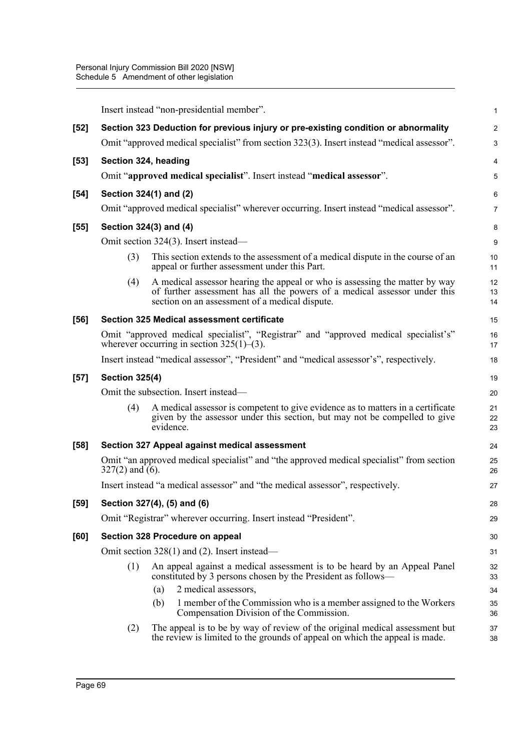|      | Insert instead "non-presidential member". |                                                                                                                                                                                                            |                |  |
|------|-------------------------------------------|------------------------------------------------------------------------------------------------------------------------------------------------------------------------------------------------------------|----------------|--|
| [52] |                                           | Section 323 Deduction for previous injury or pre-existing condition or abnormality                                                                                                                         | $\overline{c}$ |  |
|      |                                           | Omit "approved medical specialist" from section 323(3). Insert instead "medical assessor".                                                                                                                 | 3              |  |
| [53] | Section 324, heading                      |                                                                                                                                                                                                            | 4              |  |
|      |                                           | Omit "approved medical specialist". Insert instead "medical assessor".                                                                                                                                     | 5              |  |
| [54] |                                           | Section 324(1) and (2)                                                                                                                                                                                     | 6              |  |
|      |                                           | Omit "approved medical specialist" wherever occurring. Insert instead "medical assessor".                                                                                                                  | $\overline{7}$ |  |
| [55] | Section 324(3) and (4)                    |                                                                                                                                                                                                            |                |  |
|      |                                           | Omit section 324(3). Insert instead—                                                                                                                                                                       | 9              |  |
|      | (3)                                       | This section extends to the assessment of a medical dispute in the course of an<br>appeal or further assessment under this Part.                                                                           | 10<br>11       |  |
|      | (4)                                       | A medical assessor hearing the appeal or who is assessing the matter by way<br>of further assessment has all the powers of a medical assessor under this<br>section on an assessment of a medical dispute. | 12<br>13<br>14 |  |
| [56] |                                           | <b>Section 325 Medical assessment certificate</b>                                                                                                                                                          | 15             |  |
|      |                                           | Omit "approved medical specialist", "Registrar" and "approved medical specialist's"<br>wherever occurring in section $325(1)$ –(3).                                                                        | 16<br>17       |  |
|      |                                           | Insert instead "medical assessor", "President" and "medical assessor's", respectively.                                                                                                                     | 18             |  |
| [57] | <b>Section 325(4)</b>                     |                                                                                                                                                                                                            |                |  |
|      |                                           | Omit the subsection. Insert instead—                                                                                                                                                                       | 20             |  |
|      | (4)                                       | A medical assessor is competent to give evidence as to matters in a certificate<br>given by the assessor under this section, but may not be compelled to give<br>evidence.                                 | 21<br>22<br>23 |  |
| [58] |                                           | Section 327 Appeal against medical assessment                                                                                                                                                              | 24             |  |
|      | $327(2)$ and (6).                         | Omit "an approved medical specialist" and "the approved medical specialist" from section                                                                                                                   | 25<br>26       |  |
|      |                                           | Insert instead "a medical assessor" and "the medical assessor", respectively.                                                                                                                              | 27             |  |
| [59] |                                           | Section 327(4), (5) and (6)                                                                                                                                                                                | 28             |  |
|      |                                           | Omit "Registrar" wherever occurring. Insert instead "President".                                                                                                                                           | 29             |  |
| [60] |                                           | Section 328 Procedure on appeal                                                                                                                                                                            | 30             |  |
|      |                                           | Omit section $328(1)$ and (2). Insert instead—                                                                                                                                                             | 31             |  |
|      | (1)                                       | An appeal against a medical assessment is to be heard by an Appeal Panel<br>constituted by 3 persons chosen by the President as follows—                                                                   | 32<br>33       |  |
|      |                                           | 2 medical assessors,<br>(a)                                                                                                                                                                                | 34             |  |
|      |                                           | 1 member of the Commission who is a member assigned to the Workers<br>(b)<br>Compensation Division of the Commission.                                                                                      | 35<br>36       |  |
|      | (2)                                       | The appeal is to be by way of review of the original medical assessment but<br>the review is limited to the grounds of appeal on which the appeal is made.                                                 | 37<br>38       |  |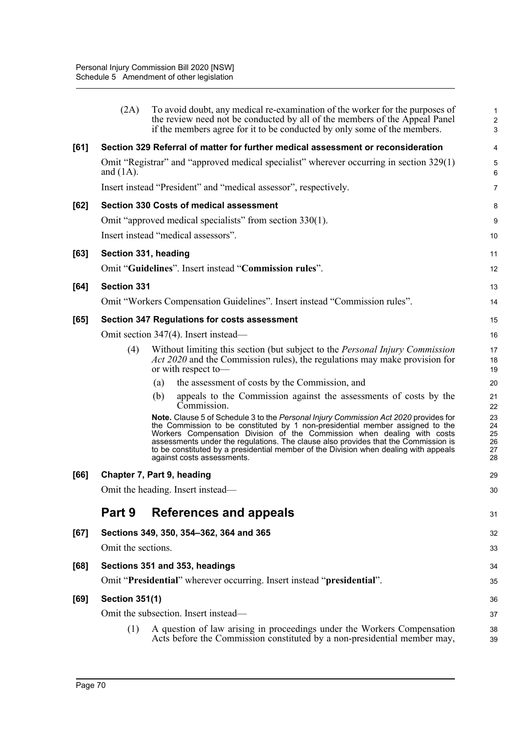|        | (2A)                  | To avoid doubt, any medical re-examination of the worker for the purposes of<br>the review need not be conducted by all of the members of the Appeal Panel<br>if the members agree for it to be conducted by only some of the members.                                                                                                                                                                                                                       | $\mathbf 1$<br>$\overline{c}$<br>3 |
|--------|-----------------------|--------------------------------------------------------------------------------------------------------------------------------------------------------------------------------------------------------------------------------------------------------------------------------------------------------------------------------------------------------------------------------------------------------------------------------------------------------------|------------------------------------|
| [61]   |                       | Section 329 Referral of matter for further medical assessment or reconsideration                                                                                                                                                                                                                                                                                                                                                                             | 4                                  |
|        | and $(1A)$ .          | Omit "Registrar" and "approved medical specialist" wherever occurring in section 329(1)                                                                                                                                                                                                                                                                                                                                                                      | 5<br>6                             |
|        |                       | Insert instead "President" and "medical assessor", respectively.                                                                                                                                                                                                                                                                                                                                                                                             | 7                                  |
| [62]   |                       | <b>Section 330 Costs of medical assessment</b>                                                                                                                                                                                                                                                                                                                                                                                                               | 8                                  |
|        |                       | Omit "approved medical specialists" from section 330(1).                                                                                                                                                                                                                                                                                                                                                                                                     | 9                                  |
|        |                       | Insert instead "medical assessors".                                                                                                                                                                                                                                                                                                                                                                                                                          | 10                                 |
| [63]   | Section 331, heading  |                                                                                                                                                                                                                                                                                                                                                                                                                                                              | 11                                 |
|        |                       | Omit "Guidelines". Insert instead "Commission rules".                                                                                                                                                                                                                                                                                                                                                                                                        | 12                                 |
| [64]   | <b>Section 331</b>    |                                                                                                                                                                                                                                                                                                                                                                                                                                                              | 13                                 |
|        |                       | Omit "Workers Compensation Guidelines". Insert instead "Commission rules".                                                                                                                                                                                                                                                                                                                                                                                   | 14                                 |
| $[65]$ |                       | Section 347 Regulations for costs assessment                                                                                                                                                                                                                                                                                                                                                                                                                 | 15                                 |
|        |                       | Omit section 347(4). Insert instead—                                                                                                                                                                                                                                                                                                                                                                                                                         | 16                                 |
|        | (4)                   | Without limiting this section (but subject to the <i>Personal Injury Commission</i><br>Act 2020 and the Commission rules), the regulations may make provision for<br>or with respect to-                                                                                                                                                                                                                                                                     | 17<br>18<br>19                     |
|        |                       | the assessment of costs by the Commission, and<br>(a)                                                                                                                                                                                                                                                                                                                                                                                                        | 20                                 |
|        |                       | (b)<br>appeals to the Commission against the assessments of costs by the<br>Commission.                                                                                                                                                                                                                                                                                                                                                                      | 21<br>22                           |
|        |                       | Note. Clause 5 of Schedule 3 to the Personal Injury Commission Act 2020 provides for<br>the Commission to be constituted by 1 non-presidential member assigned to the<br>Workers Compensation Division of the Commission when dealing with costs<br>assessments under the regulations. The clause also provides that the Commission is<br>to be constituted by a presidential member of the Division when dealing with appeals<br>against costs assessments. | 23<br>24<br>25<br>26<br>27<br>28   |
| [66]   |                       | Chapter 7, Part 9, heading                                                                                                                                                                                                                                                                                                                                                                                                                                   | 29                                 |
|        |                       | Omit the heading. Insert instead—                                                                                                                                                                                                                                                                                                                                                                                                                            | 30                                 |
|        | Part 9                | References and appeals                                                                                                                                                                                                                                                                                                                                                                                                                                       | 31                                 |
| [67]   |                       | Sections 349, 350, 354-362, 364 and 365                                                                                                                                                                                                                                                                                                                                                                                                                      | 32                                 |
|        | Omit the sections.    |                                                                                                                                                                                                                                                                                                                                                                                                                                                              | 33                                 |
| [68]   |                       | Sections 351 and 353, headings                                                                                                                                                                                                                                                                                                                                                                                                                               | 34                                 |
|        |                       | Omit "Presidential" wherever occurring. Insert instead "presidential".                                                                                                                                                                                                                                                                                                                                                                                       | 35                                 |
| [69]   | <b>Section 351(1)</b> |                                                                                                                                                                                                                                                                                                                                                                                                                                                              | 36                                 |
|        |                       | Omit the subsection. Insert instead—                                                                                                                                                                                                                                                                                                                                                                                                                         | 37                                 |
|        | (1)                   | A question of law arising in proceedings under the Workers Compensation<br>Acts before the Commission constituted by a non-presidential member may,                                                                                                                                                                                                                                                                                                          | 38<br>39                           |
|        |                       |                                                                                                                                                                                                                                                                                                                                                                                                                                                              |                                    |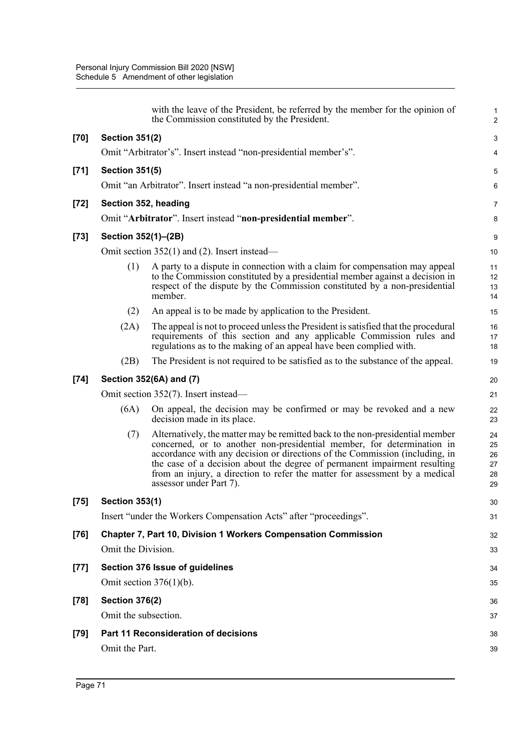|        |                       | with the leave of the President, be referred by the member for the opinion of<br>the Commission constituted by the President.                                                                                                                                                                                                                                                                                                 | $\mathbf 1$<br>$\boldsymbol{2}$  |
|--------|-----------------------|-------------------------------------------------------------------------------------------------------------------------------------------------------------------------------------------------------------------------------------------------------------------------------------------------------------------------------------------------------------------------------------------------------------------------------|----------------------------------|
| $[70]$ | <b>Section 351(2)</b> |                                                                                                                                                                                                                                                                                                                                                                                                                               | 3                                |
|        |                       | Omit "Arbitrator's". Insert instead "non-presidential member's".                                                                                                                                                                                                                                                                                                                                                              | 4                                |
| $[71]$ | <b>Section 351(5)</b> |                                                                                                                                                                                                                                                                                                                                                                                                                               | 5                                |
|        |                       | Omit "an Arbitrator". Insert instead "a non-presidential member".                                                                                                                                                                                                                                                                                                                                                             | 6                                |
| $[72]$ |                       | Section 352, heading                                                                                                                                                                                                                                                                                                                                                                                                          | 7                                |
|        |                       | Omit "Arbitrator". Insert instead "non-presidential member".                                                                                                                                                                                                                                                                                                                                                                  | 8                                |
| $[73]$ | Section 352(1)-(2B)   |                                                                                                                                                                                                                                                                                                                                                                                                                               | 9                                |
|        |                       | Omit section $352(1)$ and (2). Insert instead—                                                                                                                                                                                                                                                                                                                                                                                | 10                               |
|        | (1)                   | A party to a dispute in connection with a claim for compensation may appeal<br>to the Commission constituted by a presidential member against a decision in<br>respect of the dispute by the Commission constituted by a non-presidential<br>member.                                                                                                                                                                          | 11<br>12<br>13<br>14             |
|        | (2)                   | An appeal is to be made by application to the President.                                                                                                                                                                                                                                                                                                                                                                      | 15                               |
|        | (2A)                  | The appeal is not to proceed unless the President is satisfied that the procedural<br>requirements of this section and any applicable Commission rules and<br>regulations as to the making of an appeal have been complied with.                                                                                                                                                                                              | 16<br>17<br>18                   |
|        | (2B)                  | The President is not required to be satisfied as to the substance of the appeal.                                                                                                                                                                                                                                                                                                                                              | 19                               |
| $[74]$ |                       | Section 352(6A) and (7)                                                                                                                                                                                                                                                                                                                                                                                                       | 20                               |
|        |                       | Omit section 352(7). Insert instead—                                                                                                                                                                                                                                                                                                                                                                                          | 21                               |
|        | (6A)                  | On appeal, the decision may be confirmed or may be revoked and a new<br>decision made in its place.                                                                                                                                                                                                                                                                                                                           | 22<br>23                         |
|        | (7)                   | Alternatively, the matter may be remitted back to the non-presidential member<br>concerned, or to another non-presidential member, for determination in<br>accordance with any decision or directions of the Commission (including, in<br>the case of a decision about the degree of permanent impairment resulting<br>from an injury, a direction to refer the matter for assessment by a medical<br>assessor under Part 7). | 24<br>25<br>26<br>27<br>28<br>29 |
| $[75]$ | <b>Section 353(1)</b> |                                                                                                                                                                                                                                                                                                                                                                                                                               | 30                               |
|        |                       | Insert "under the Workers Compensation Acts" after "proceedings".                                                                                                                                                                                                                                                                                                                                                             | 31                               |
| $[76]$ |                       | Chapter 7, Part 10, Division 1 Workers Compensation Commission                                                                                                                                                                                                                                                                                                                                                                | 32                               |
|        | Omit the Division.    |                                                                                                                                                                                                                                                                                                                                                                                                                               | 33                               |
| $[77]$ |                       | Section 376 Issue of guidelines                                                                                                                                                                                                                                                                                                                                                                                               | 34                               |
|        |                       | Omit section $376(1)(b)$ .                                                                                                                                                                                                                                                                                                                                                                                                    | 35                               |
| $[78]$ | <b>Section 376(2)</b> |                                                                                                                                                                                                                                                                                                                                                                                                                               | 36                               |
|        | Omit the subsection.  |                                                                                                                                                                                                                                                                                                                                                                                                                               | 37                               |
| $[79]$ |                       | Part 11 Reconsideration of decisions                                                                                                                                                                                                                                                                                                                                                                                          | 38                               |
|        | Omit the Part.        |                                                                                                                                                                                                                                                                                                                                                                                                                               | 39                               |
|        |                       |                                                                                                                                                                                                                                                                                                                                                                                                                               |                                  |